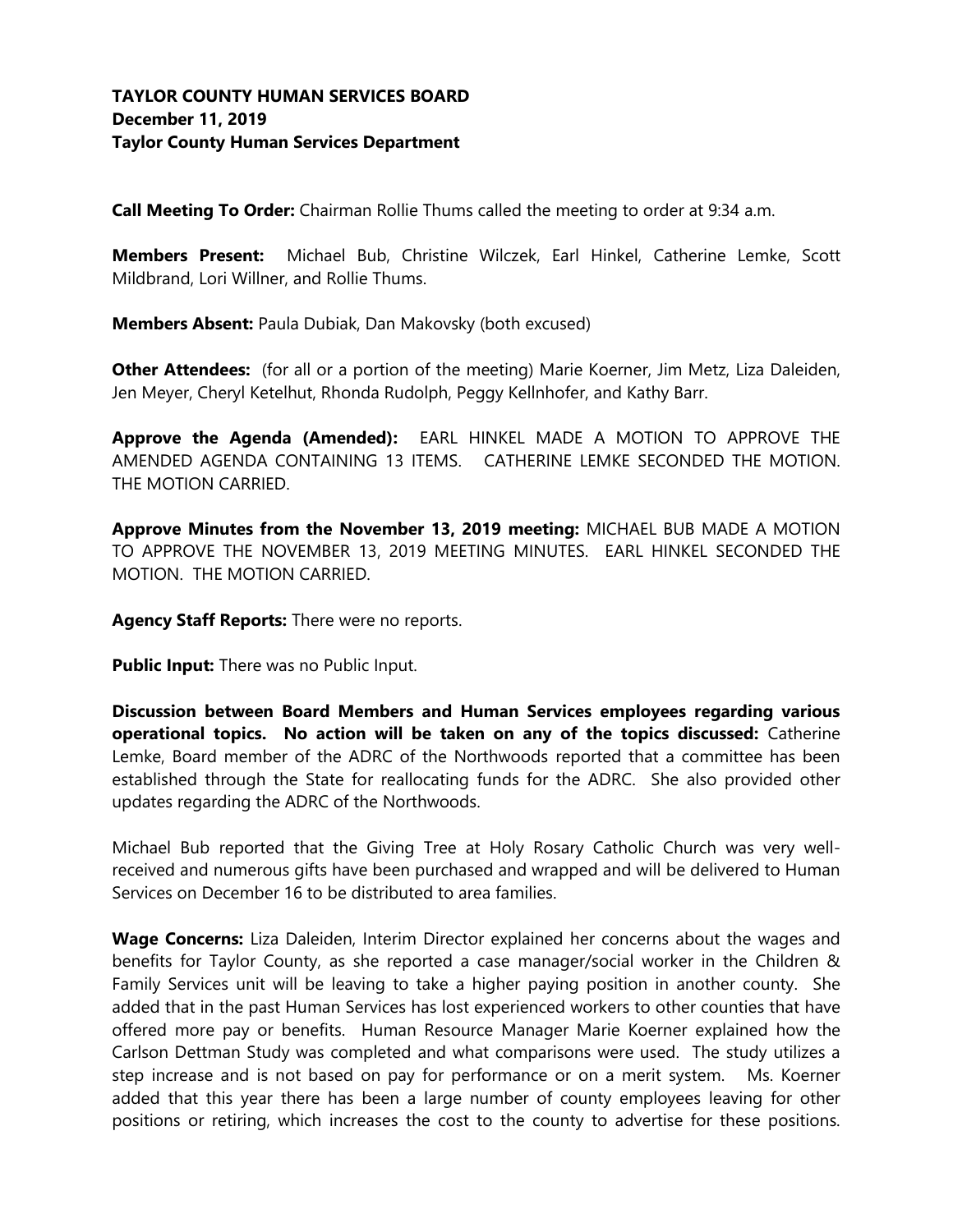**Call Meeting To Order:** Chairman Rollie Thums called the meeting to order at 9:34 a.m.

**Members Present:** Michael Bub, Christine Wilczek, Earl Hinkel, Catherine Lemke, Scott Mildbrand, Lori Willner, and Rollie Thums.

**Members Absent:** Paula Dubiak, Dan Makovsky (both excused)

**Other Attendees:** (for all or a portion of the meeting) Marie Koerner, Jim Metz, Liza Daleiden, Jen Meyer, Cheryl Ketelhut, Rhonda Rudolph, Peggy Kellnhofer, and Kathy Barr.

**Approve the Agenda (Amended):** EARL HINKEL MADE A MOTION TO APPROVE THE AMENDED AGENDA CONTAINING 13 ITEMS. CATHERINE LEMKE SECONDED THE MOTION. THE MOTION CARRIED.

**Approve Minutes from the November 13, 2019 meeting:** MICHAEL BUB MADE A MOTION TO APPROVE THE NOVEMBER 13, 2019 MEETING MINUTES. EARL HINKEL SECONDED THE MOTION. THE MOTION CARRIED.

**Agency Staff Reports:** There were no reports.

**Public Input:** There was no Public Input.

**Discussion between Board Members and Human Services employees regarding various operational topics. No action will be taken on any of the topics discussed:** Catherine Lemke, Board member of the ADRC of the Northwoods reported that a committee has been established through the State for reallocating funds for the ADRC. She also provided other updates regarding the ADRC of the Northwoods.

Michael Bub reported that the Giving Tree at Holy Rosary Catholic Church was very wellreceived and numerous gifts have been purchased and wrapped and will be delivered to Human Services on December 16 to be distributed to area families.

**Wage Concerns:** Liza Daleiden, Interim Director explained her concerns about the wages and benefits for Taylor County, as she reported a case manager/social worker in the Children & Family Services unit will be leaving to take a higher paying position in another county. She added that in the past Human Services has lost experienced workers to other counties that have offered more pay or benefits. Human Resource Manager Marie Koerner explained how the Carlson Dettman Study was completed and what comparisons were used. The study utilizes a step increase and is not based on pay for performance or on a merit system. Ms. Koerner added that this year there has been a large number of county employees leaving for other positions or retiring, which increases the cost to the county to advertise for these positions.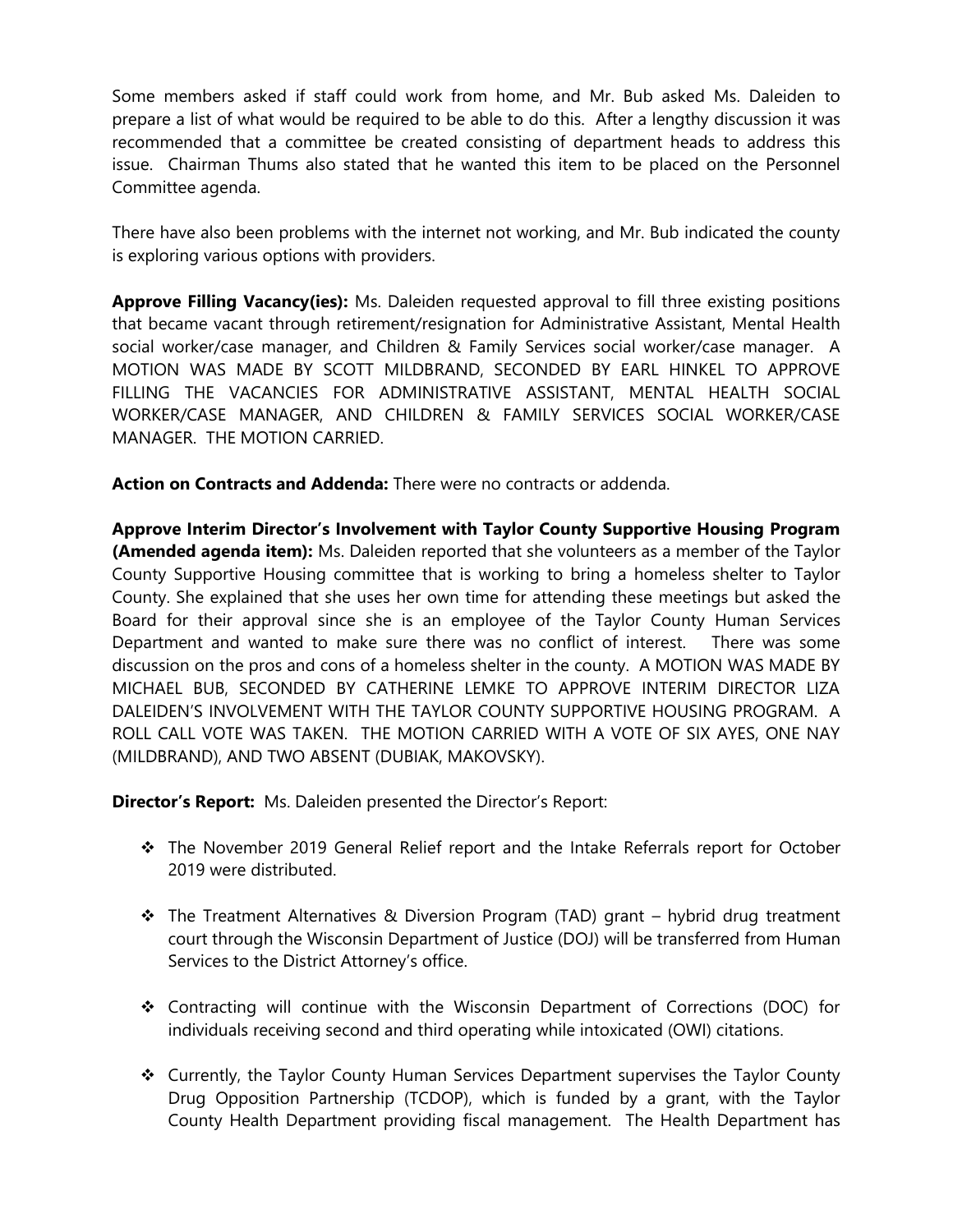Some members asked if staff could work from home, and Mr. Bub asked Ms. Daleiden to prepare a list of what would be required to be able to do this. After a lengthy discussion it was recommended that a committee be created consisting of department heads to address this issue. Chairman Thums also stated that he wanted this item to be placed on the Personnel Committee agenda.

There have also been problems with the internet not working, and Mr. Bub indicated the county is exploring various options with providers.

**Approve Filling Vacancy(ies):** Ms. Daleiden requested approval to fill three existing positions that became vacant through retirement/resignation for Administrative Assistant, Mental Health social worker/case manager, and Children & Family Services social worker/case manager. A MOTION WAS MADE BY SCOTT MILDBRAND, SECONDED BY EARL HINKEL TO APPROVE FILLING THE VACANCIES FOR ADMINISTRATIVE ASSISTANT, MENTAL HEALTH SOCIAL WORKER/CASE MANAGER, AND CHILDREN & FAMILY SERVICES SOCIAL WORKER/CASE MANAGER. THE MOTION CARRIED.

**Action on Contracts and Addenda:** There were no contracts or addenda.

**Approve Interim Director's Involvement with Taylor County Supportive Housing Program (Amended agenda item):** Ms. Daleiden reported that she volunteers as a member of the Taylor County Supportive Housing committee that is working to bring a homeless shelter to Taylor County. She explained that she uses her own time for attending these meetings but asked the Board for their approval since she is an employee of the Taylor County Human Services Department and wanted to make sure there was no conflict of interest. There was some discussion on the pros and cons of a homeless shelter in the county. A MOTION WAS MADE BY MICHAEL BUB, SECONDED BY CATHERINE LEMKE TO APPROVE INTERIM DIRECTOR LIZA DALEIDEN'S INVOLVEMENT WITH THE TAYLOR COUNTY SUPPORTIVE HOUSING PROGRAM. A ROLL CALL VOTE WAS TAKEN. THE MOTION CARRIED WITH A VOTE OF SIX AYES, ONE NAY (MILDBRAND), AND TWO ABSENT (DUBIAK, MAKOVSKY).

**Director's Report:** Ms. Daleiden presented the Director's Report:

- ❖ The November 2019 General Relief report and the Intake Referrals report for October 2019 were distributed.
- ❖ The Treatment Alternatives & Diversion Program (TAD) grant hybrid drug treatment court through the Wisconsin Department of Justice (DOJ) will be transferred from Human Services to the District Attorney's office.
- ❖ Contracting will continue with the Wisconsin Department of Corrections (DOC) for individuals receiving second and third operating while intoxicated (OWI) citations.
- ❖ Currently, the Taylor County Human Services Department supervises the Taylor County Drug Opposition Partnership (TCDOP), which is funded by a grant, with the Taylor County Health Department providing fiscal management. The Health Department has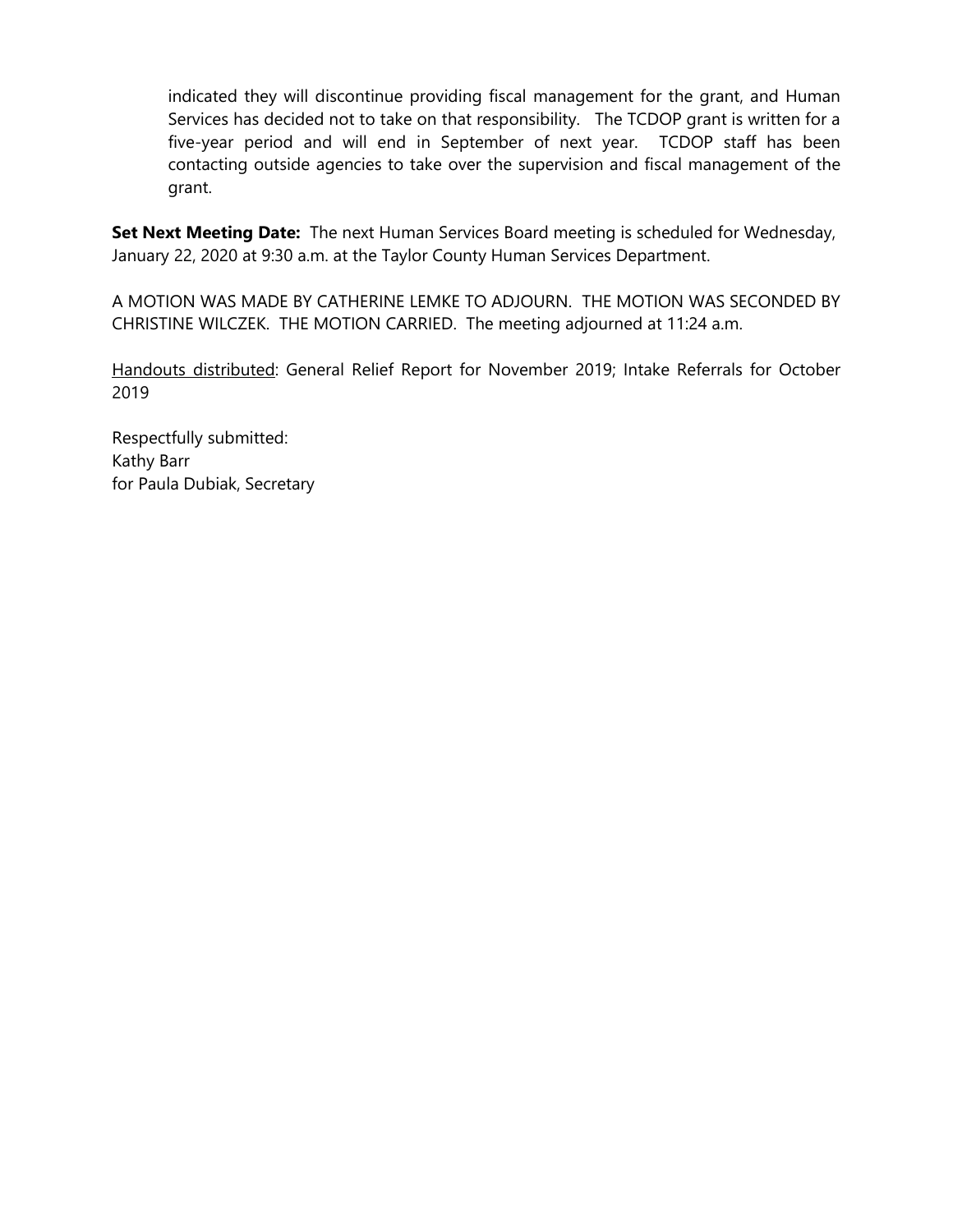indicated they will discontinue providing fiscal management for the grant, and Human Services has decided not to take on that responsibility. The TCDOP grant is written for a five-year period and will end in September of next year. TCDOP staff has been contacting outside agencies to take over the supervision and fiscal management of the grant.

**Set Next Meeting Date:** The next Human Services Board meeting is scheduled for Wednesday, January 22, 2020 at 9:30 a.m. at the Taylor County Human Services Department.

A MOTION WAS MADE BY CATHERINE LEMKE TO ADJOURN. THE MOTION WAS SECONDED BY CHRISTINE WILCZEK. THE MOTION CARRIED. The meeting adjourned at 11:24 a.m.

Handouts distributed: General Relief Report for November 2019; Intake Referrals for October 2019

Respectfully submitted: Kathy Barr for Paula Dubiak, Secretary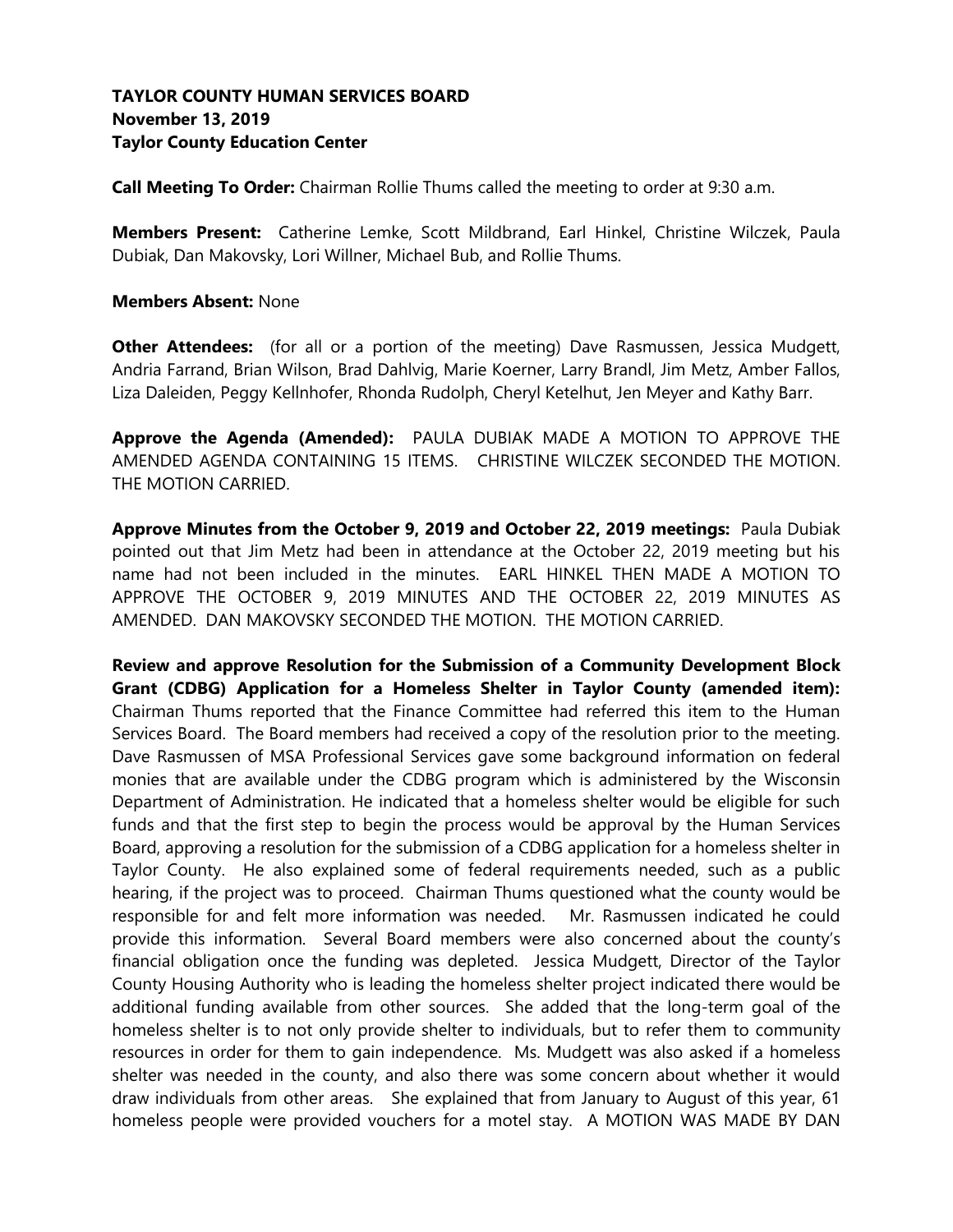# **TAYLOR COUNTY HUMAN SERVICES BOARD November 13, 2019 Taylor County Education Center**

**Call Meeting To Order:** Chairman Rollie Thums called the meeting to order at 9:30 a.m.

**Members Present:** Catherine Lemke, Scott Mildbrand, Earl Hinkel, Christine Wilczek, Paula Dubiak, Dan Makovsky, Lori Willner, Michael Bub, and Rollie Thums.

### **Members Absent:** None

**Other Attendees:** (for all or a portion of the meeting) Dave Rasmussen, Jessica Mudgett, Andria Farrand, Brian Wilson, Brad Dahlvig, Marie Koerner, Larry Brandl, Jim Metz, Amber Fallos, Liza Daleiden, Peggy Kellnhofer, Rhonda Rudolph, Cheryl Ketelhut, Jen Meyer and Kathy Barr.

**Approve the Agenda (Amended):** PAULA DUBIAK MADE A MOTION TO APPROVE THE AMENDED AGENDA CONTAINING 15 ITEMS. CHRISTINE WILCZEK SECONDED THE MOTION. THE MOTION CARRIED.

**Approve Minutes from the October 9, 2019 and October 22, 2019 meetings:** Paula Dubiak pointed out that Jim Metz had been in attendance at the October 22, 2019 meeting but his name had not been included in the minutes. EARL HINKEL THEN MADE A MOTION TO APPROVE THE OCTOBER 9, 2019 MINUTES AND THE OCTOBER 22, 2019 MINUTES AS AMENDED. DAN MAKOVSKY SECONDED THE MOTION. THE MOTION CARRIED.

**Review and approve Resolution for the Submission of a Community Development Block Grant (CDBG) Application for a Homeless Shelter in Taylor County (amended item):** Chairman Thums reported that the Finance Committee had referred this item to the Human Services Board. The Board members had received a copy of the resolution prior to the meeting. Dave Rasmussen of MSA Professional Services gave some background information on federal monies that are available under the CDBG program which is administered by the Wisconsin Department of Administration. He indicated that a homeless shelter would be eligible for such funds and that the first step to begin the process would be approval by the Human Services Board, approving a resolution for the submission of a CDBG application for a homeless shelter in Taylor County. He also explained some of federal requirements needed, such as a public hearing, if the project was to proceed. Chairman Thums questioned what the county would be responsible for and felt more information was needed. Mr. Rasmussen indicated he could provide this information. Several Board members were also concerned about the county's financial obligation once the funding was depleted. Jessica Mudgett, Director of the Taylor County Housing Authority who is leading the homeless shelter project indicated there would be additional funding available from other sources. She added that the long-term goal of the homeless shelter is to not only provide shelter to individuals, but to refer them to community resources in order for them to gain independence. Ms. Mudgett was also asked if a homeless shelter was needed in the county, and also there was some concern about whether it would draw individuals from other areas. She explained that from January to August of this year, 61 homeless people were provided vouchers for a motel stay. A MOTION WAS MADE BY DAN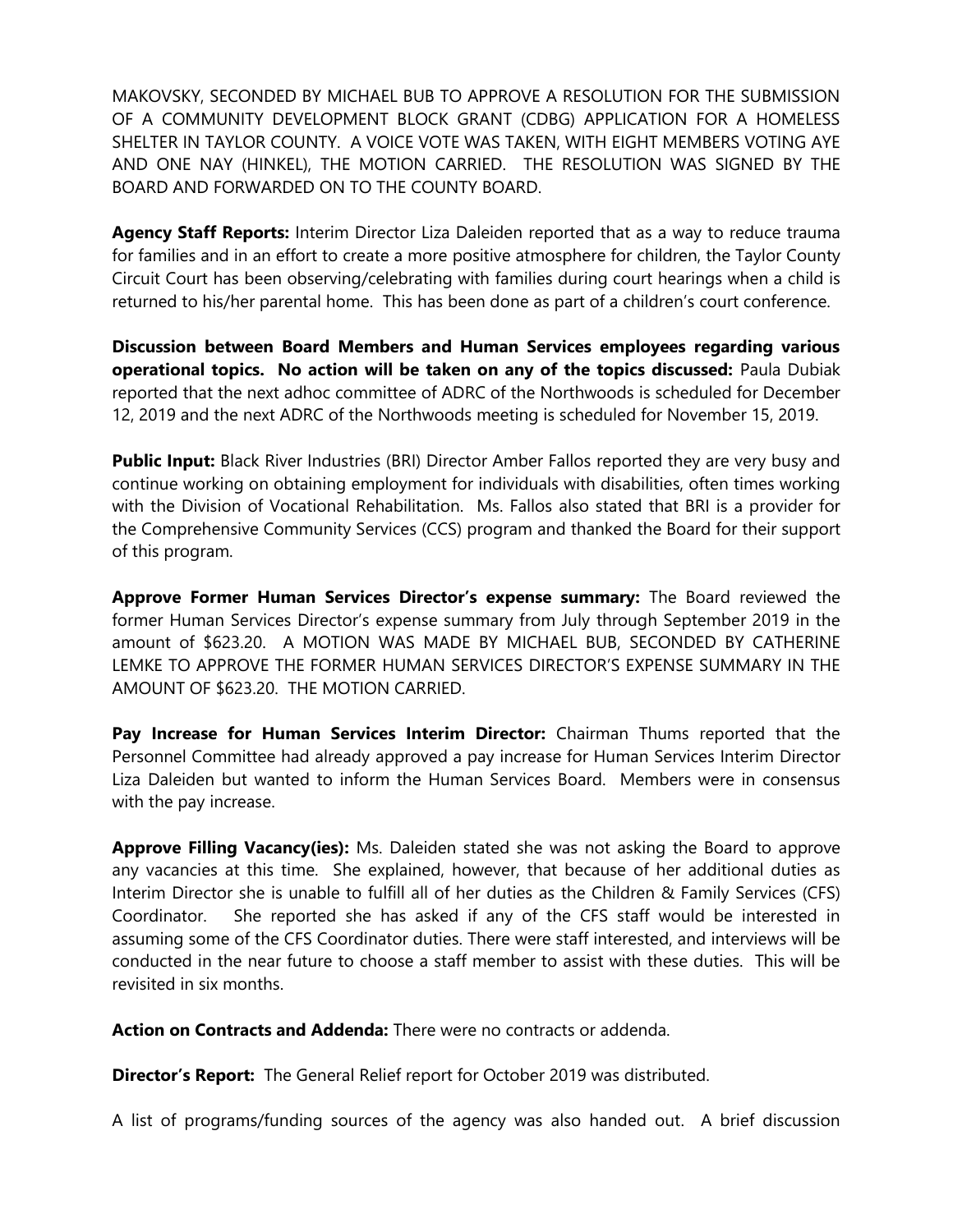MAKOVSKY, SECONDED BY MICHAEL BUB TO APPROVE A RESOLUTION FOR THE SUBMISSION OF A COMMUNITY DEVELOPMENT BLOCK GRANT (CDBG) APPLICATION FOR A HOMELESS SHELTER IN TAYLOR COUNTY. A VOICE VOTE WAS TAKEN, WITH EIGHT MEMBERS VOTING AYE AND ONE NAY (HINKEL), THE MOTION CARRIED. THE RESOLUTION WAS SIGNED BY THE BOARD AND FORWARDED ON TO THE COUNTY BOARD.

**Agency Staff Reports:** Interim Director Liza Daleiden reported that as a way to reduce trauma for families and in an effort to create a more positive atmosphere for children, the Taylor County Circuit Court has been observing/celebrating with families during court hearings when a child is returned to his/her parental home. This has been done as part of a children's court conference.

**Discussion between Board Members and Human Services employees regarding various operational topics. No action will be taken on any of the topics discussed:** Paula Dubiak reported that the next adhoc committee of ADRC of the Northwoods is scheduled for December 12, 2019 and the next ADRC of the Northwoods meeting is scheduled for November 15, 2019.

Public Input: Black River Industries (BRI) Director Amber Fallos reported they are very busy and continue working on obtaining employment for individuals with disabilities, often times working with the Division of Vocational Rehabilitation. Ms. Fallos also stated that BRI is a provider for the Comprehensive Community Services (CCS) program and thanked the Board for their support of this program.

**Approve Former Human Services Director's expense summary:** The Board reviewed the former Human Services Director's expense summary from July through September 2019 in the amount of \$623.20. A MOTION WAS MADE BY MICHAEL BUB, SECONDED BY CATHERINE LEMKE TO APPROVE THE FORMER HUMAN SERVICES DIRECTOR'S EXPENSE SUMMARY IN THE AMOUNT OF \$623.20. THE MOTION CARRIED.

**Pay Increase for Human Services Interim Director:** Chairman Thums reported that the Personnel Committee had already approved a pay increase for Human Services Interim Director Liza Daleiden but wanted to inform the Human Services Board. Members were in consensus with the pay increase.

**Approve Filling Vacancy(ies):** Ms. Daleiden stated she was not asking the Board to approve any vacancies at this time. She explained, however, that because of her additional duties as Interim Director she is unable to fulfill all of her duties as the Children & Family Services (CFS) Coordinator. She reported she has asked if any of the CFS staff would be interested in assuming some of the CFS Coordinator duties. There were staff interested, and interviews will be conducted in the near future to choose a staff member to assist with these duties. This will be revisited in six months.

**Action on Contracts and Addenda:** There were no contracts or addenda.

**Director's Report:** The General Relief report for October 2019 was distributed.

A list of programs/funding sources of the agency was also handed out. A brief discussion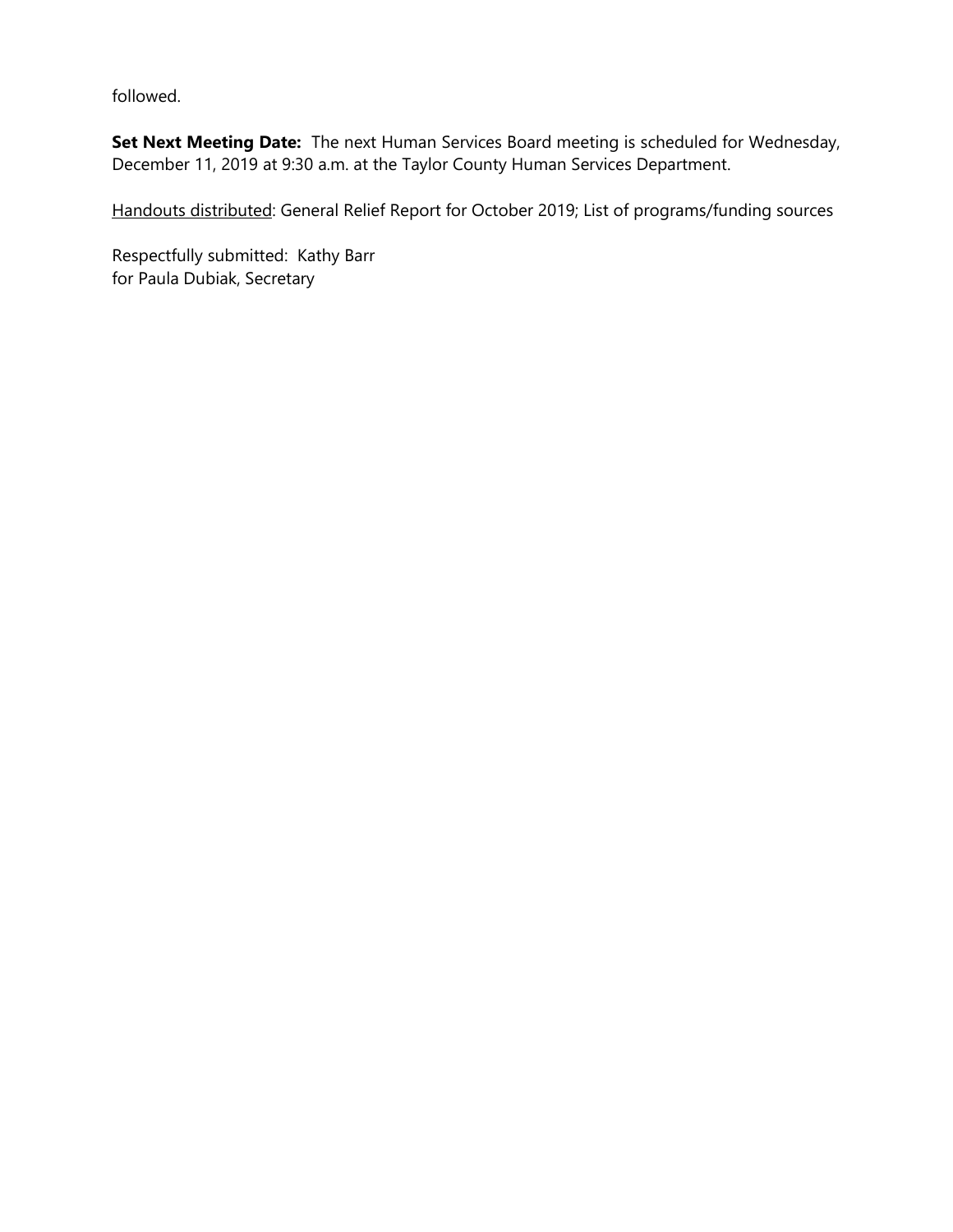followed.

**Set Next Meeting Date:** The next Human Services Board meeting is scheduled for Wednesday, December 11, 2019 at 9:30 a.m. at the Taylor County Human Services Department.

Handouts distributed: General Relief Report for October 2019; List of programs/funding sources

Respectfully submitted: Kathy Barr for Paula Dubiak, Secretary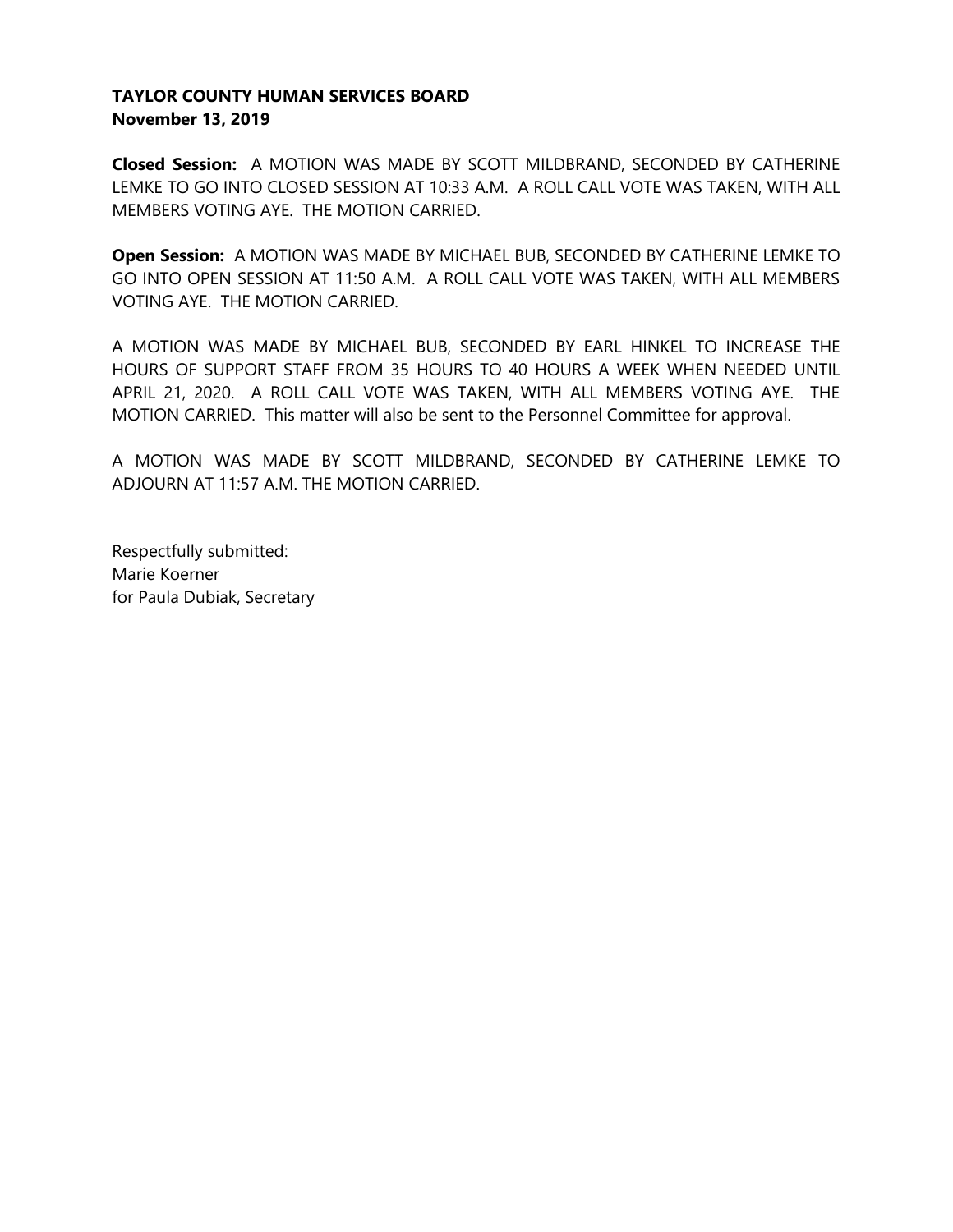# **TAYLOR COUNTY HUMAN SERVICES BOARD November 13, 2019**

**Closed Session:** A MOTION WAS MADE BY SCOTT MILDBRAND, SECONDED BY CATHERINE LEMKE TO GO INTO CLOSED SESSION AT 10:33 A.M. A ROLL CALL VOTE WAS TAKEN, WITH ALL MEMBERS VOTING AYE. THE MOTION CARRIED.

**Open Session:** A MOTION WAS MADE BY MICHAEL BUB, SECONDED BY CATHERINE LEMKE TO GO INTO OPEN SESSION AT 11:50 A.M. A ROLL CALL VOTE WAS TAKEN, WITH ALL MEMBERS VOTING AYE. THE MOTION CARRIED.

A MOTION WAS MADE BY MICHAEL BUB, SECONDED BY EARL HINKEL TO INCREASE THE HOURS OF SUPPORT STAFF FROM 35 HOURS TO 40 HOURS A WEEK WHEN NEEDED UNTIL APRIL 21, 2020. A ROLL CALL VOTE WAS TAKEN, WITH ALL MEMBERS VOTING AYE. THE MOTION CARRIED. This matter will also be sent to the Personnel Committee for approval.

A MOTION WAS MADE BY SCOTT MILDBRAND, SECONDED BY CATHERINE LEMKE TO ADJOURN AT 11:57 A.M. THE MOTION CARRIED.

Respectfully submitted: Marie Koerner for Paula Dubiak, Secretary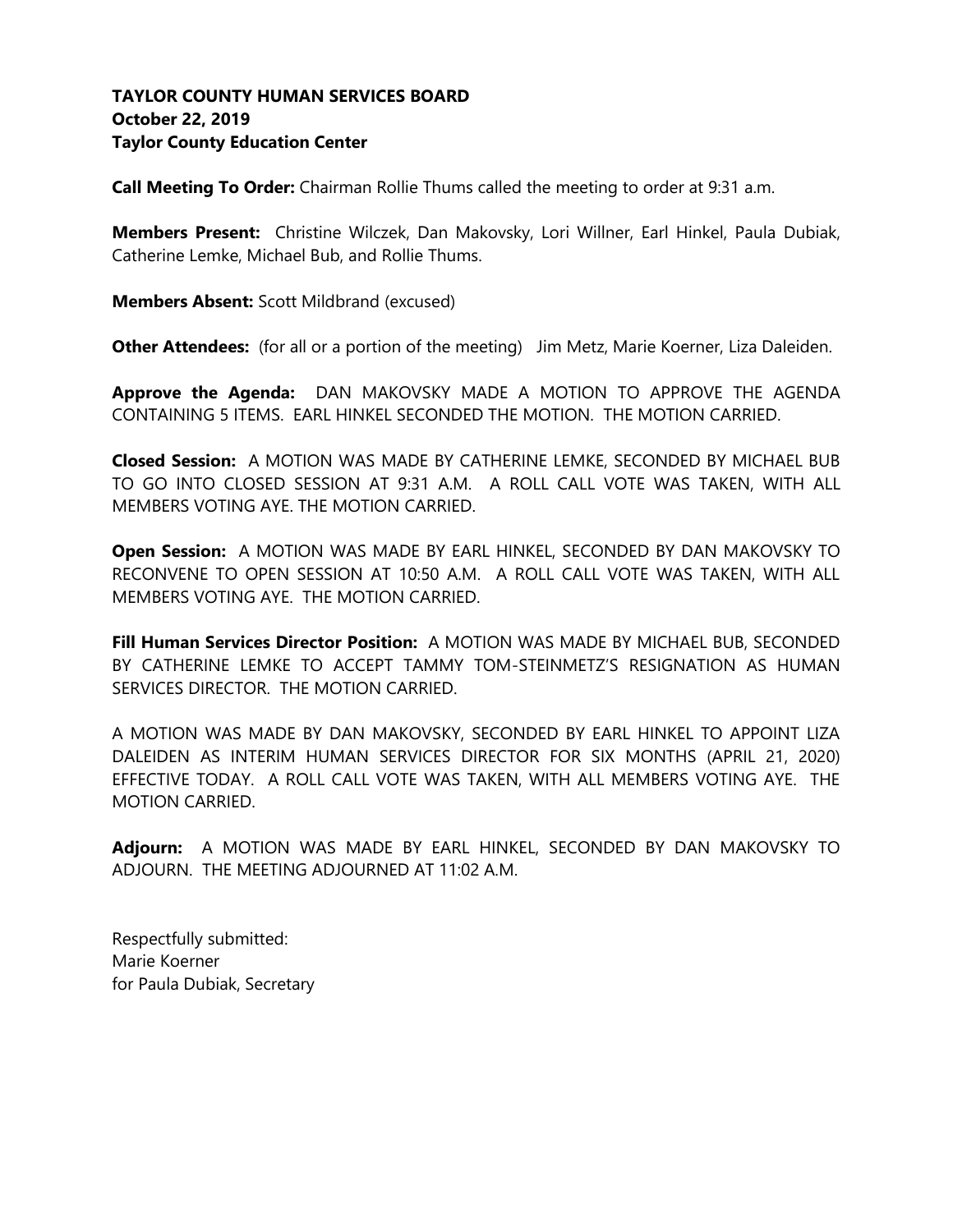# **TAYLOR COUNTY HUMAN SERVICES BOARD October 22, 2019 Taylor County Education Center**

**Call Meeting To Order:** Chairman Rollie Thums called the meeting to order at 9:31 a.m.

**Members Present:** Christine Wilczek, Dan Makovsky, Lori Willner, Earl Hinkel, Paula Dubiak, Catherine Lemke, Michael Bub, and Rollie Thums.

**Members Absent:** Scott Mildbrand (excused)

**Other Attendees:** (for all or a portion of the meeting) Jim Metz, Marie Koerner, Liza Daleiden.

**Approve the Agenda:** DAN MAKOVSKY MADE A MOTION TO APPROVE THE AGENDA CONTAINING 5 ITEMS. EARL HINKEL SECONDED THE MOTION. THE MOTION CARRIED.

**Closed Session:** A MOTION WAS MADE BY CATHERINE LEMKE, SECONDED BY MICHAEL BUB TO GO INTO CLOSED SESSION AT 9:31 A.M. A ROLL CALL VOTE WAS TAKEN, WITH ALL MEMBERS VOTING AYE. THE MOTION CARRIED.

**Open Session:** A MOTION WAS MADE BY EARL HINKEL, SECONDED BY DAN MAKOVSKY TO RECONVENE TO OPEN SESSION AT 10:50 A.M. A ROLL CALL VOTE WAS TAKEN, WITH ALL MEMBERS VOTING AYE. THE MOTION CARRIED.

**Fill Human Services Director Position:** A MOTION WAS MADE BY MICHAEL BUB, SECONDED BY CATHERINE LEMKE TO ACCEPT TAMMY TOM-STEINMETZ'S RESIGNATION AS HUMAN SERVICES DIRECTOR. THE MOTION CARRIED.

A MOTION WAS MADE BY DAN MAKOVSKY, SECONDED BY EARL HINKEL TO APPOINT LIZA DALEIDEN AS INTERIM HUMAN SERVICES DIRECTOR FOR SIX MONTHS (APRIL 21, 2020) EFFECTIVE TODAY. A ROLL CALL VOTE WAS TAKEN, WITH ALL MEMBERS VOTING AYE. THE MOTION CARRIED.

**Adjourn:** A MOTION WAS MADE BY EARL HINKEL, SECONDED BY DAN MAKOVSKY TO ADJOURN. THE MEETING ADJOURNED AT 11:02 A.M.

Respectfully submitted: Marie Koerner for Paula Dubiak, Secretary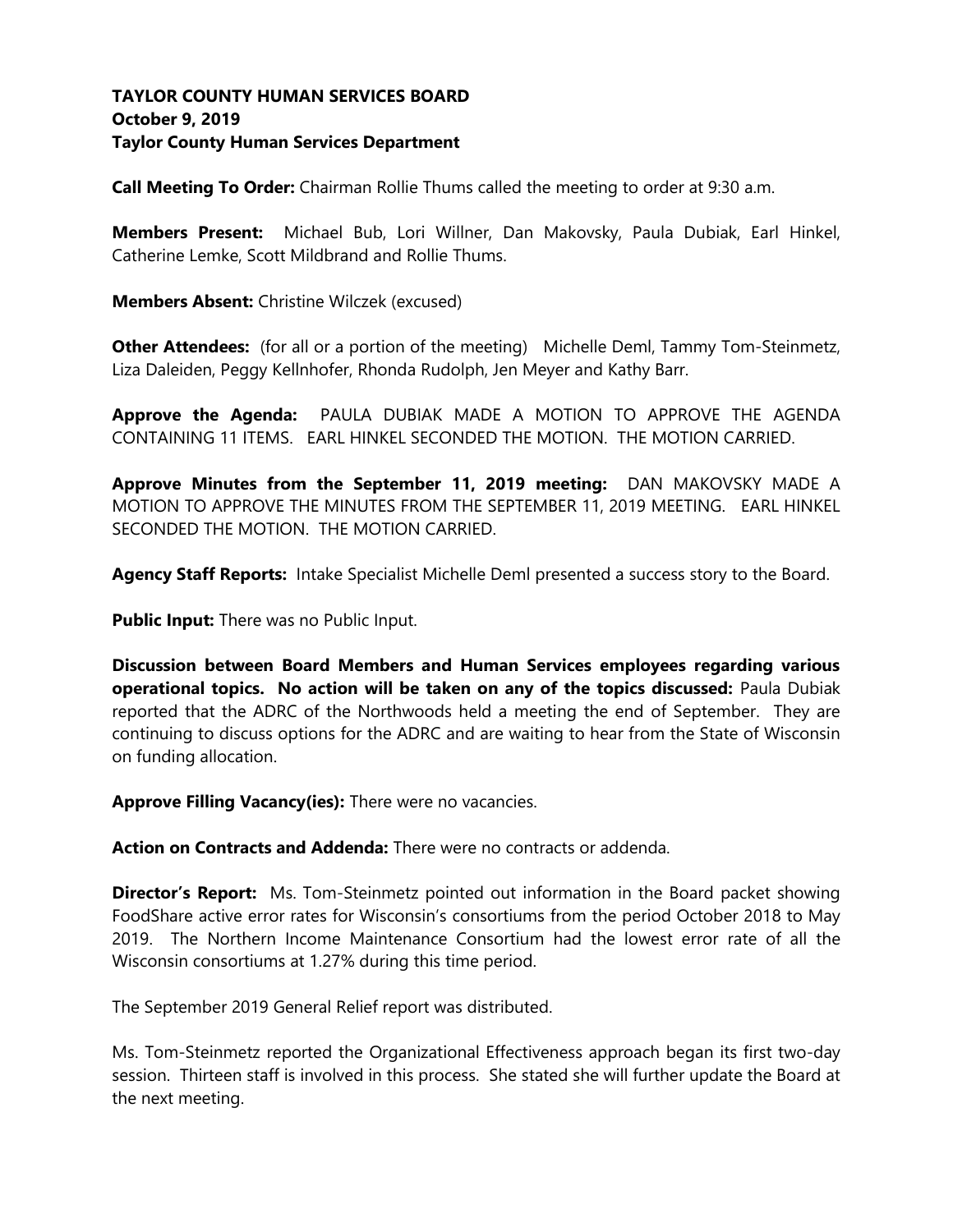# **TAYLOR COUNTY HUMAN SERVICES BOARD October 9, 2019 Taylor County Human Services Department**

**Call Meeting To Order:** Chairman Rollie Thums called the meeting to order at 9:30 a.m.

**Members Present:** Michael Bub, Lori Willner, Dan Makovsky, Paula Dubiak, Earl Hinkel, Catherine Lemke, Scott Mildbrand and Rollie Thums.

**Members Absent:** Christine Wilczek (excused)

**Other Attendees:** (for all or a portion of the meeting) Michelle Deml, Tammy Tom-Steinmetz, Liza Daleiden, Peggy Kellnhofer, Rhonda Rudolph, Jen Meyer and Kathy Barr.

**Approve the Agenda:** PAULA DUBIAK MADE A MOTION TO APPROVE THE AGENDA CONTAINING 11 ITEMS. EARL HINKEL SECONDED THE MOTION. THE MOTION CARRIED.

**Approve Minutes from the September 11, 2019 meeting:** DAN MAKOVSKY MADE A MOTION TO APPROVE THE MINUTES FROM THE SEPTEMBER 11, 2019 MEETING. EARL HINKEL SECONDED THE MOTION. THE MOTION CARRIED.

**Agency Staff Reports:** Intake Specialist Michelle Deml presented a success story to the Board.

**Public Input:** There was no Public Input.

**Discussion between Board Members and Human Services employees regarding various operational topics. No action will be taken on any of the topics discussed:** Paula Dubiak reported that the ADRC of the Northwoods held a meeting the end of September. They are continuing to discuss options for the ADRC and are waiting to hear from the State of Wisconsin on funding allocation.

**Approve Filling Vacancy(ies):** There were no vacancies.

**Action on Contracts and Addenda:** There were no contracts or addenda.

**Director's Report:** Ms. Tom-Steinmetz pointed out information in the Board packet showing FoodShare active error rates for Wisconsin's consortiums from the period October 2018 to May 2019. The Northern Income Maintenance Consortium had the lowest error rate of all the Wisconsin consortiums at 1.27% during this time period.

The September 2019 General Relief report was distributed.

Ms. Tom-Steinmetz reported the Organizational Effectiveness approach began its first two-day session. Thirteen staff is involved in this process. She stated she will further update the Board at the next meeting.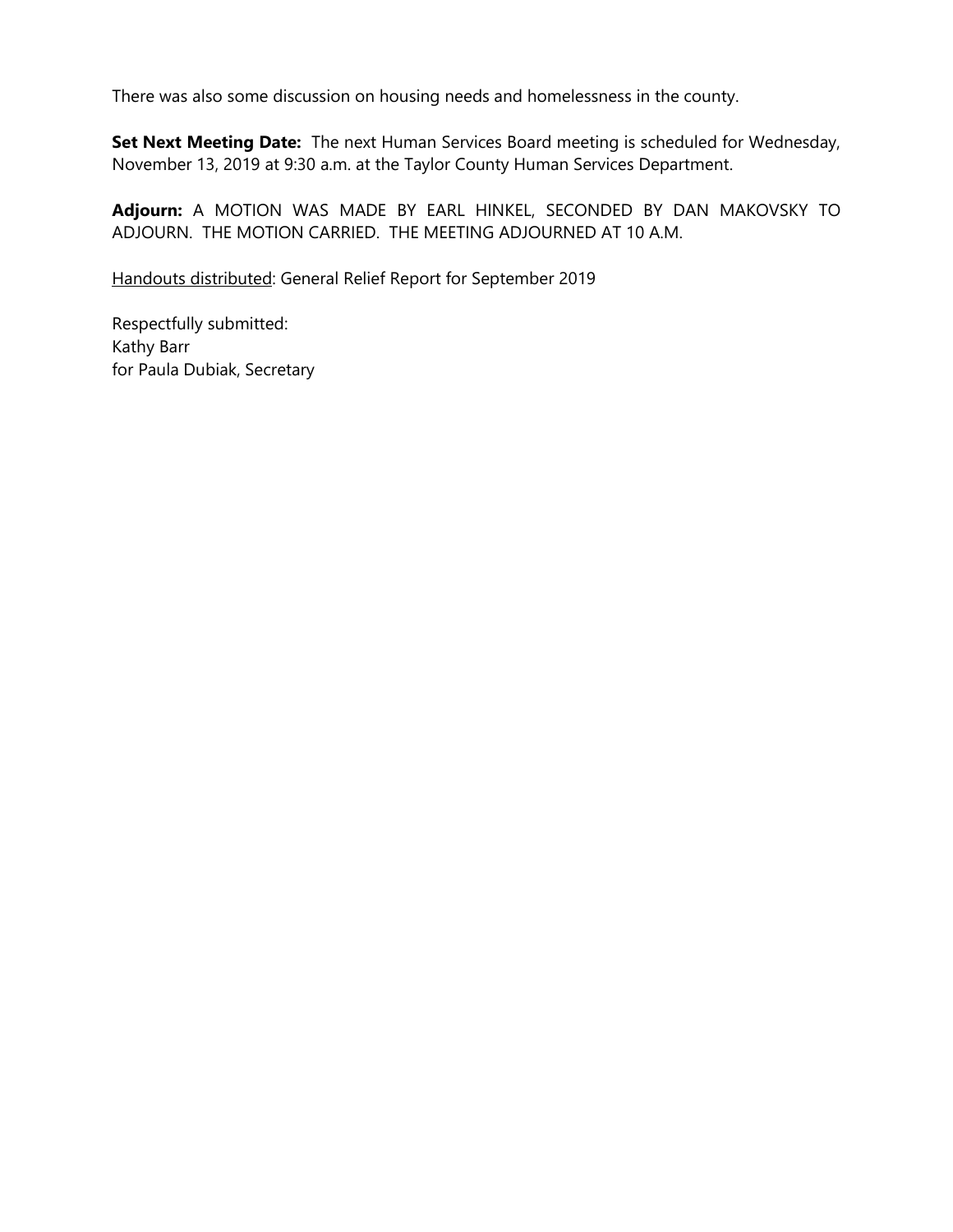There was also some discussion on housing needs and homelessness in the county.

**Set Next Meeting Date:** The next Human Services Board meeting is scheduled for Wednesday, November 13, 2019 at 9:30 a.m. at the Taylor County Human Services Department.

**Adjourn:** A MOTION WAS MADE BY EARL HINKEL, SECONDED BY DAN MAKOVSKY TO ADJOURN. THE MOTION CARRIED. THE MEETING ADJOURNED AT 10 A.M.

Handouts distributed: General Relief Report for September 2019

Respectfully submitted: Kathy Barr for Paula Dubiak, Secretary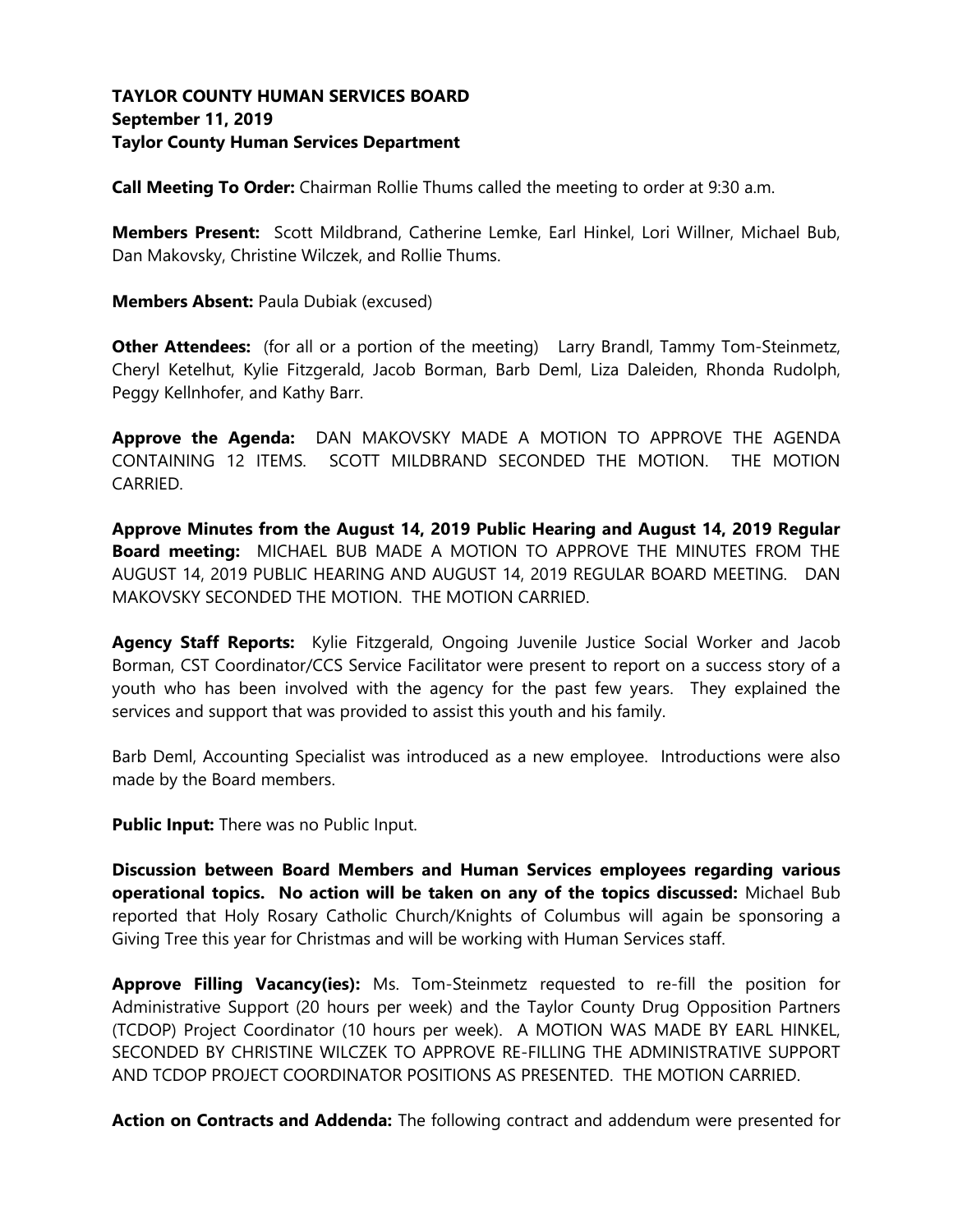## **TAYLOR COUNTY HUMAN SERVICES BOARD September 11, 2019 Taylor County Human Services Department**

**Call Meeting To Order:** Chairman Rollie Thums called the meeting to order at 9:30 a.m.

**Members Present:** Scott Mildbrand, Catherine Lemke, Earl Hinkel, Lori Willner, Michael Bub, Dan Makovsky, Christine Wilczek, and Rollie Thums.

**Members Absent:** Paula Dubiak (excused)

**Other Attendees:** (for all or a portion of the meeting) Larry Brandl, Tammy Tom-Steinmetz, Cheryl Ketelhut, Kylie Fitzgerald, Jacob Borman, Barb Deml, Liza Daleiden, Rhonda Rudolph, Peggy Kellnhofer, and Kathy Barr.

**Approve the Agenda:** DAN MAKOVSKY MADE A MOTION TO APPROVE THE AGENDA CONTAINING 12 ITEMS. SCOTT MILDBRAND SECONDED THE MOTION. THE MOTION CARRIED.

**Approve Minutes from the August 14, 2019 Public Hearing and August 14, 2019 Regular Board meeting:** MICHAEL BUB MADE A MOTION TO APPROVE THE MINUTES FROM THE AUGUST 14, 2019 PUBLIC HEARING AND AUGUST 14, 2019 REGULAR BOARD MEETING. DAN MAKOVSKY SECONDED THE MOTION. THE MOTION CARRIED.

**Agency Staff Reports:** Kylie Fitzgerald, Ongoing Juvenile Justice Social Worker and Jacob Borman, CST Coordinator/CCS Service Facilitator were present to report on a success story of a youth who has been involved with the agency for the past few years. They explained the services and support that was provided to assist this youth and his family.

Barb Deml, Accounting Specialist was introduced as a new employee. Introductions were also made by the Board members.

**Public Input:** There was no Public Input.

**Discussion between Board Members and Human Services employees regarding various operational topics. No action will be taken on any of the topics discussed:** Michael Bub reported that Holy Rosary Catholic Church/Knights of Columbus will again be sponsoring a Giving Tree this year for Christmas and will be working with Human Services staff.

**Approve Filling Vacancy(ies):** Ms. Tom-Steinmetz requested to re-fill the position for Administrative Support (20 hours per week) and the Taylor County Drug Opposition Partners (TCDOP) Project Coordinator (10 hours per week). A MOTION WAS MADE BY EARL HINKEL, SECONDED BY CHRISTINE WILCZEK TO APPROVE RE-FILLING THE ADMINISTRATIVE SUPPORT AND TCDOP PROJECT COORDINATOR POSITIONS AS PRESENTED. THE MOTION CARRIED.

**Action on Contracts and Addenda:** The following contract and addendum were presented for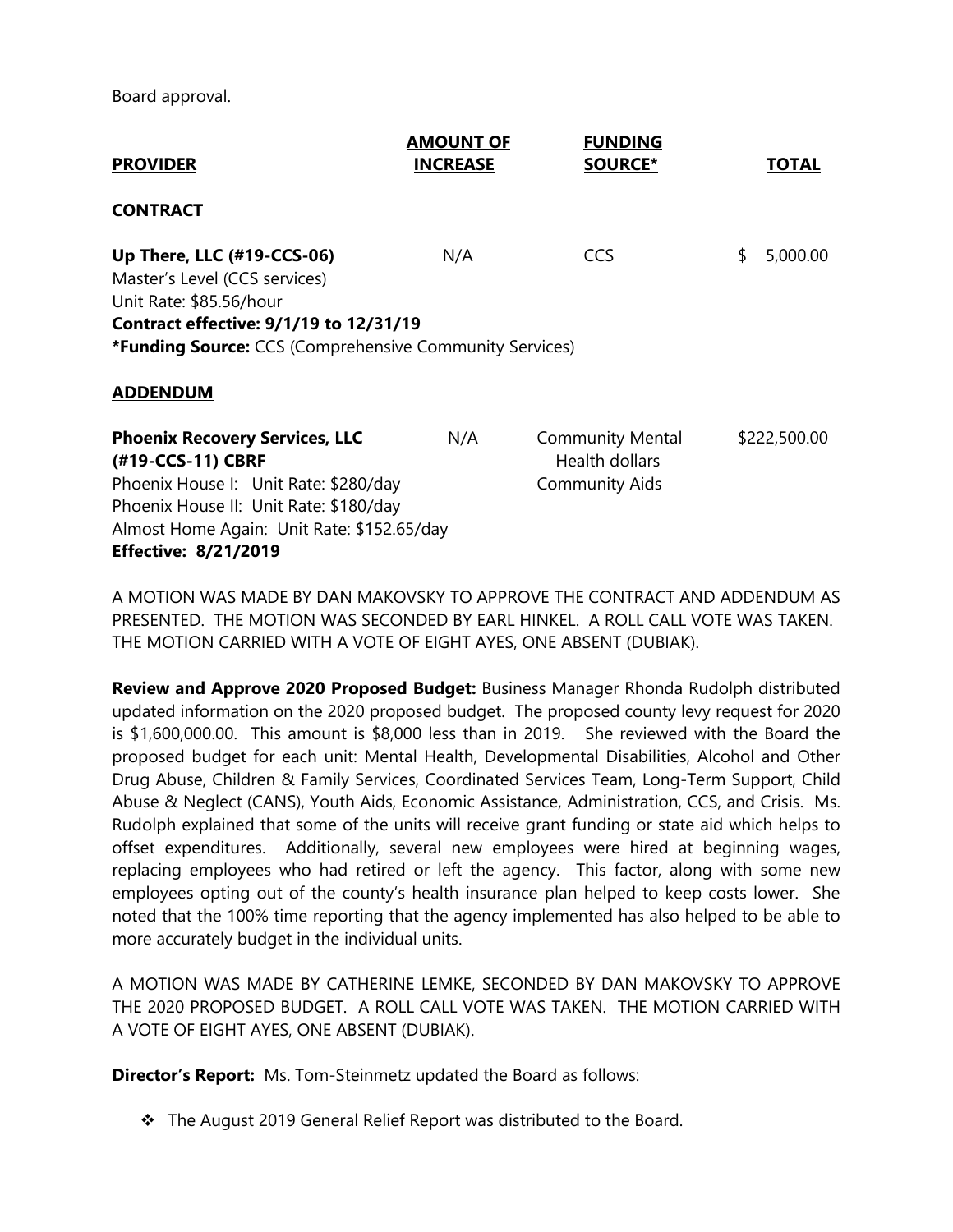Board approval.

| <b>PROVIDER</b>                                                                                                                                                                                                | <b>AMOUNT OF</b><br><b>INCREASE</b> | <b>FUNDING</b><br><b>SOURCE*</b>                                   | TOTAL          |
|----------------------------------------------------------------------------------------------------------------------------------------------------------------------------------------------------------------|-------------------------------------|--------------------------------------------------------------------|----------------|
| <b>CONTRACT</b>                                                                                                                                                                                                |                                     |                                                                    |                |
| Up There, LLC (#19-CCS-06)<br>Master's Level (CCS services)<br>Unit Rate: \$85.56/hour<br>Contract effective: 9/1/19 to 12/31/19<br>*Funding Source: CCS (Comprehensive Community Services)<br><b>ADDENDUM</b> | N/A                                 | <b>CCS</b>                                                         | \$<br>5,000.00 |
| <b>Phoenix Recovery Services, LLC</b><br>(#19-CCS-11) CBRF<br>Phoenix House I: Unit Rate: \$280/day<br>Phoenix House II: Unit Rate: \$180/day                                                                  | N/A                                 | <b>Community Mental</b><br>Health dollars<br><b>Community Aids</b> | \$222,500.00   |
| Almost Home Again: Unit Rate: \$152.65/day<br><b>Effective: 8/21/2019</b>                                                                                                                                      |                                     |                                                                    |                |

A MOTION WAS MADE BY DAN MAKOVSKY TO APPROVE THE CONTRACT AND ADDENDUM AS PRESENTED. THE MOTION WAS SECONDED BY EARL HINKEL. A ROLL CALL VOTE WAS TAKEN. THE MOTION CARRIED WITH A VOTE OF EIGHT AYES, ONE ABSENT (DUBIAK).

**Review and Approve 2020 Proposed Budget:** Business Manager Rhonda Rudolph distributed updated information on the 2020 proposed budget. The proposed county levy request for 2020 is \$1,600,000.00. This amount is \$8,000 less than in 2019. She reviewed with the Board the proposed budget for each unit: Mental Health, Developmental Disabilities, Alcohol and Other Drug Abuse, Children & Family Services, Coordinated Services Team, Long-Term Support, Child Abuse & Neglect (CANS), Youth Aids, Economic Assistance, Administration, CCS, and Crisis. Ms. Rudolph explained that some of the units will receive grant funding or state aid which helps to offset expenditures. Additionally, several new employees were hired at beginning wages, replacing employees who had retired or left the agency. This factor, along with some new employees opting out of the county's health insurance plan helped to keep costs lower. She noted that the 100% time reporting that the agency implemented has also helped to be able to more accurately budget in the individual units.

A MOTION WAS MADE BY CATHERINE LEMKE, SECONDED BY DAN MAKOVSKY TO APPROVE THE 2020 PROPOSED BUDGET. A ROLL CALL VOTE WAS TAKEN. THE MOTION CARRIED WITH A VOTE OF EIGHT AYES, ONE ABSENT (DUBIAK).

**Director's Report:** Ms. Tom-Steinmetz updated the Board as follows:

❖ The August 2019 General Relief Report was distributed to the Board.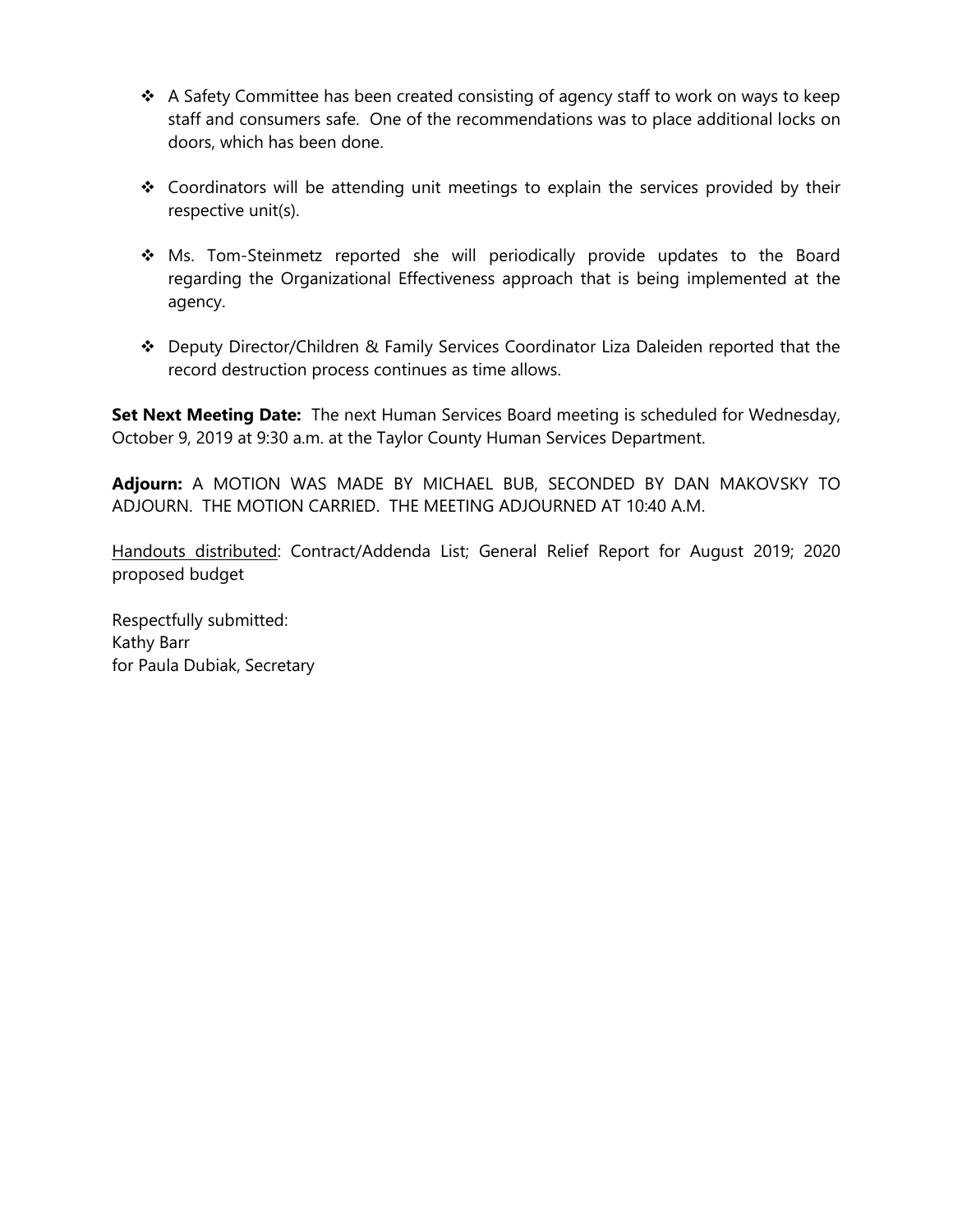- $\div$  A Safety Committee has been created consisting of agency staff to work on ways to keep staff and consumers safe. One of the recommendations was to place additional locks on doors, which has been done.
- ❖ Coordinators will be attending unit meetings to explain the services provided by their respective unit(s).
- ❖ Ms. Tom-Steinmetz reported she will periodically provide updates to the Board regarding the Organizational Effectiveness approach that is being implemented at the agency.
- ❖ Deputy Director/Children & Family Services Coordinator Liza Daleiden reported that the record destruction process continues as time allows.

**Set Next Meeting Date:** The next Human Services Board meeting is scheduled for Wednesday, October 9, 2019 at 9:30 a.m. at the Taylor County Human Services Department.

**Adjourn:** A MOTION WAS MADE BY MICHAEL BUB, SECONDED BY DAN MAKOVSKY TO ADJOURN. THE MOTION CARRIED. THE MEETING ADJOURNED AT 10:40 A.M.

Handouts distributed: Contract/Addenda List; General Relief Report for August 2019; 2020 proposed budget

Respectfully submitted: Kathy Barr for Paula Dubiak, Secretary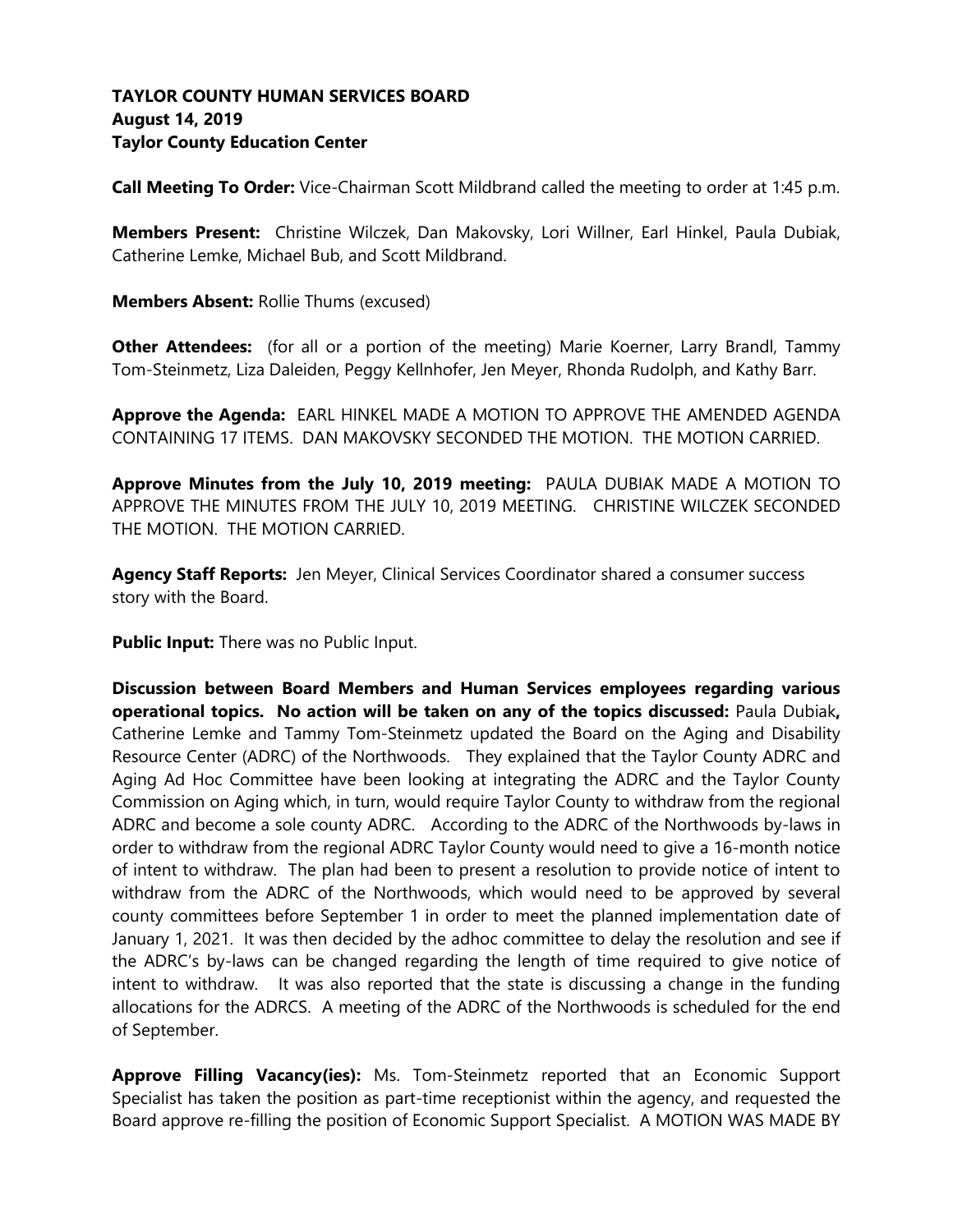# **TAYLOR COUNTY HUMAN SERVICES BOARD August 14, 2019 Taylor County Education Center**

**Call Meeting To Order:** Vice-Chairman Scott Mildbrand called the meeting to order at 1:45 p.m.

**Members Present:** Christine Wilczek, Dan Makovsky, Lori Willner, Earl Hinkel, Paula Dubiak, Catherine Lemke, Michael Bub, and Scott Mildbrand.

**Members Absent:** Rollie Thums (excused)

**Other Attendees:** (for all or a portion of the meeting) Marie Koerner, Larry Brandl, Tammy Tom-Steinmetz, Liza Daleiden, Peggy Kellnhofer, Jen Meyer, Rhonda Rudolph, and Kathy Barr.

**Approve the Agenda:** EARL HINKEL MADE A MOTION TO APPROVE THE AMENDED AGENDA CONTAINING 17 ITEMS. DAN MAKOVSKY SECONDED THE MOTION. THE MOTION CARRIED.

**Approve Minutes from the July 10, 2019 meeting:** PAULA DUBIAK MADE A MOTION TO APPROVE THE MINUTES FROM THE JULY 10, 2019 MEETING. CHRISTINE WILCZEK SECONDED THE MOTION. THE MOTION CARRIED.

**Agency Staff Reports:** Jen Meyer, Clinical Services Coordinator shared a consumer success story with the Board.

**Public Input:** There was no Public Input.

**Discussion between Board Members and Human Services employees regarding various operational topics. No action will be taken on any of the topics discussed:** Paula Dubiak**,**  Catherine Lemke and Tammy Tom-Steinmetz updated the Board on the Aging and Disability Resource Center (ADRC) of the Northwoods. They explained that the Taylor County ADRC and Aging Ad Hoc Committee have been looking at integrating the ADRC and the Taylor County Commission on Aging which, in turn, would require Taylor County to withdraw from the regional ADRC and become a sole county ADRC. According to the ADRC of the Northwoods by-laws in order to withdraw from the regional ADRC Taylor County would need to give a 16-month notice of intent to withdraw. The plan had been to present a resolution to provide notice of intent to withdraw from the ADRC of the Northwoods, which would need to be approved by several county committees before September 1 in order to meet the planned implementation date of January 1, 2021. It was then decided by the adhoc committee to delay the resolution and see if the ADRC's by-laws can be changed regarding the length of time required to give notice of intent to withdraw. It was also reported that the state is discussing a change in the funding allocations for the ADRCS. A meeting of the ADRC of the Northwoods is scheduled for the end of September.

**Approve Filling Vacancy(ies):** Ms. Tom-Steinmetz reported that an Economic Support Specialist has taken the position as part-time receptionist within the agency, and requested the Board approve re-filling the position of Economic Support Specialist. A MOTION WAS MADE BY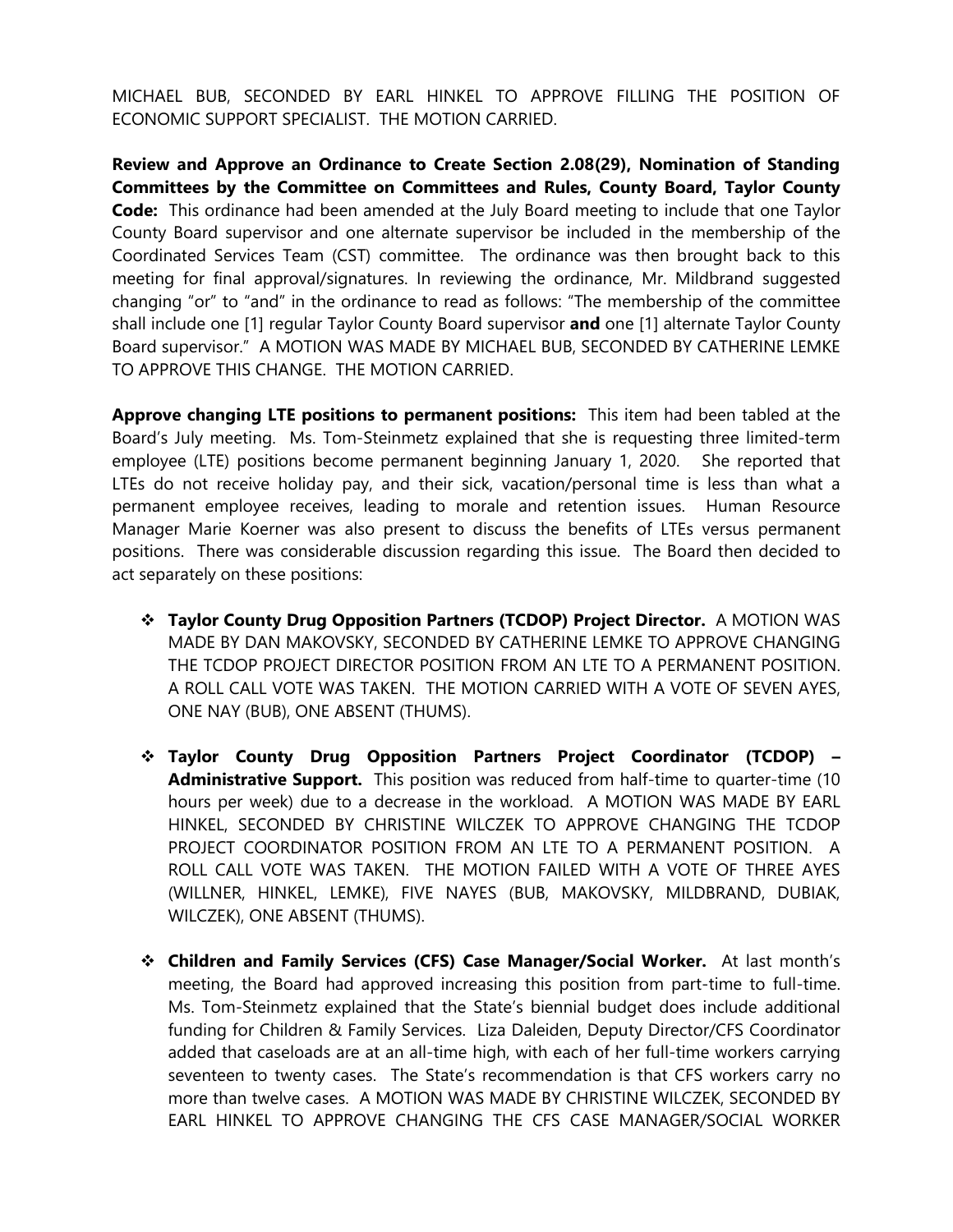MICHAEL BUB, SECONDED BY EARL HINKEL TO APPROVE FILLING THE POSITION OF ECONOMIC SUPPORT SPECIALIST. THE MOTION CARRIED.

**Review and Approve an Ordinance to Create Section 2.08(29), Nomination of Standing Committees by the Committee on Committees and Rules, County Board, Taylor County Code:** This ordinance had been amended at the July Board meeting to include that one Taylor County Board supervisor and one alternate supervisor be included in the membership of the Coordinated Services Team (CST) committee. The ordinance was then brought back to this meeting for final approval/signatures. In reviewing the ordinance, Mr. Mildbrand suggested changing "or" to "and" in the ordinance to read as follows: "The membership of the committee shall include one [1] regular Taylor County Board supervisor **and** one [1] alternate Taylor County Board supervisor." A MOTION WAS MADE BY MICHAEL BUB, SECONDED BY CATHERINE LEMKE TO APPROVE THIS CHANGE. THE MOTION CARRIED.

**Approve changing LTE positions to permanent positions:** This item had been tabled at the Board's July meeting. Ms. Tom-Steinmetz explained that she is requesting three limited-term employee (LTE) positions become permanent beginning January 1, 2020. She reported that LTEs do not receive holiday pay, and their sick, vacation/personal time is less than what a permanent employee receives, leading to morale and retention issues. Human Resource Manager Marie Koerner was also present to discuss the benefits of LTEs versus permanent positions. There was considerable discussion regarding this issue. The Board then decided to act separately on these positions:

- ❖ **Taylor County Drug Opposition Partners (TCDOP) Project Director.** A MOTION WAS MADE BY DAN MAKOVSKY, SECONDED BY CATHERINE LEMKE TO APPROVE CHANGING THE TCDOP PROJECT DIRECTOR POSITION FROM AN LTE TO A PERMANENT POSITION. A ROLL CALL VOTE WAS TAKEN. THE MOTION CARRIED WITH A VOTE OF SEVEN AYES, ONE NAY (BUB), ONE ABSENT (THUMS).
- ❖ **Taylor County Drug Opposition Partners Project Coordinator (TCDOP) – Administrative Support.** This position was reduced from half-time to quarter-time (10 hours per week) due to a decrease in the workload. A MOTION WAS MADE BY EARL HINKEL, SECONDED BY CHRISTINE WILCZEK TO APPROVE CHANGING THE TCDOP PROJECT COORDINATOR POSITION FROM AN LTE TO A PERMANENT POSITION. A ROLL CALL VOTE WAS TAKEN. THE MOTION FAILED WITH A VOTE OF THREE AYES (WILLNER, HINKEL, LEMKE), FIVE NAYES (BUB, MAKOVSKY, MILDBRAND, DUBIAK, WILCZEK), ONE ABSENT (THUMS).
- ❖ **Children and Family Services (CFS) Case Manager/Social Worker.** At last month's meeting, the Board had approved increasing this position from part-time to full-time. Ms. Tom-Steinmetz explained that the State's biennial budget does include additional funding for Children & Family Services. Liza Daleiden, Deputy Director/CFS Coordinator added that caseloads are at an all-time high, with each of her full-time workers carrying seventeen to twenty cases. The State's recommendation is that CFS workers carry no more than twelve cases. A MOTION WAS MADE BY CHRISTINE WILCZEK, SECONDED BY EARL HINKEL TO APPROVE CHANGING THE CFS CASE MANAGER/SOCIAL WORKER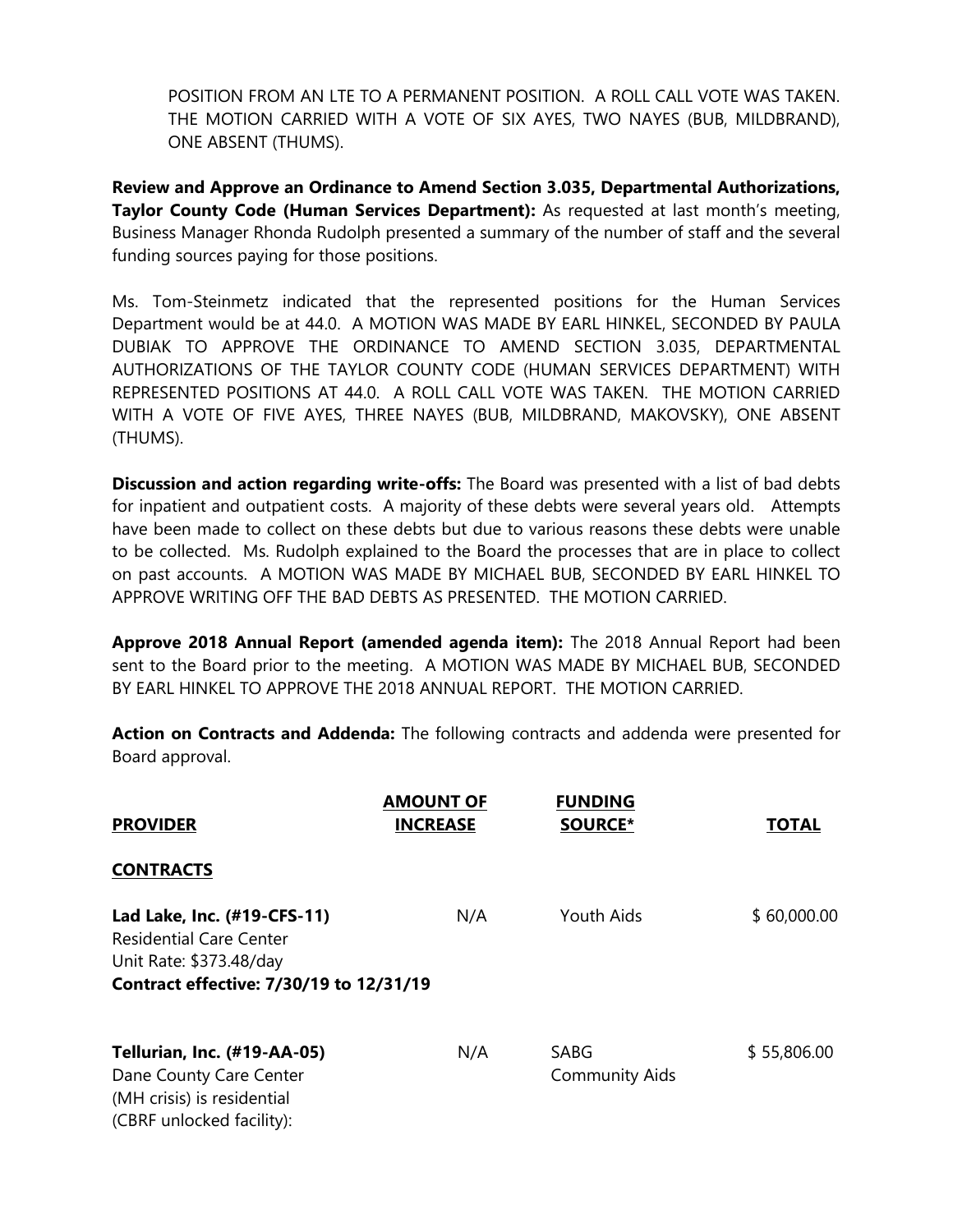POSITION FROM AN LTE TO A PERMANENT POSITION. A ROLL CALL VOTE WAS TAKEN. THE MOTION CARRIED WITH A VOTE OF SIX AYES, TWO NAYES (BUB, MILDBRAND), ONE ABSENT (THUMS).

**Review and Approve an Ordinance to Amend Section 3.035, Departmental Authorizations, Taylor County Code (Human Services Department):** As requested at last month's meeting, Business Manager Rhonda Rudolph presented a summary of the number of staff and the several funding sources paying for those positions.

Ms. Tom-Steinmetz indicated that the represented positions for the Human Services Department would be at 44.0. A MOTION WAS MADE BY EARL HINKEL, SECONDED BY PAULA DUBIAK TO APPROVE THE ORDINANCE TO AMEND SECTION 3.035, DEPARTMENTAL AUTHORIZATIONS OF THE TAYLOR COUNTY CODE (HUMAN SERVICES DEPARTMENT) WITH REPRESENTED POSITIONS AT 44.0. A ROLL CALL VOTE WAS TAKEN. THE MOTION CARRIED WITH A VOTE OF FIVE AYES, THREE NAYES (BUB, MILDBRAND, MAKOVSKY), ONE ABSENT (THUMS).

**Discussion and action regarding write-offs:** The Board was presented with a list of bad debts for inpatient and outpatient costs. A majority of these debts were several years old. Attempts have been made to collect on these debts but due to various reasons these debts were unable to be collected. Ms. Rudolph explained to the Board the processes that are in place to collect on past accounts. A MOTION WAS MADE BY MICHAEL BUB, SECONDED BY EARL HINKEL TO APPROVE WRITING OFF THE BAD DEBTS AS PRESENTED. THE MOTION CARRIED.

**Approve 2018 Annual Report (amended agenda item):** The 2018 Annual Report had been sent to the Board prior to the meeting. A MOTION WAS MADE BY MICHAEL BUB, SECONDED BY EARL HINKEL TO APPROVE THE 2018 ANNUAL REPORT. THE MOTION CARRIED.

**Action on Contracts and Addenda:** The following contracts and addenda were presented for Board approval.

| <b>PROVIDER</b>                                                                                                                     | <b>AMOUNT OF</b><br><b>INCREASE</b> | <b>FUNDING</b><br><b>SOURCE*</b> | <b>TOTAL</b> |
|-------------------------------------------------------------------------------------------------------------------------------------|-------------------------------------|----------------------------------|--------------|
| <b>CONTRACTS</b>                                                                                                                    |                                     |                                  |              |
| Lad Lake, Inc. (#19-CFS-11)<br><b>Residential Care Center</b><br>Unit Rate: \$373.48/day<br>Contract effective: 7/30/19 to 12/31/19 | N/A                                 | Youth Aids                       | \$60,000.00  |
| Tellurian, Inc. (#19-AA-05)<br>Dane County Care Center<br>(MH crisis) is residential<br>(CBRF unlocked facility):                   | N/A                                 | SABG<br><b>Community Aids</b>    | \$55,806.00  |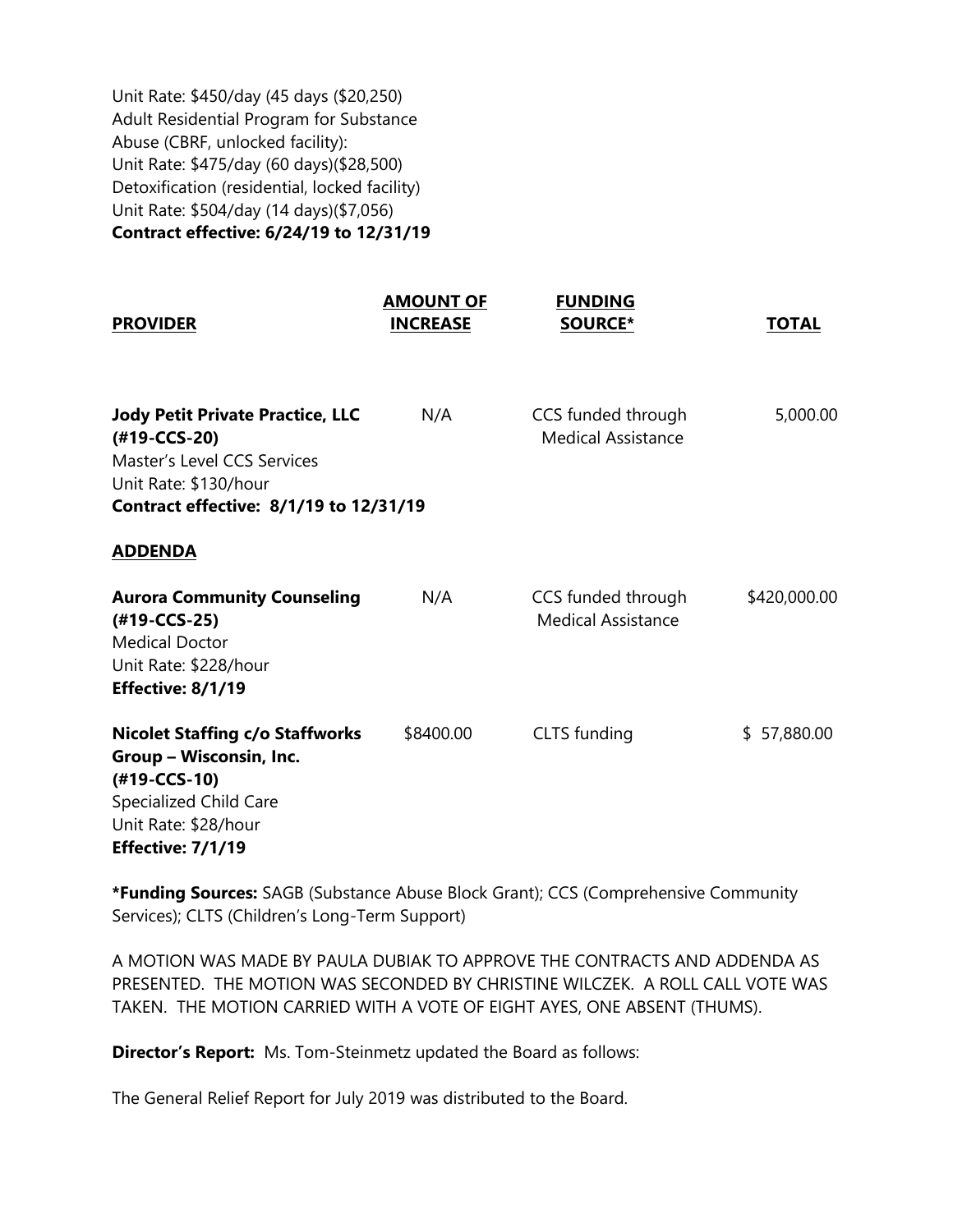Unit Rate: \$450/day (45 days (\$20,250) Adult Residential Program for Substance Abuse (CBRF, unlocked facility): Unit Rate: \$475/day (60 days)(\$28,500) Detoxification (residential, locked facility) Unit Rate: \$504/day (14 days)(\$7,056) **Contract effective: 6/24/19 to 12/31/19**

| <b>PROVIDER</b>                                                                                                                                           | <b>AMOUNT OF</b><br><b>INCREASE</b> | <b>FUNDING</b><br><b>SOURCE*</b>                | <b>TOTAL</b> |
|-----------------------------------------------------------------------------------------------------------------------------------------------------------|-------------------------------------|-------------------------------------------------|--------------|
| <b>Jody Petit Private Practice, LLC</b><br>(#19-CCS-20)<br>Master's Level CCS Services<br>Unit Rate: \$130/hour<br>Contract effective: 8/1/19 to 12/31/19 | N/A                                 | CCS funded through<br><b>Medical Assistance</b> | 5,000.00     |
| <b>ADDENDA</b>                                                                                                                                            |                                     |                                                 |              |
| <b>Aurora Community Counseling</b><br>(#19-CCS-25)<br><b>Medical Doctor</b><br>Unit Rate: \$228/hour<br>Effective: 8/1/19                                 | N/A                                 | CCS funded through<br><b>Medical Assistance</b> | \$420,000.00 |
| <b>Nicolet Staffing c/o Staffworks</b><br>Group - Wisconsin, Inc.<br>(#19-CCS-10)<br>Specialized Child Care<br>Unit Rate: \$28/hour<br>Effective: 7/1/19  | \$8400.00                           | CLTS funding                                    | \$57,880.00  |

**\*Funding Sources:** SAGB (Substance Abuse Block Grant); CCS (Comprehensive Community Services); CLTS (Children's Long-Term Support)

A MOTION WAS MADE BY PAULA DUBIAK TO APPROVE THE CONTRACTS AND ADDENDA AS PRESENTED. THE MOTION WAS SECONDED BY CHRISTINE WILCZEK. A ROLL CALL VOTE WAS TAKEN. THE MOTION CARRIED WITH A VOTE OF EIGHT AYES, ONE ABSENT (THUMS).

**Director's Report:** Ms. Tom-Steinmetz updated the Board as follows:

The General Relief Report for July 2019 was distributed to the Board.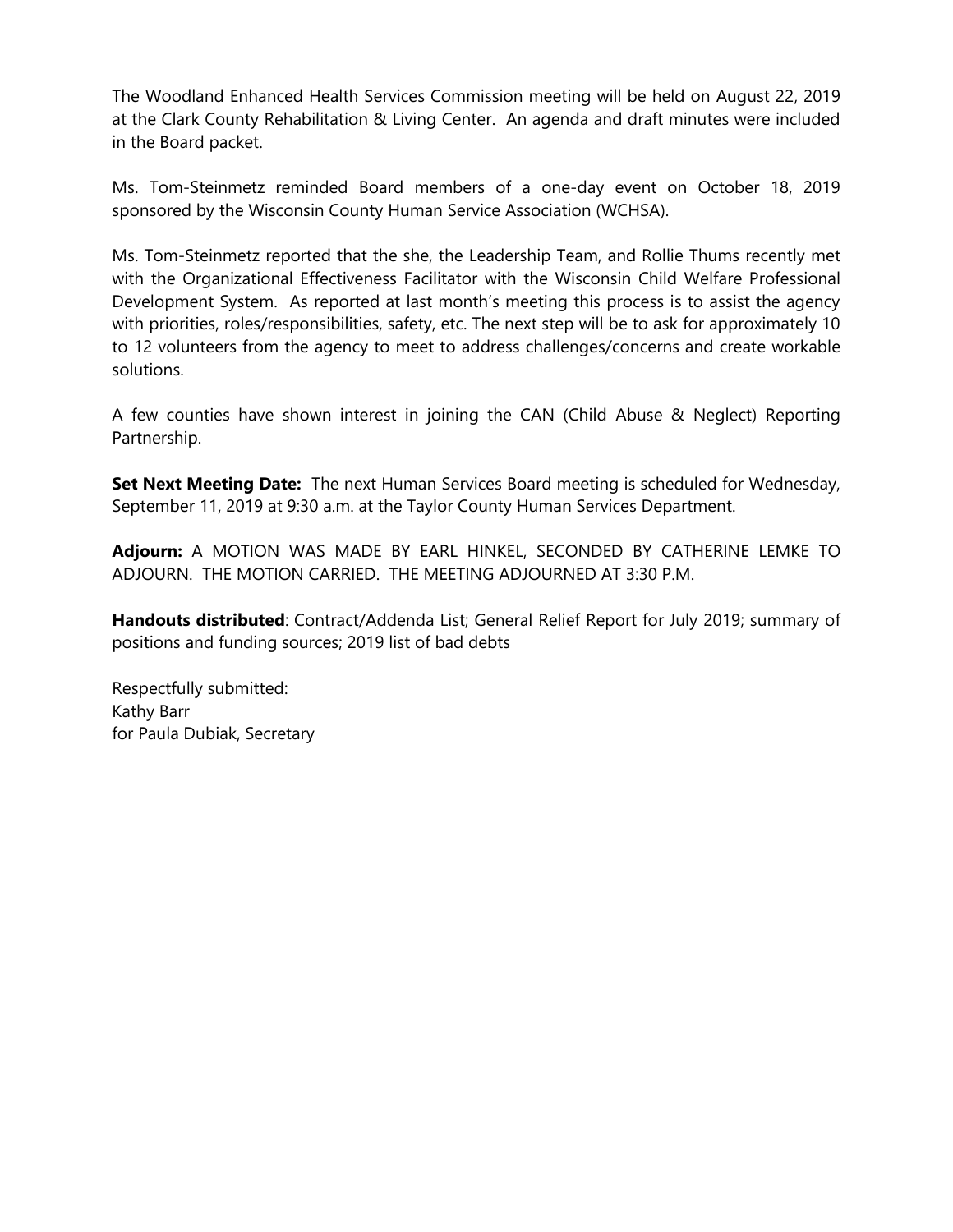The Woodland Enhanced Health Services Commission meeting will be held on August 22, 2019 at the Clark County Rehabilitation & Living Center. An agenda and draft minutes were included in the Board packet.

Ms. Tom-Steinmetz reminded Board members of a one-day event on October 18, 2019 sponsored by the Wisconsin County Human Service Association (WCHSA).

Ms. Tom-Steinmetz reported that the she, the Leadership Team, and Rollie Thums recently met with the Organizational Effectiveness Facilitator with the Wisconsin Child Welfare Professional Development System. As reported at last month's meeting this process is to assist the agency with priorities, roles/responsibilities, safety, etc. The next step will be to ask for approximately 10 to 12 volunteers from the agency to meet to address challenges/concerns and create workable solutions.

A few counties have shown interest in joining the CAN (Child Abuse & Neglect) Reporting Partnership.

**Set Next Meeting Date:** The next Human Services Board meeting is scheduled for Wednesday, September 11, 2019 at 9:30 a.m. at the Taylor County Human Services Department.

**Adjourn:** A MOTION WAS MADE BY EARL HINKEL, SECONDED BY CATHERINE LEMKE TO ADJOURN. THE MOTION CARRIED. THE MEETING ADJOURNED AT 3:30 P.M.

**Handouts distributed**: Contract/Addenda List; General Relief Report for July 2019; summary of positions and funding sources; 2019 list of bad debts

Respectfully submitted: Kathy Barr for Paula Dubiak, Secretary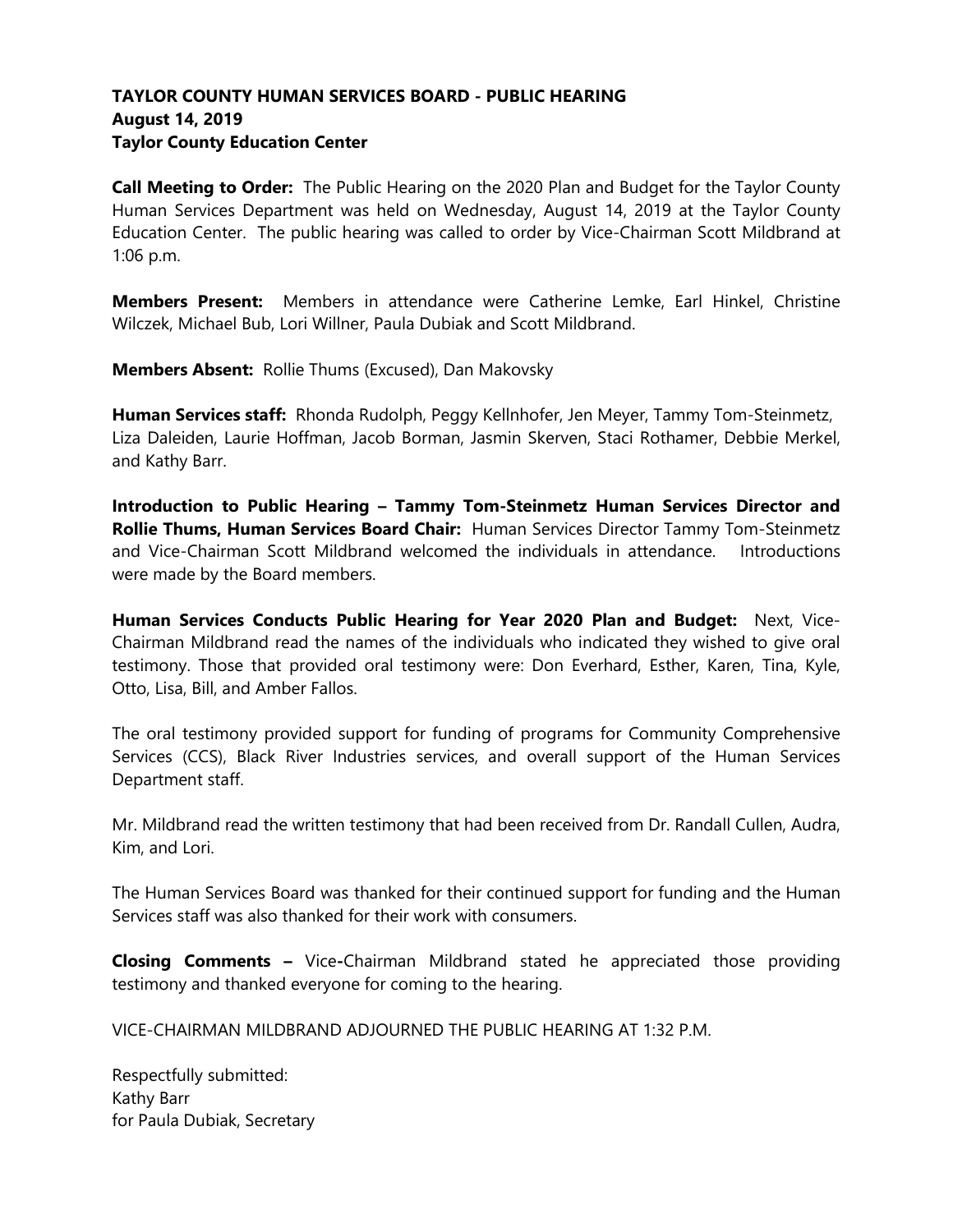# **TAYLOR COUNTY HUMAN SERVICES BOARD - PUBLIC HEARING August 14, 2019 Taylor County Education Center**

**Call Meeting to Order:** The Public Hearing on the 2020 Plan and Budget for the Taylor County Human Services Department was held on Wednesday, August 14, 2019 at the Taylor County Education Center. The public hearing was called to order by Vice-Chairman Scott Mildbrand at 1:06 p.m.

**Members Present:** Members in attendance were Catherine Lemke, Earl Hinkel, Christine Wilczek, Michael Bub, Lori Willner, Paula Dubiak and Scott Mildbrand.

**Members Absent:** Rollie Thums (Excused), Dan Makovsky

**Human Services staff:** Rhonda Rudolph, Peggy Kellnhofer, Jen Meyer, Tammy Tom-Steinmetz, Liza Daleiden, Laurie Hoffman, Jacob Borman, Jasmin Skerven, Staci Rothamer, Debbie Merkel, and Kathy Barr.

**Introduction to Public Hearing – Tammy Tom-Steinmetz Human Services Director and Rollie Thums, Human Services Board Chair:** Human Services Director Tammy Tom-Steinmetz and Vice-Chairman Scott Mildbrand welcomed the individuals in attendance. Introductions were made by the Board members.

**Human Services Conducts Public Hearing for Year 2020 Plan and Budget:** Next, Vice-Chairman Mildbrand read the names of the individuals who indicated they wished to give oral testimony. Those that provided oral testimony were: Don Everhard, Esther, Karen, Tina, Kyle, Otto, Lisa, Bill, and Amber Fallos.

The oral testimony provided support for funding of programs for Community Comprehensive Services (CCS), Black River Industries services, and overall support of the Human Services Department staff.

Mr. Mildbrand read the written testimony that had been received from Dr. Randall Cullen, Audra, Kim, and Lori.

The Human Services Board was thanked for their continued support for funding and the Human Services staff was also thanked for their work with consumers.

**Closing Comments –** Vice**-**Chairman Mildbrand stated he appreciated those providing testimony and thanked everyone for coming to the hearing.

VICE-CHAIRMAN MILDBRAND ADJOURNED THE PUBLIC HEARING AT 1:32 P.M.

Respectfully submitted: Kathy Barr for Paula Dubiak, Secretary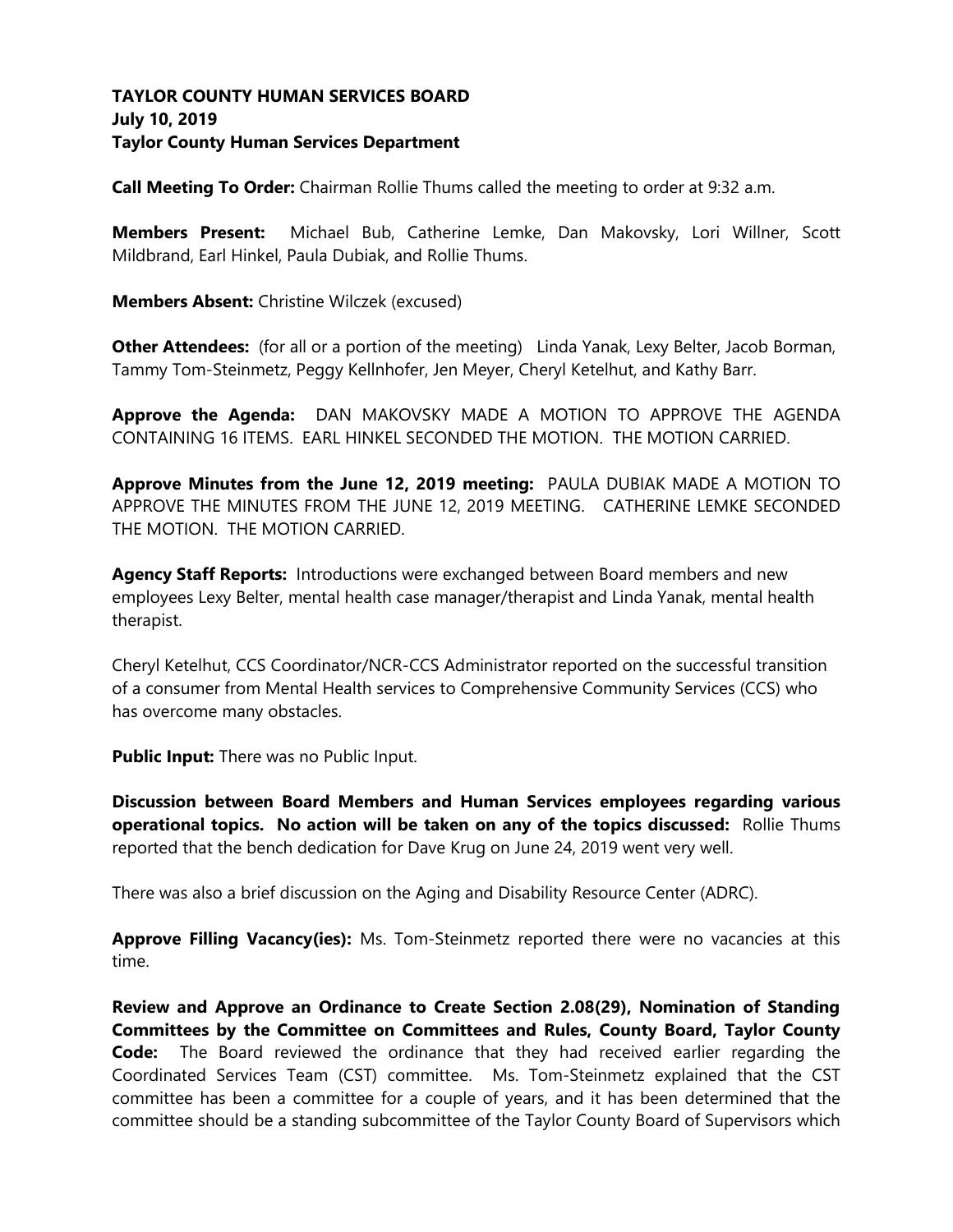## **TAYLOR COUNTY HUMAN SERVICES BOARD July 10, 2019 Taylor County Human Services Department**

**Call Meeting To Order:** Chairman Rollie Thums called the meeting to order at 9:32 a.m.

**Members Present:** Michael Bub, Catherine Lemke, Dan Makovsky, Lori Willner, Scott Mildbrand, Earl Hinkel, Paula Dubiak, and Rollie Thums.

**Members Absent:** Christine Wilczek (excused)

**Other Attendees:** (for all or a portion of the meeting) Linda Yanak, Lexy Belter, Jacob Borman, Tammy Tom-Steinmetz, Peggy Kellnhofer, Jen Meyer, Cheryl Ketelhut, and Kathy Barr.

**Approve the Agenda:** DAN MAKOVSKY MADE A MOTION TO APPROVE THE AGENDA CONTAINING 16 ITEMS. EARL HINKEL SECONDED THE MOTION. THE MOTION CARRIED.

**Approve Minutes from the June 12, 2019 meeting:** PAULA DUBIAK MADE A MOTION TO APPROVE THE MINUTES FROM THE JUNE 12, 2019 MEETING. CATHERINE LEMKE SECONDED THE MOTION. THE MOTION CARRIED.

**Agency Staff Reports:** Introductions were exchanged between Board members and new employees Lexy Belter, mental health case manager/therapist and Linda Yanak, mental health therapist.

Cheryl Ketelhut, CCS Coordinator/NCR-CCS Administrator reported on the successful transition of a consumer from Mental Health services to Comprehensive Community Services (CCS) who has overcome many obstacles.

**Public Input:** There was no Public Input.

**Discussion between Board Members and Human Services employees regarding various operational topics. No action will be taken on any of the topics discussed:** Rollie Thums reported that the bench dedication for Dave Krug on June 24, 2019 went very well.

There was also a brief discussion on the Aging and Disability Resource Center (ADRC).

**Approve Filling Vacancy(ies):** Ms. Tom-Steinmetz reported there were no vacancies at this time.

**Review and Approve an Ordinance to Create Section 2.08(29), Nomination of Standing Committees by the Committee on Committees and Rules, County Board, Taylor County Code:** The Board reviewed the ordinance that they had received earlier regarding the Coordinated Services Team (CST) committee. Ms. Tom-Steinmetz explained that the CST committee has been a committee for a couple of years, and it has been determined that the committee should be a standing subcommittee of the Taylor County Board of Supervisors which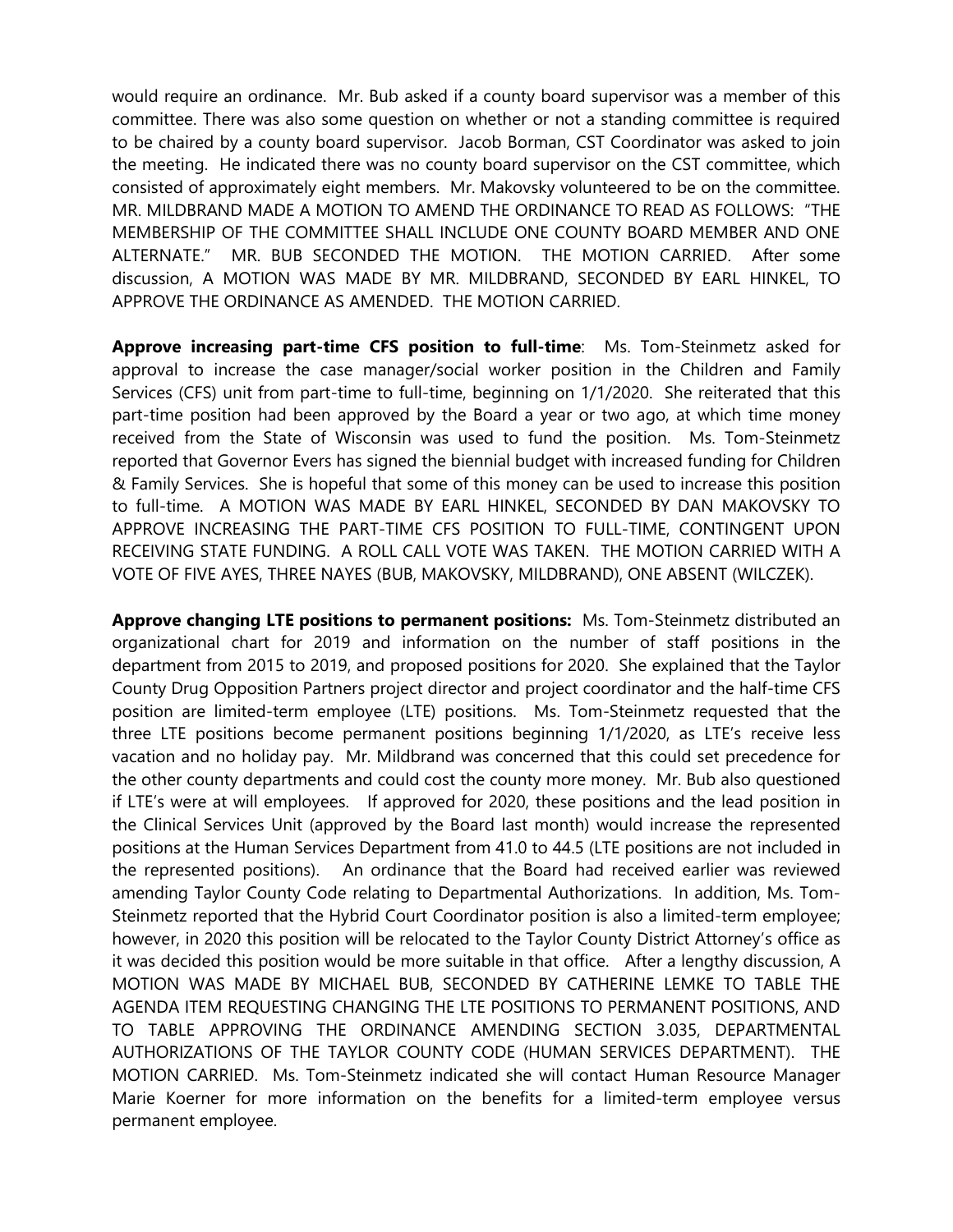would require an ordinance. Mr. Bub asked if a county board supervisor was a member of this committee. There was also some question on whether or not a standing committee is required to be chaired by a county board supervisor. Jacob Borman, CST Coordinator was asked to join the meeting. He indicated there was no county board supervisor on the CST committee, which consisted of approximately eight members. Mr. Makovsky volunteered to be on the committee. MR. MILDBRAND MADE A MOTION TO AMEND THE ORDINANCE TO READ AS FOLLOWS: "THE MEMBERSHIP OF THE COMMITTEE SHALL INCLUDE ONE COUNTY BOARD MEMBER AND ONE ALTERNATE." MR. BUB SECONDED THE MOTION. THE MOTION CARRIED. After some discussion, A MOTION WAS MADE BY MR. MILDBRAND, SECONDED BY EARL HINKEL, TO APPROVE THE ORDINANCE AS AMENDED. THE MOTION CARRIED.

**Approve increasing part-time CFS position to full-time**: Ms. Tom-Steinmetz asked for approval to increase the case manager/social worker position in the Children and Family Services (CFS) unit from part-time to full-time, beginning on 1/1/2020. She reiterated that this part-time position had been approved by the Board a year or two ago, at which time money received from the State of Wisconsin was used to fund the position. Ms. Tom-Steinmetz reported that Governor Evers has signed the biennial budget with increased funding for Children & Family Services. She is hopeful that some of this money can be used to increase this position to full-time. A MOTION WAS MADE BY EARL HINKEL, SECONDED BY DAN MAKOVSKY TO APPROVE INCREASING THE PART-TIME CFS POSITION TO FULL-TIME, CONTINGENT UPON RECEIVING STATE FUNDING. A ROLL CALL VOTE WAS TAKEN. THE MOTION CARRIED WITH A VOTE OF FIVE AYES, THREE NAYES (BUB, MAKOVSKY, MILDBRAND), ONE ABSENT (WILCZEK).

**Approve changing LTE positions to permanent positions:** Ms. Tom-Steinmetz distributed an organizational chart for 2019 and information on the number of staff positions in the department from 2015 to 2019, and proposed positions for 2020. She explained that the Taylor County Drug Opposition Partners project director and project coordinator and the half-time CFS position are limited-term employee (LTE) positions. Ms. Tom-Steinmetz requested that the three LTE positions become permanent positions beginning 1/1/2020, as LTE's receive less vacation and no holiday pay. Mr. Mildbrand was concerned that this could set precedence for the other county departments and could cost the county more money. Mr. Bub also questioned if LTE's were at will employees. If approved for 2020, these positions and the lead position in the Clinical Services Unit (approved by the Board last month) would increase the represented positions at the Human Services Department from 41.0 to 44.5 (LTE positions are not included in the represented positions). An ordinance that the Board had received earlier was reviewed amending Taylor County Code relating to Departmental Authorizations. In addition, Ms. Tom-Steinmetz reported that the Hybrid Court Coordinator position is also a limited-term employee; however, in 2020 this position will be relocated to the Taylor County District Attorney's office as it was decided this position would be more suitable in that office. After a lengthy discussion, A MOTION WAS MADE BY MICHAEL BUB, SECONDED BY CATHERINE LEMKE TO TABLE THE AGENDA ITEM REQUESTING CHANGING THE LTE POSITIONS TO PERMANENT POSITIONS, AND TO TABLE APPROVING THE ORDINANCE AMENDING SECTION 3.035, DEPARTMENTAL AUTHORIZATIONS OF THE TAYLOR COUNTY CODE (HUMAN SERVICES DEPARTMENT). THE MOTION CARRIED. Ms. Tom-Steinmetz indicated she will contact Human Resource Manager Marie Koerner for more information on the benefits for a limited-term employee versus permanent employee.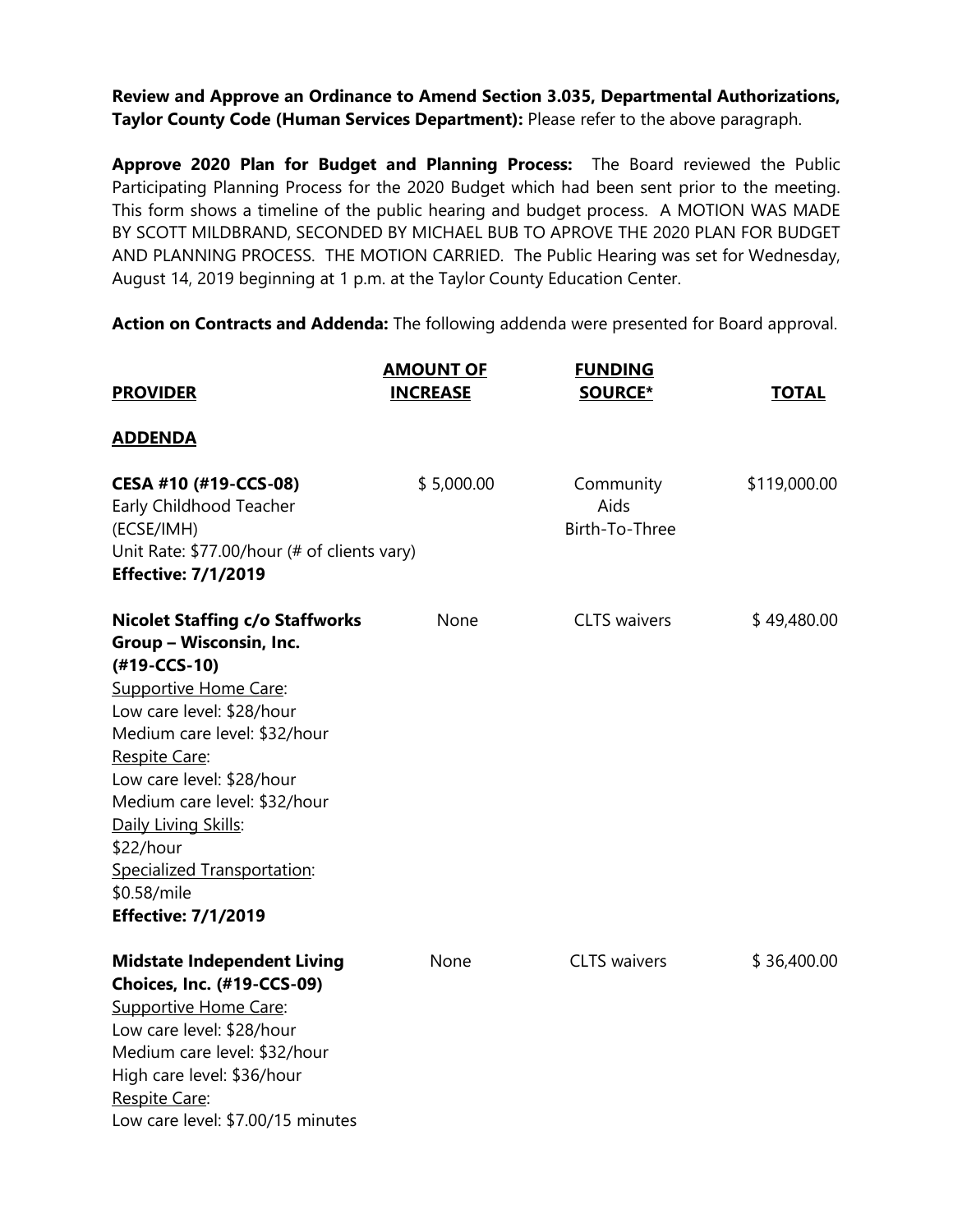**Review and Approve an Ordinance to Amend Section 3.035, Departmental Authorizations, Taylor County Code (Human Services Department):** Please refer to the above paragraph.

**Approve 2020 Plan for Budget and Planning Process:** The Board reviewed the Public Participating Planning Process for the 2020 Budget which had been sent prior to the meeting. This form shows a timeline of the public hearing and budget process. A MOTION WAS MADE BY SCOTT MILDBRAND, SECONDED BY MICHAEL BUB TO APROVE THE 2020 PLAN FOR BUDGET AND PLANNING PROCESS. THE MOTION CARRIED. The Public Hearing was set for Wednesday, August 14, 2019 beginning at 1 p.m. at the Taylor County Education Center.

**Action on Contracts and Addenda:** The following addenda were presented for Board approval.

| <b>PROVIDER</b>                                                                                                                                                                                                                                                                                                                                                               | <b>AMOUNT OF</b><br><b>INCREASE</b> | <b>FUNDING</b><br><b>SOURCE*</b>    | <b>TOTAL</b> |
|-------------------------------------------------------------------------------------------------------------------------------------------------------------------------------------------------------------------------------------------------------------------------------------------------------------------------------------------------------------------------------|-------------------------------------|-------------------------------------|--------------|
| <u>ADDENDA</u>                                                                                                                                                                                                                                                                                                                                                                |                                     |                                     |              |
| CESA #10 (#19-CCS-08)<br>Early Childhood Teacher<br>(ECSE/IMH)<br>Unit Rate: \$77.00/hour (# of clients vary)<br><b>Effective: 7/1/2019</b>                                                                                                                                                                                                                                   | \$5,000.00                          | Community<br>Aids<br>Birth-To-Three | \$119,000.00 |
| <b>Nicolet Staffing c/o Staffworks</b><br>Group - Wisconsin, Inc.<br>(#19-CCS-10)<br><b>Supportive Home Care:</b><br>Low care level: \$28/hour<br>Medium care level: \$32/hour<br>Respite Care:<br>Low care level: \$28/hour<br>Medium care level: \$32/hour<br>Daily Living Skills:<br>\$22/hour<br>Specialized Transportation:<br>\$0.58/mile<br><b>Effective: 7/1/2019</b> | None                                | <b>CLTS</b> waivers                 | \$49,480.00  |
| <b>Midstate Independent Living</b><br>Choices, Inc. (#19-CCS-09)<br><b>Supportive Home Care:</b><br>Low care level: \$28/hour<br>Medium care level: \$32/hour<br>High care level: \$36/hour<br>Respite Care:<br>Low care level: \$7.00/15 minutes                                                                                                                             | None                                | <b>CLTS</b> waivers                 | \$36,400.00  |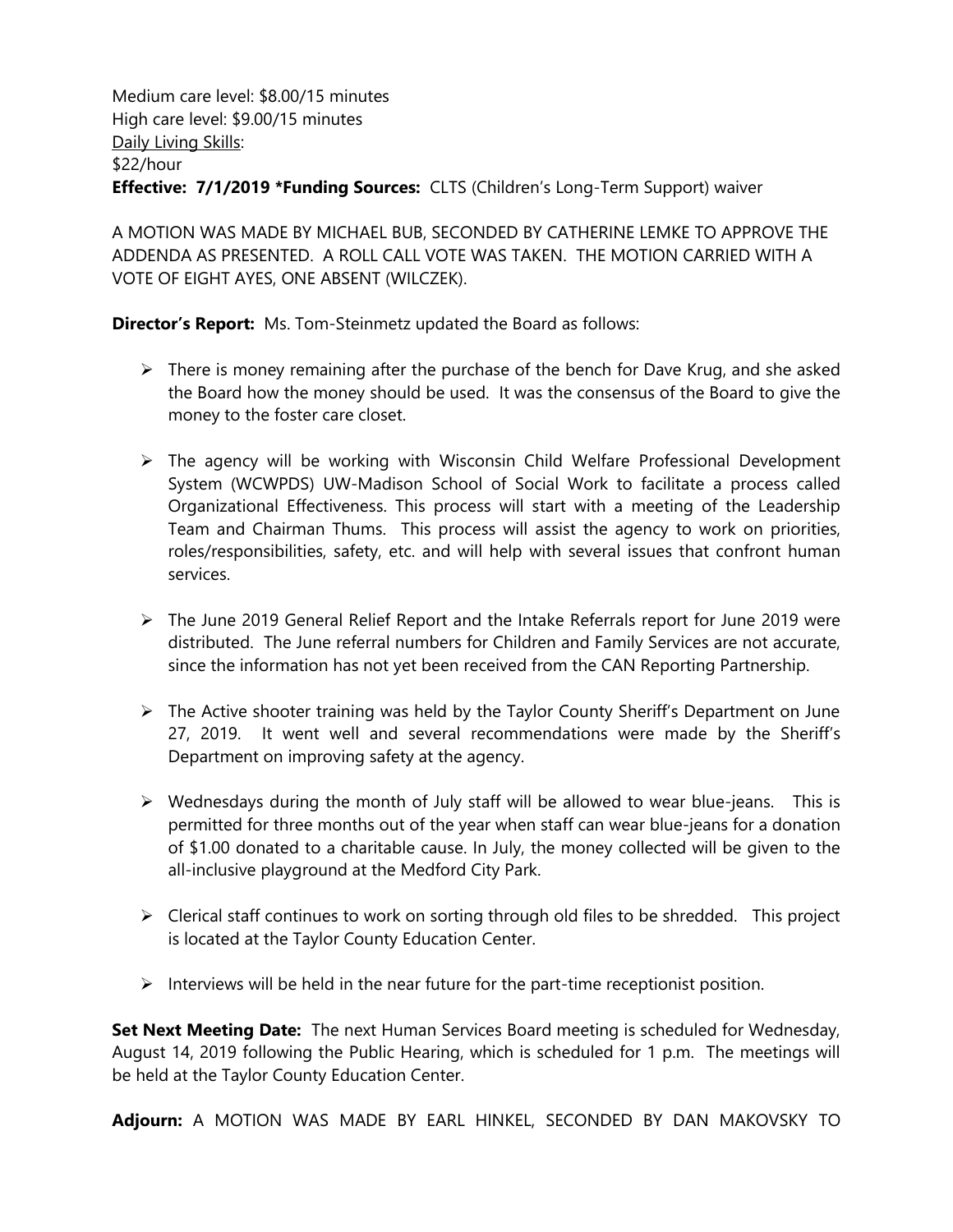Medium care level: \$8.00/15 minutes High care level: \$9.00/15 minutes Daily Living Skills: \$22/hour **Effective: 7/1/2019 \*Funding Sources:** CLTS (Children's Long-Term Support) waiver

A MOTION WAS MADE BY MICHAEL BUB, SECONDED BY CATHERINE LEMKE TO APPROVE THE ADDENDA AS PRESENTED. A ROLL CALL VOTE WAS TAKEN. THE MOTION CARRIED WITH A VOTE OF EIGHT AYES, ONE ABSENT (WILCZEK).

**Director's Report:** Ms. Tom-Steinmetz updated the Board as follows:

- $\triangleright$  There is money remaining after the purchase of the bench for Dave Krug, and she asked the Board how the money should be used. It was the consensus of the Board to give the money to the foster care closet.
- ➢ The agency will be working with Wisconsin Child Welfare Professional Development System (WCWPDS) UW-Madison School of Social Work to facilitate a process called Organizational Effectiveness. This process will start with a meeting of the Leadership Team and Chairman Thums. This process will assist the agency to work on priorities, roles/responsibilities, safety, etc. and will help with several issues that confront human services.
- ➢ The June 2019 General Relief Report and the Intake Referrals report for June 2019 were distributed. The June referral numbers for Children and Family Services are not accurate, since the information has not yet been received from the CAN Reporting Partnership.
- ➢ The Active shooter training was held by the Taylor County Sheriff's Department on June 27, 2019. It went well and several recommendations were made by the Sheriff's Department on improving safety at the agency.
- ➢ Wednesdays during the month of July staff will be allowed to wear blue-jeans. This is permitted for three months out of the year when staff can wear blue-jeans for a donation of \$1.00 donated to a charitable cause. In July, the money collected will be given to the all-inclusive playground at the Medford City Park.
- ➢ Clerical staff continues to work on sorting through old files to be shredded. This project is located at the Taylor County Education Center.
- $\triangleright$  Interviews will be held in the near future for the part-time receptionist position.

**Set Next Meeting Date:** The next Human Services Board meeting is scheduled for Wednesday, August 14, 2019 following the Public Hearing, which is scheduled for 1 p.m. The meetings will be held at the Taylor County Education Center.

**Adjourn:** A MOTION WAS MADE BY EARL HINKEL, SECONDED BY DAN MAKOVSKY TO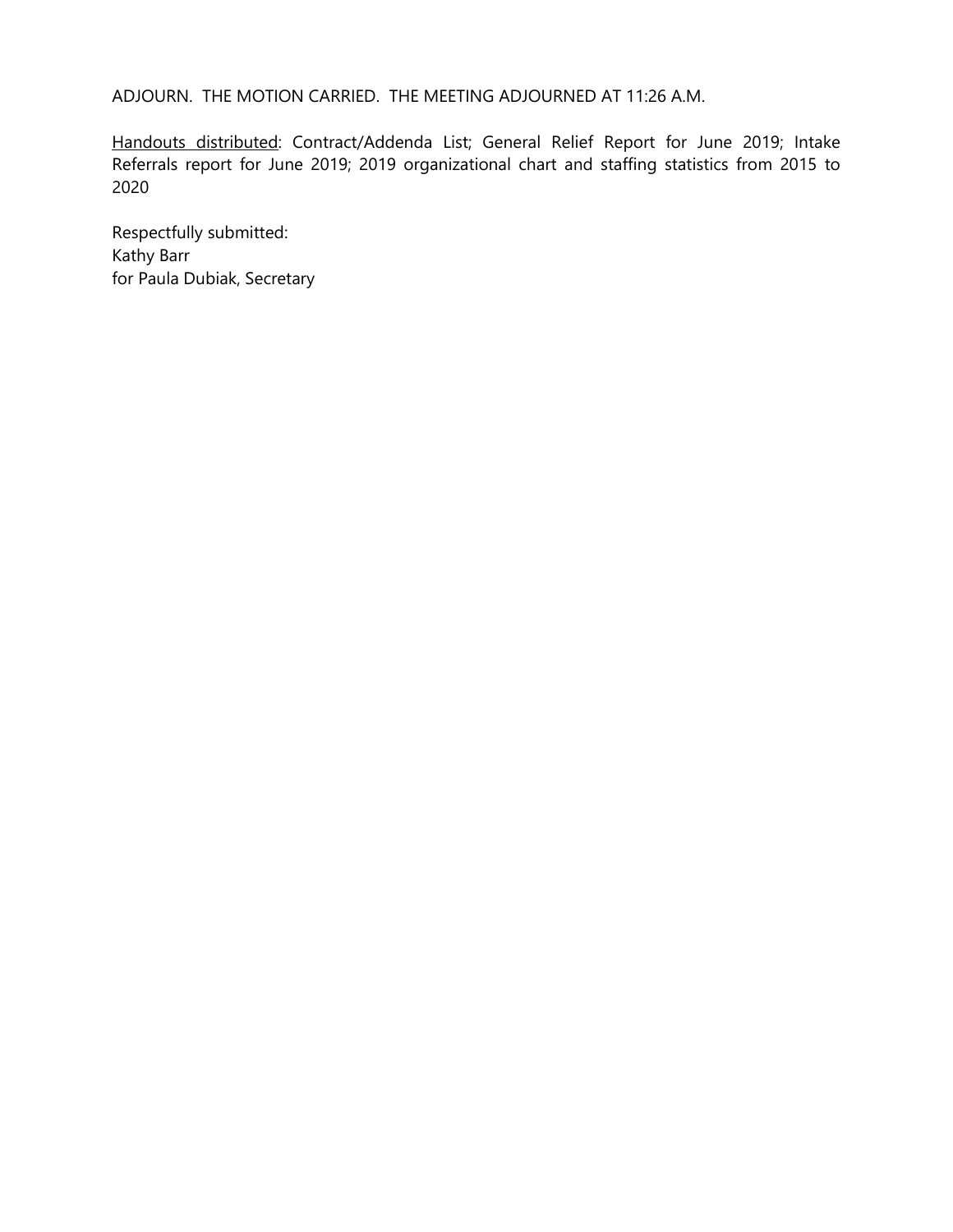ADJOURN. THE MOTION CARRIED. THE MEETING ADJOURNED AT 11:26 A.M.

Handouts distributed: Contract/Addenda List; General Relief Report for June 2019; Intake Referrals report for June 2019; 2019 organizational chart and staffing statistics from 2015 to 2020

Respectfully submitted: Kathy Barr for Paula Dubiak, Secretary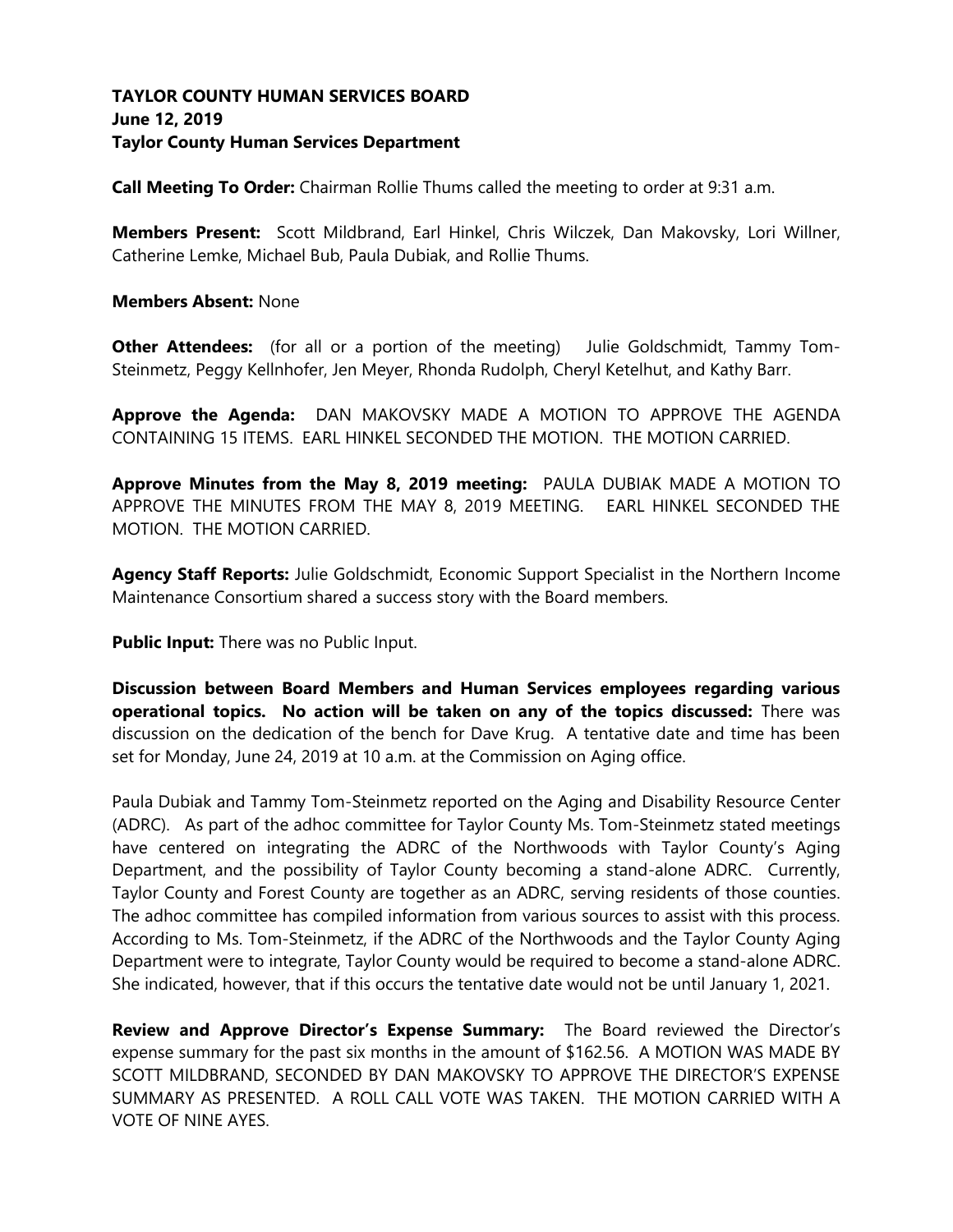## **TAYLOR COUNTY HUMAN SERVICES BOARD June 12, 2019 Taylor County Human Services Department**

**Call Meeting To Order:** Chairman Rollie Thums called the meeting to order at 9:31 a.m.

**Members Present:** Scott Mildbrand, Earl Hinkel, Chris Wilczek, Dan Makovsky, Lori Willner, Catherine Lemke, Michael Bub, Paula Dubiak, and Rollie Thums.

#### **Members Absent:** None

**Other Attendees:** (for all or a portion of the meeting) Julie Goldschmidt, Tammy Tom-Steinmetz, Peggy Kellnhofer, Jen Meyer, Rhonda Rudolph, Cheryl Ketelhut, and Kathy Barr.

**Approve the Agenda:** DAN MAKOVSKY MADE A MOTION TO APPROVE THE AGENDA CONTAINING 15 ITEMS. EARL HINKEL SECONDED THE MOTION. THE MOTION CARRIED.

**Approve Minutes from the May 8, 2019 meeting:** PAULA DUBIAK MADE A MOTION TO APPROVE THE MINUTES FROM THE MAY 8, 2019 MEETING. EARL HINKEL SECONDED THE MOTION. THE MOTION CARRIED.

**Agency Staff Reports:** Julie Goldschmidt, Economic Support Specialist in the Northern Income Maintenance Consortium shared a success story with the Board members.

**Public Input:** There was no Public Input.

**Discussion between Board Members and Human Services employees regarding various operational topics. No action will be taken on any of the topics discussed:** There was discussion on the dedication of the bench for Dave Krug. A tentative date and time has been set for Monday, June 24, 2019 at 10 a.m. at the Commission on Aging office.

Paula Dubiak and Tammy Tom-Steinmetz reported on the Aging and Disability Resource Center (ADRC). As part of the adhoc committee for Taylor County Ms. Tom-Steinmetz stated meetings have centered on integrating the ADRC of the Northwoods with Taylor County's Aging Department, and the possibility of Taylor County becoming a stand-alone ADRC. Currently, Taylor County and Forest County are together as an ADRC, serving residents of those counties. The adhoc committee has compiled information from various sources to assist with this process. According to Ms. Tom-Steinmetz, if the ADRC of the Northwoods and the Taylor County Aging Department were to integrate, Taylor County would be required to become a stand-alone ADRC. She indicated, however, that if this occurs the tentative date would not be until January 1, 2021.

**Review and Approve Director's Expense Summary:** The Board reviewed the Director's expense summary for the past six months in the amount of \$162.56.A MOTION WAS MADE BY SCOTT MILDBRAND, SECONDED BY DAN MAKOVSKY TO APPROVE THE DIRECTOR'S EXPENSE SUMMARY AS PRESENTED. A ROLL CALL VOTE WAS TAKEN. THE MOTION CARRIED WITH A VOTE OF NINE AYES.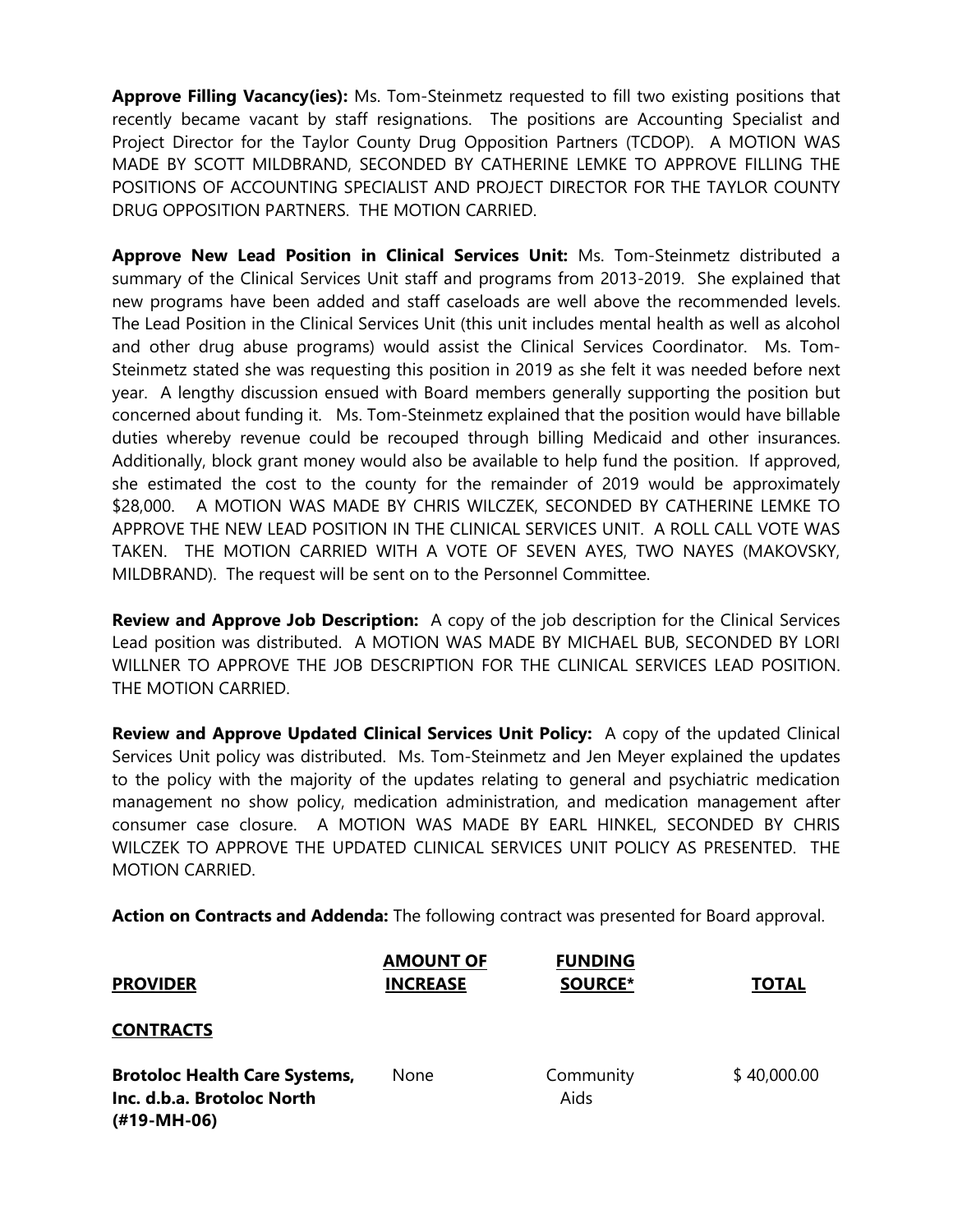**Approve Filling Vacancy(ies):** Ms. Tom-Steinmetz requested to fill two existing positions that recently became vacant by staff resignations. The positions are Accounting Specialist and Project Director for the Taylor County Drug Opposition Partners (TCDOP). A MOTION WAS MADE BY SCOTT MILDBRAND, SECONDED BY CATHERINE LEMKE TO APPROVE FILLING THE POSITIONS OF ACCOUNTING SPECIALIST AND PROJECT DIRECTOR FOR THE TAYLOR COUNTY DRUG OPPOSITION PARTNERS. THE MOTION CARRIED.

**Approve New Lead Position in Clinical Services Unit:** Ms. Tom-Steinmetz distributed a summary of the Clinical Services Unit staff and programs from 2013-2019. She explained that new programs have been added and staff caseloads are well above the recommended levels. The Lead Position in the Clinical Services Unit (this unit includes mental health as well as alcohol and other drug abuse programs) would assist the Clinical Services Coordinator. Ms. Tom-Steinmetz stated she was requesting this position in 2019 as she felt it was needed before next year. A lengthy discussion ensued with Board members generally supporting the position but concerned about funding it. Ms. Tom-Steinmetz explained that the position would have billable duties whereby revenue could be recouped through billing Medicaid and other insurances. Additionally, block grant money would also be available to help fund the position. If approved, she estimated the cost to the county for the remainder of 2019 would be approximately \$28,000. A MOTION WAS MADE BY CHRIS WILCZEK, SECONDED BY CATHERINE LEMKE TO APPROVE THE NEW LEAD POSITION IN THE CLINICAL SERVICES UNIT. A ROLL CALL VOTE WAS TAKEN. THE MOTION CARRIED WITH A VOTE OF SEVEN AYES, TWO NAYES (MAKOVSKY, MILDBRAND). The request will be sent on to the Personnel Committee.

**Review and Approve Job Description:** A copy of the job description for the Clinical Services Lead position was distributed. A MOTION WAS MADE BY MICHAEL BUB, SECONDED BY LORI WILLNER TO APPROVE THE JOB DESCRIPTION FOR THE CLINICAL SERVICES LEAD POSITION. THE MOTION CARRIED.

**Review and Approve Updated Clinical Services Unit Policy:** A copy of the updated Clinical Services Unit policy was distributed. Ms. Tom-Steinmetz and Jen Meyer explained the updates to the policy with the majority of the updates relating to general and psychiatric medication management no show policy, medication administration, and medication management after consumer case closure. A MOTION WAS MADE BY EARL HINKEL, SECONDED BY CHRIS WILCZEK TO APPROVE THE UPDATED CLINICAL SERVICES UNIT POLICY AS PRESENTED. THE MOTION CARRIED.

**Action on Contracts and Addenda:** The following contract was presented for Board approval.

| <b>PROVIDER</b>                                                                   | <b>AMOUNT OF</b><br><b>INCREASE</b> | <b>FUNDING</b><br><b>SOURCE*</b> | <b>TOTAL</b> |
|-----------------------------------------------------------------------------------|-------------------------------------|----------------------------------|--------------|
| <b>CONTRACTS</b>                                                                  |                                     |                                  |              |
| <b>Brotoloc Health Care Systems,</b><br>Inc. d.b.a. Brotoloc North<br>(#19-MH-06) | None                                | Community<br>Aids                | \$40,000.00  |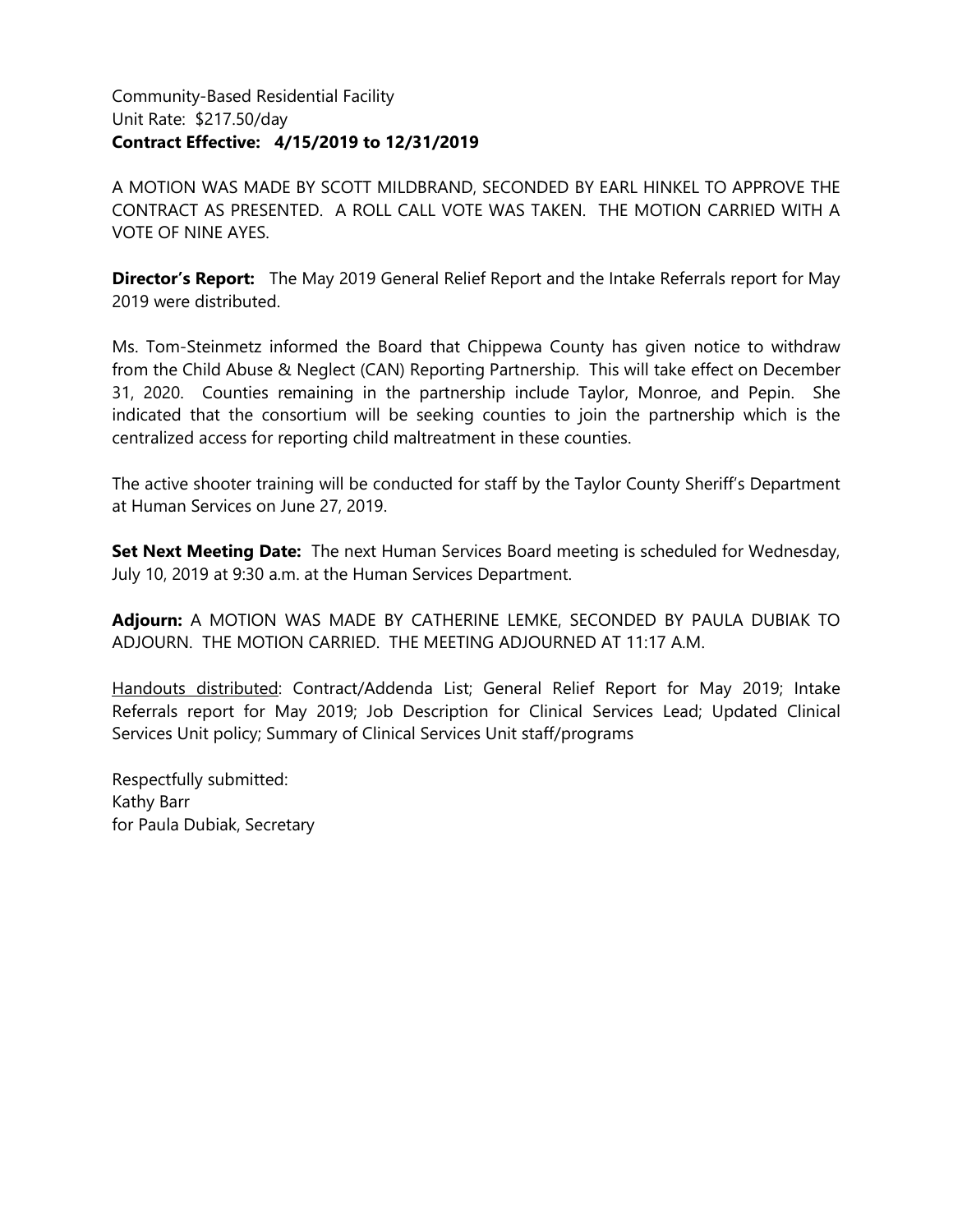## Community-Based Residential Facility Unit Rate: \$217.50/day **Contract Effective: 4/15/2019 to 12/31/2019**

A MOTION WAS MADE BY SCOTT MILDBRAND, SECONDED BY EARL HINKEL TO APPROVE THE CONTRACT AS PRESENTED. A ROLL CALL VOTE WAS TAKEN. THE MOTION CARRIED WITH A VOTE OF NINE AYES.

**Director's Report:** The May 2019 General Relief Report and the Intake Referrals report for May 2019 were distributed.

Ms. Tom-Steinmetz informed the Board that Chippewa County has given notice to withdraw from the Child Abuse & Neglect (CAN) Reporting Partnership. This will take effect on December 31, 2020. Counties remaining in the partnership include Taylor, Monroe, and Pepin. She indicated that the consortium will be seeking counties to join the partnership which is the centralized access for reporting child maltreatment in these counties.

The active shooter training will be conducted for staff by the Taylor County Sheriff's Department at Human Services on June 27, 2019.

**Set Next Meeting Date:** The next Human Services Board meeting is scheduled for Wednesday, July 10, 2019 at 9:30 a.m. at the Human Services Department.

**Adjourn:** A MOTION WAS MADE BY CATHERINE LEMKE, SECONDED BY PAULA DUBIAK TO ADJOURN. THE MOTION CARRIED. THE MEETING ADJOURNED AT 11:17 A.M.

Handouts distributed: Contract/Addenda List; General Relief Report for May 2019; Intake Referrals report for May 2019; Job Description for Clinical Services Lead; Updated Clinical Services Unit policy; Summary of Clinical Services Unit staff/programs

Respectfully submitted: Kathy Barr for Paula Dubiak, Secretary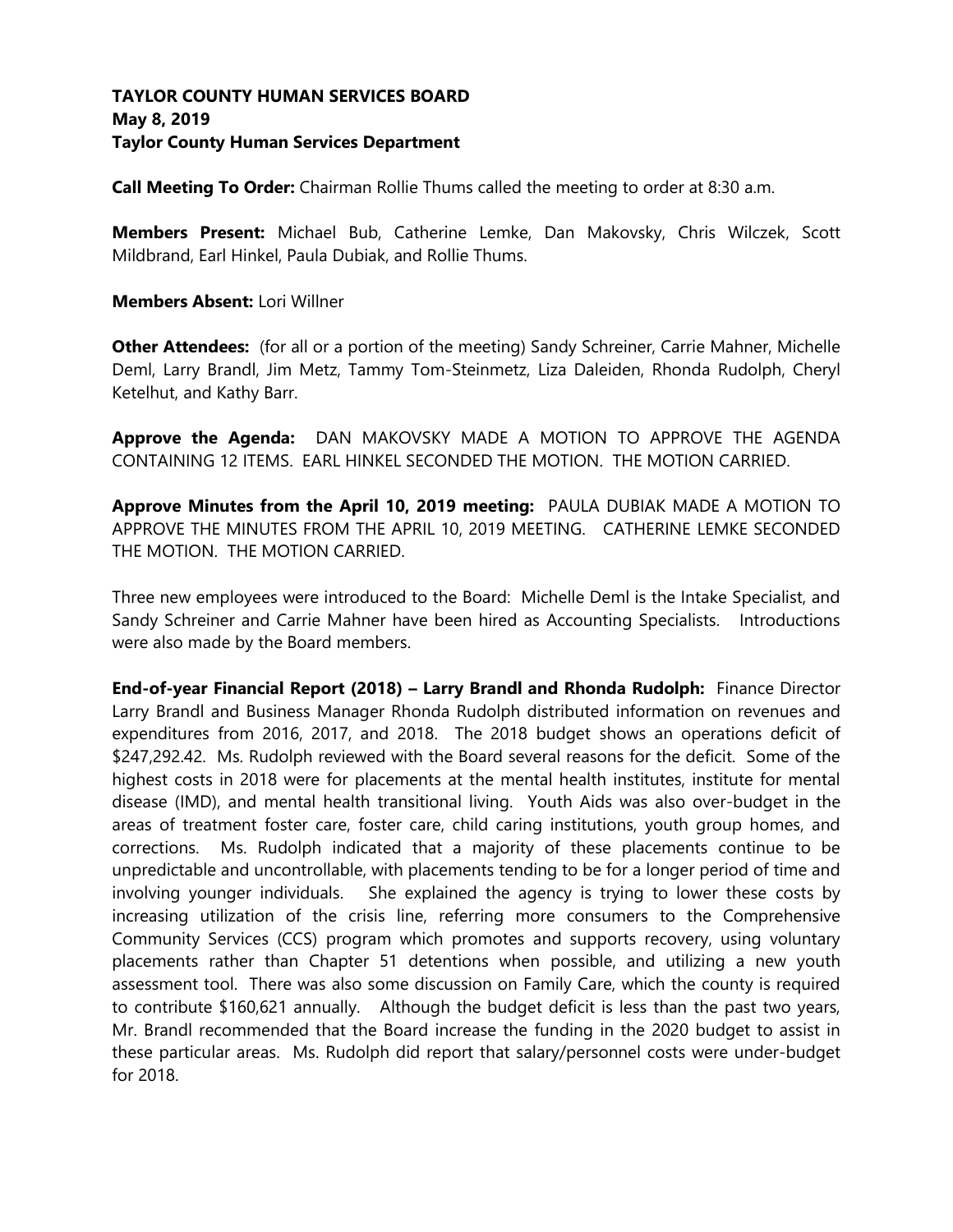## **TAYLOR COUNTY HUMAN SERVICES BOARD May 8, 2019 Taylor County Human Services Department**

**Call Meeting To Order:** Chairman Rollie Thums called the meeting to order at 8:30 a.m.

**Members Present:** Michael Bub, Catherine Lemke, Dan Makovsky, Chris Wilczek, Scott Mildbrand, Earl Hinkel, Paula Dubiak, and Rollie Thums.

### **Members Absent:** Lori Willner

**Other Attendees:** (for all or a portion of the meeting) Sandy Schreiner, Carrie Mahner, Michelle Deml, Larry Brandl, Jim Metz, Tammy Tom-Steinmetz, Liza Daleiden, Rhonda Rudolph, Cheryl Ketelhut, and Kathy Barr.

**Approve the Agenda:** DAN MAKOVSKY MADE A MOTION TO APPROVE THE AGENDA CONTAINING 12 ITEMS. EARL HINKEL SECONDED THE MOTION. THE MOTION CARRIED.

**Approve Minutes from the April 10, 2019 meeting:** PAULA DUBIAK MADE A MOTION TO APPROVE THE MINUTES FROM THE APRIL 10, 2019 MEETING. CATHERINE LEMKE SECONDED THE MOTION. THE MOTION CARRIED.

Three new employees were introduced to the Board: Michelle Deml is the Intake Specialist, and Sandy Schreiner and Carrie Mahner have been hired as Accounting Specialists. Introductions were also made by the Board members.

**End-of-year Financial Report (2018) – Larry Brandl and Rhonda Rudolph:** Finance Director Larry Brandl and Business Manager Rhonda Rudolph distributed information on revenues and expenditures from 2016, 2017, and 2018. The 2018 budget shows an operations deficit of \$247,292.42. Ms. Rudolph reviewed with the Board several reasons for the deficit. Some of the highest costs in 2018 were for placements at the mental health institutes, institute for mental disease (IMD), and mental health transitional living. Youth Aids was also over-budget in the areas of treatment foster care, foster care, child caring institutions, youth group homes, and corrections. Ms. Rudolph indicated that a majority of these placements continue to be unpredictable and uncontrollable, with placements tending to be for a longer period of time and involving younger individuals. She explained the agency is trying to lower these costs by increasing utilization of the crisis line, referring more consumers to the Comprehensive Community Services (CCS) program which promotes and supports recovery, using voluntary placements rather than Chapter 51 detentions when possible, and utilizing a new youth assessment tool. There was also some discussion on Family Care, which the county is required to contribute \$160,621 annually. Although the budget deficit is less than the past two years, Mr. Brandl recommended that the Board increase the funding in the 2020 budget to assist in these particular areas. Ms. Rudolph did report that salary/personnel costs were under-budget for 2018.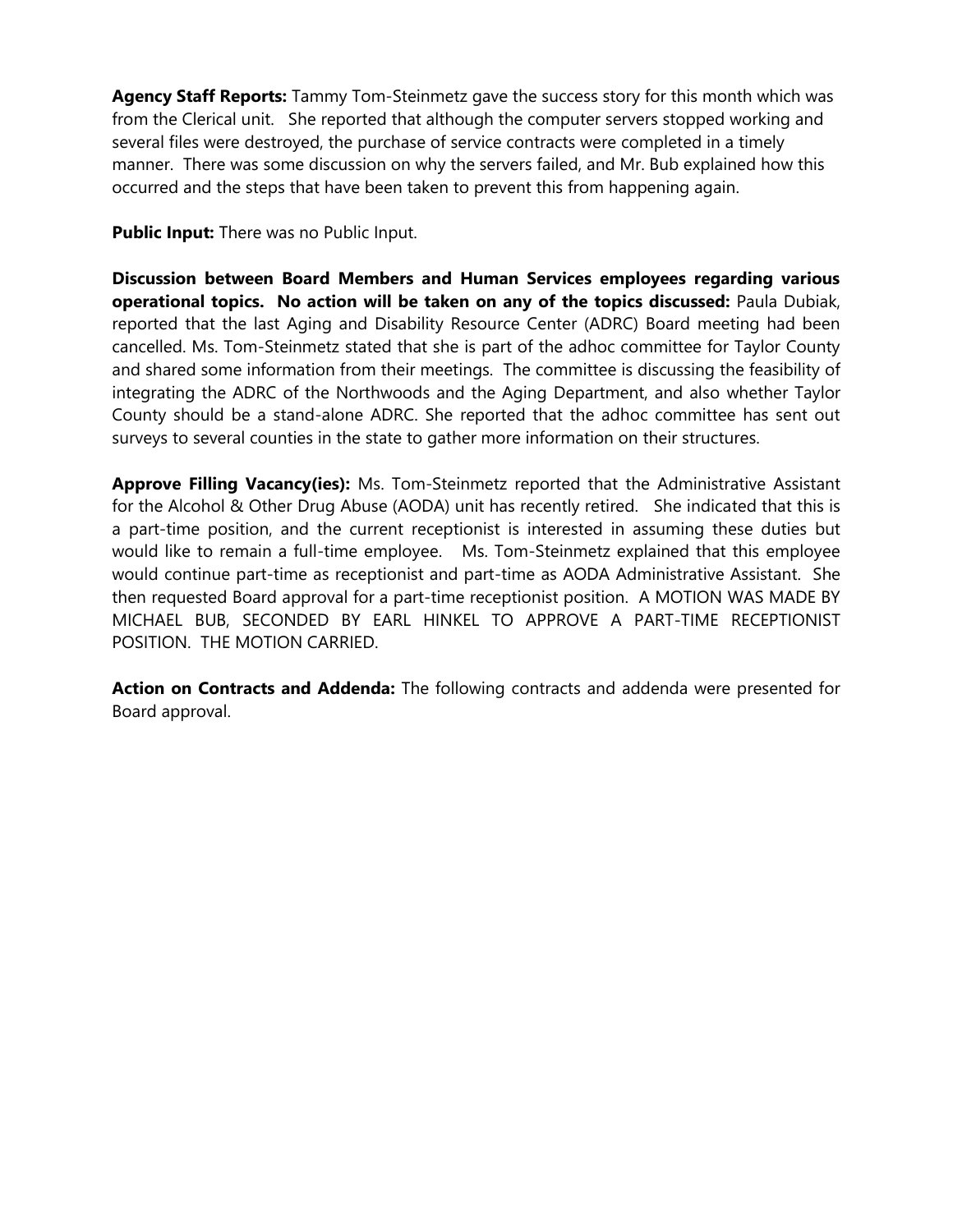**Agency Staff Reports:** Tammy Tom-Steinmetz gave the success story for this month which was from the Clerical unit. She reported that although the computer servers stopped working and several files were destroyed, the purchase of service contracts were completed in a timely manner. There was some discussion on why the servers failed, and Mr. Bub explained how this occurred and the steps that have been taken to prevent this from happening again.

**Public Input:** There was no Public Input.

**Discussion between Board Members and Human Services employees regarding various operational topics. No action will be taken on any of the topics discussed:** Paula Dubiak, reported that the last Aging and Disability Resource Center (ADRC) Board meeting had been cancelled. Ms. Tom-Steinmetz stated that she is part of the adhoc committee for Taylor County and shared some information from their meetings. The committee is discussing the feasibility of integrating the ADRC of the Northwoods and the Aging Department, and also whether Taylor County should be a stand-alone ADRC. She reported that the adhoc committee has sent out surveys to several counties in the state to gather more information on their structures.

**Approve Filling Vacancy(ies):** Ms. Tom-Steinmetz reported that the Administrative Assistant for the Alcohol & Other Drug Abuse (AODA) unit has recently retired. She indicated that this is a part-time position, and the current receptionist is interested in assuming these duties but would like to remain a full-time employee. Ms. Tom-Steinmetz explained that this employee would continue part-time as receptionist and part-time as AODA Administrative Assistant. She then requested Board approval for a part-time receptionist position. A MOTION WAS MADE BY MICHAEL BUB, SECONDED BY EARL HINKEL TO APPROVE A PART-TIME RECEPTIONIST POSITION. THE MOTION CARRIED.

**Action on Contracts and Addenda:** The following contracts and addenda were presented for Board approval.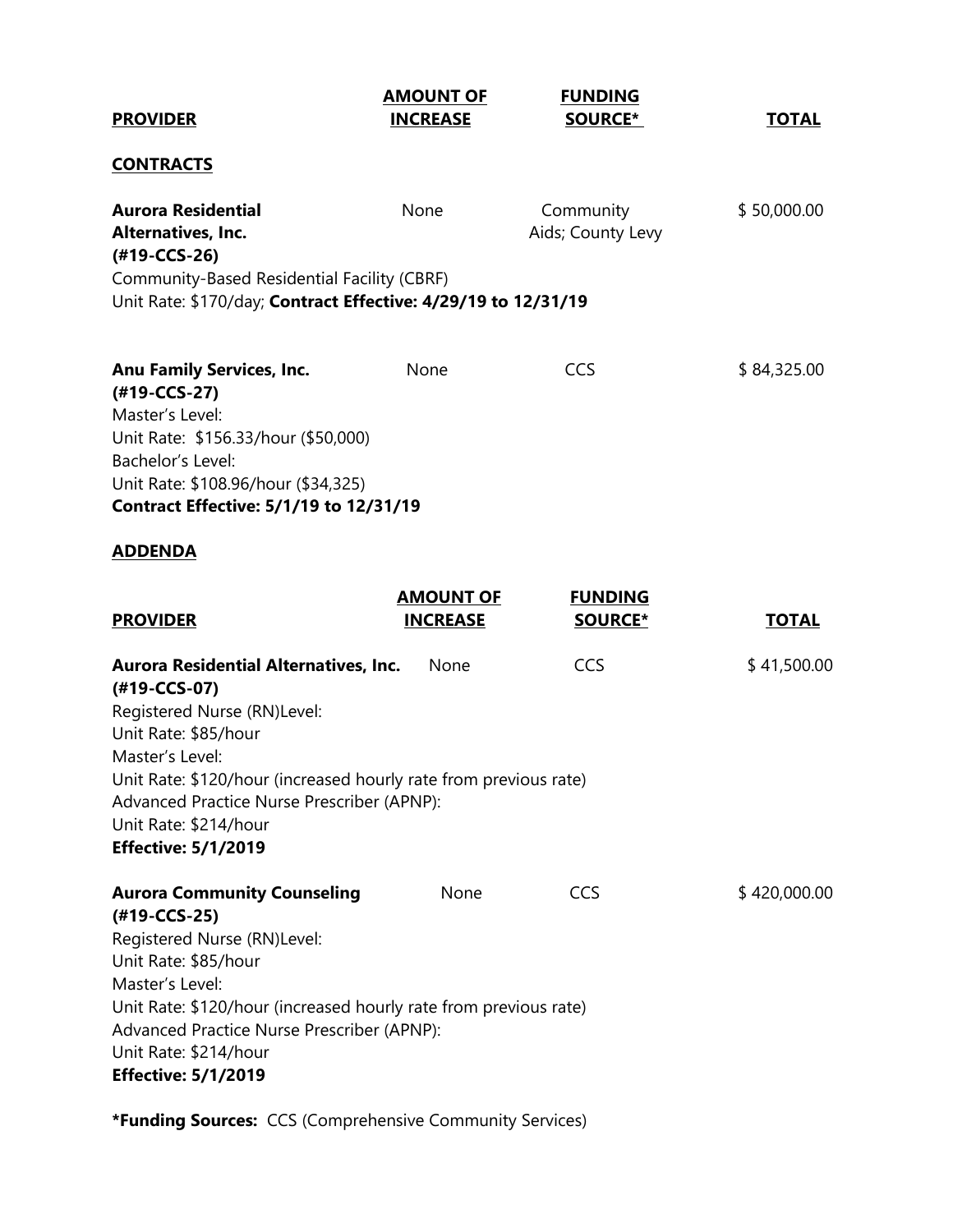| <b>AMOUNT OF</b><br><b>INCREASE</b>                                                          | <b>FUNDING</b><br>SOURCE*                   | <b>TOTAL</b>                                                                                                                                                                                          |
|----------------------------------------------------------------------------------------------|---------------------------------------------|-------------------------------------------------------------------------------------------------------------------------------------------------------------------------------------------------------|
|                                                                                              |                                             |                                                                                                                                                                                                       |
| None                                                                                         | Community<br>Aids; County Levy              | \$50,000.00                                                                                                                                                                                           |
|                                                                                              |                                             |                                                                                                                                                                                                       |
| None<br>Unit Rate: \$156.33/hour (\$50,000)<br><b>Contract Effective: 5/1/19 to 12/31/19</b> | <b>CCS</b>                                  | \$84,325.00                                                                                                                                                                                           |
|                                                                                              |                                             |                                                                                                                                                                                                       |
| <b>AMOUNT OF</b><br><b>INCREASE</b>                                                          | <b>FUNDING</b><br><b>SOURCE*</b>            | <b>TOTAL</b>                                                                                                                                                                                          |
| <b>Aurora Residential Alternatives, Inc.</b><br>None                                         | CCS                                         | \$41,500.00                                                                                                                                                                                           |
| Advanced Practice Nurse Prescriber (APNP):                                                   |                                             |                                                                                                                                                                                                       |
| None<br>Advanced Practice Nurse Prescriber (APNP):                                           | <b>CCS</b>                                  | \$420,000.00                                                                                                                                                                                          |
|                                                                                              | Community-Based Residential Facility (CBRF) | Unit Rate: \$170/day; Contract Effective: 4/29/19 to 12/31/19<br>Unit Rate: \$120/hour (increased hourly rate from previous rate)<br>Unit Rate: \$120/hour (increased hourly rate from previous rate) |

**\*Funding Sources:** CCS (Comprehensive Community Services)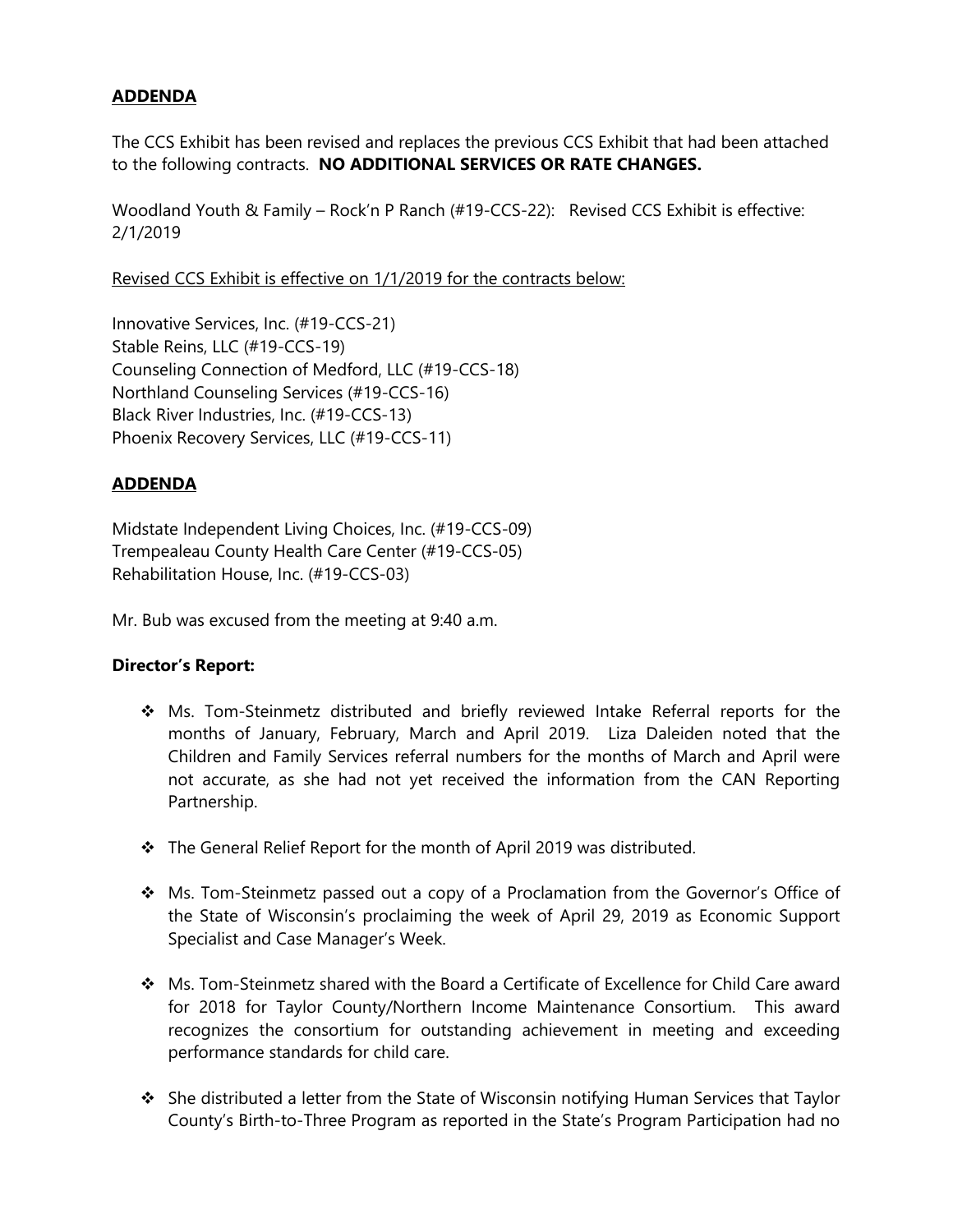# **ADDENDA**

The CCS Exhibit has been revised and replaces the previous CCS Exhibit that had been attached to the following contracts. **NO ADDITIONAL SERVICES OR RATE CHANGES.**

Woodland Youth & Family – Rock'n P Ranch (#19-CCS-22): Revised CCS Exhibit is effective: 2/1/2019

Revised CCS Exhibit is effective on 1/1/2019 for the contracts below:

Innovative Services, Inc. (#19-CCS-21) Stable Reins, LLC (#19-CCS-19) Counseling Connection of Medford, LLC (#19-CCS-18) Northland Counseling Services (#19-CCS-16) Black River Industries, Inc. (#19-CCS-13) Phoenix Recovery Services, LLC (#19-CCS-11)

# **ADDENDA**

Midstate Independent Living Choices, Inc. (#19-CCS-09) Trempealeau County Health Care Center (#19-CCS-05) Rehabilitation House, Inc. (#19-CCS-03)

Mr. Bub was excused from the meeting at 9:40 a.m.

# **Director's Report:**

- ❖ Ms. Tom-Steinmetz distributed and briefly reviewed Intake Referral reports for the months of January, February, March and April 2019. Liza Daleiden noted that the Children and Family Services referral numbers for the months of March and April were not accurate, as she had not yet received the information from the CAN Reporting Partnership.
- ❖ The General Relief Report for the month of April 2019 was distributed.
- ❖ Ms. Tom-Steinmetz passed out a copy of a Proclamation from the Governor's Office of the State of Wisconsin's proclaiming the week of April 29, 2019 as Economic Support Specialist and Case Manager's Week.
- ❖ Ms. Tom-Steinmetz shared with the Board a Certificate of Excellence for Child Care award for 2018 for Taylor County/Northern Income Maintenance Consortium. This award recognizes the consortium for outstanding achievement in meeting and exceeding performance standards for child care.
- ❖ She distributed a letter from the State of Wisconsin notifying Human Services that Taylor County's Birth-to-Three Program as reported in the State's Program Participation had no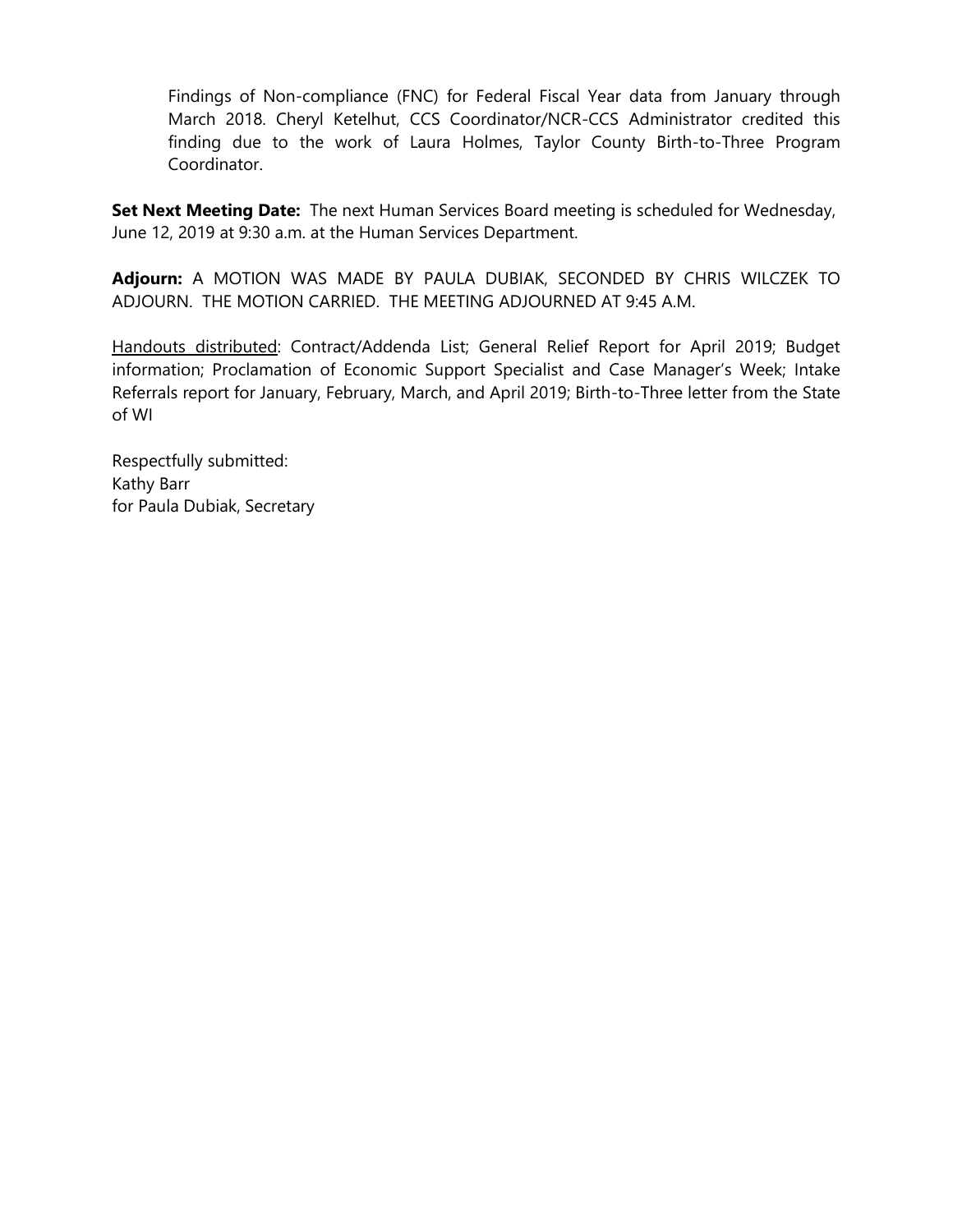Findings of Non-compliance (FNC) for Federal Fiscal Year data from January through March 2018. Cheryl Ketelhut, CCS Coordinator/NCR-CCS Administrator credited this finding due to the work of Laura Holmes, Taylor County Birth-to-Three Program Coordinator.

**Set Next Meeting Date:** The next Human Services Board meeting is scheduled for Wednesday, June 12, 2019 at 9:30 a.m. at the Human Services Department.

**Adjourn:** A MOTION WAS MADE BY PAULA DUBIAK, SECONDED BY CHRIS WILCZEK TO ADJOURN. THE MOTION CARRIED. THE MEETING ADJOURNED AT 9:45 A.M.

Handouts distributed: Contract/Addenda List; General Relief Report for April 2019; Budget information; Proclamation of Economic Support Specialist and Case Manager's Week; Intake Referrals report for January, February, March, and April 2019; Birth-to-Three letter from the State of WI

Respectfully submitted: Kathy Barr for Paula Dubiak, Secretary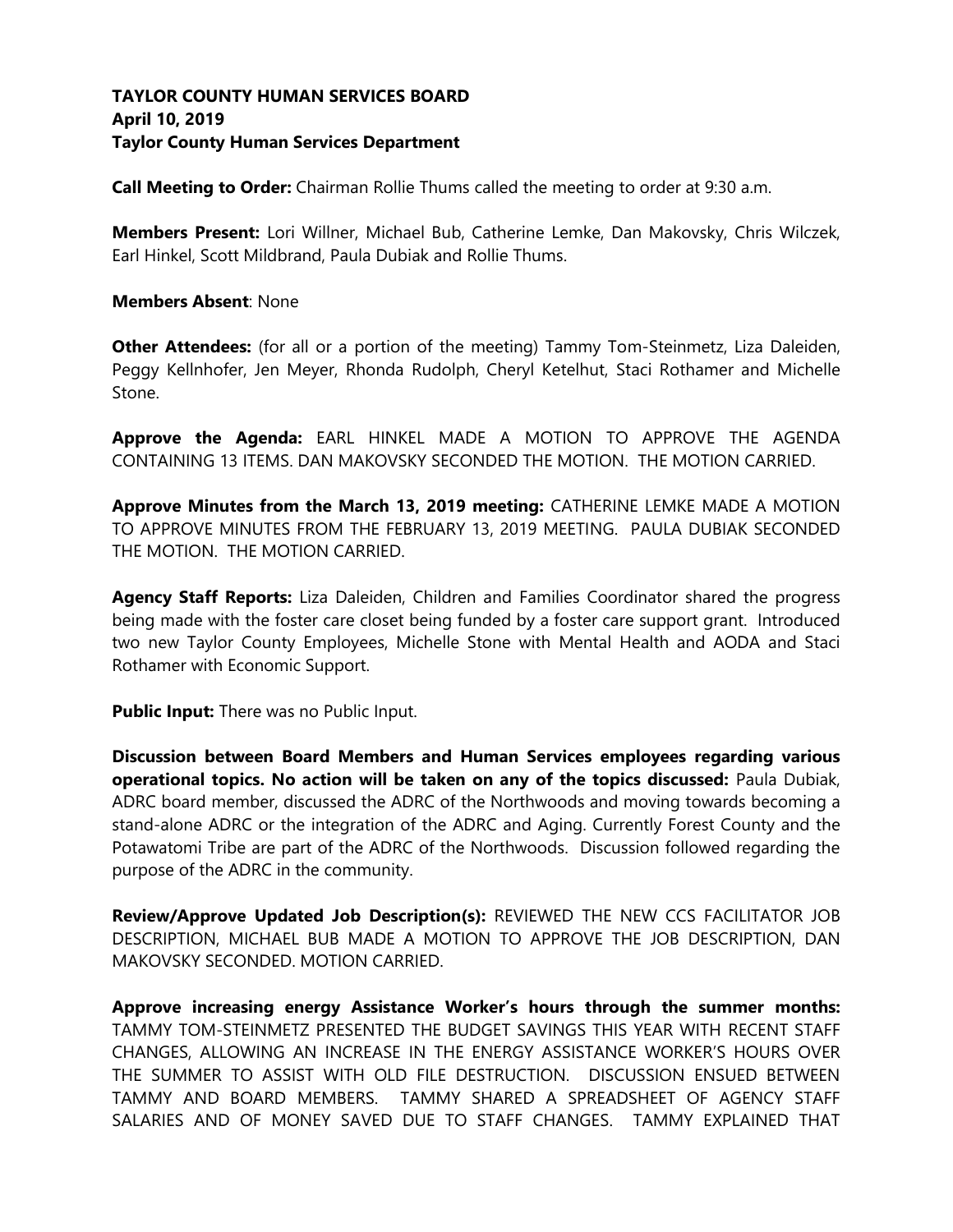# **TAYLOR COUNTY HUMAN SERVICES BOARD April 10, 2019 Taylor County Human Services Department**

**Call Meeting to Order:** Chairman Rollie Thums called the meeting to order at 9:30 a.m.

**Members Present:** Lori Willner, Michael Bub, Catherine Lemke, Dan Makovsky, Chris Wilczek, Earl Hinkel, Scott Mildbrand, Paula Dubiak and Rollie Thums.

### **Members Absent**: None

**Other Attendees:** (for all or a portion of the meeting) Tammy Tom-Steinmetz, Liza Daleiden, Peggy Kellnhofer, Jen Meyer, Rhonda Rudolph, Cheryl Ketelhut, Staci Rothamer and Michelle Stone.

**Approve the Agenda:** EARL HINKEL MADE A MOTION TO APPROVE THE AGENDA CONTAINING 13 ITEMS. DAN MAKOVSKY SECONDED THE MOTION. THE MOTION CARRIED.

**Approve Minutes from the March 13, 2019 meeting:** CATHERINE LEMKE MADE A MOTION TO APPROVE MINUTES FROM THE FEBRUARY 13, 2019 MEETING. PAULA DUBIAK SECONDED THE MOTION. THE MOTION CARRIED.

**Agency Staff Reports:** Liza Daleiden, Children and Families Coordinator shared the progress being made with the foster care closet being funded by a foster care support grant. Introduced two new Taylor County Employees, Michelle Stone with Mental Health and AODA and Staci Rothamer with Economic Support.

**Public Input:** There was no Public Input.

**Discussion between Board Members and Human Services employees regarding various operational topics. No action will be taken on any of the topics discussed:** Paula Dubiak, ADRC board member, discussed the ADRC of the Northwoods and moving towards becoming a stand-alone ADRC or the integration of the ADRC and Aging. Currently Forest County and the Potawatomi Tribe are part of the ADRC of the Northwoods. Discussion followed regarding the purpose of the ADRC in the community.

**Review/Approve Updated Job Description(s):** REVIEWED THE NEW CCS FACILITATOR JOB DESCRIPTION, MICHAEL BUB MADE A MOTION TO APPROVE THE JOB DESCRIPTION, DAN MAKOVSKY SECONDED. MOTION CARRIED.

**Approve increasing energy Assistance Worker's hours through the summer months:**  TAMMY TOM-STEINMETZ PRESENTED THE BUDGET SAVINGS THIS YEAR WITH RECENT STAFF CHANGES, ALLOWING AN INCREASE IN THE ENERGY ASSISTANCE WORKER'S HOURS OVER THE SUMMER TO ASSIST WITH OLD FILE DESTRUCTION. DISCUSSION ENSUED BETWEEN TAMMY AND BOARD MEMBERS. TAMMY SHARED A SPREADSHEET OF AGENCY STAFF SALARIES AND OF MONEY SAVED DUE TO STAFF CHANGES. TAMMY EXPLAINED THAT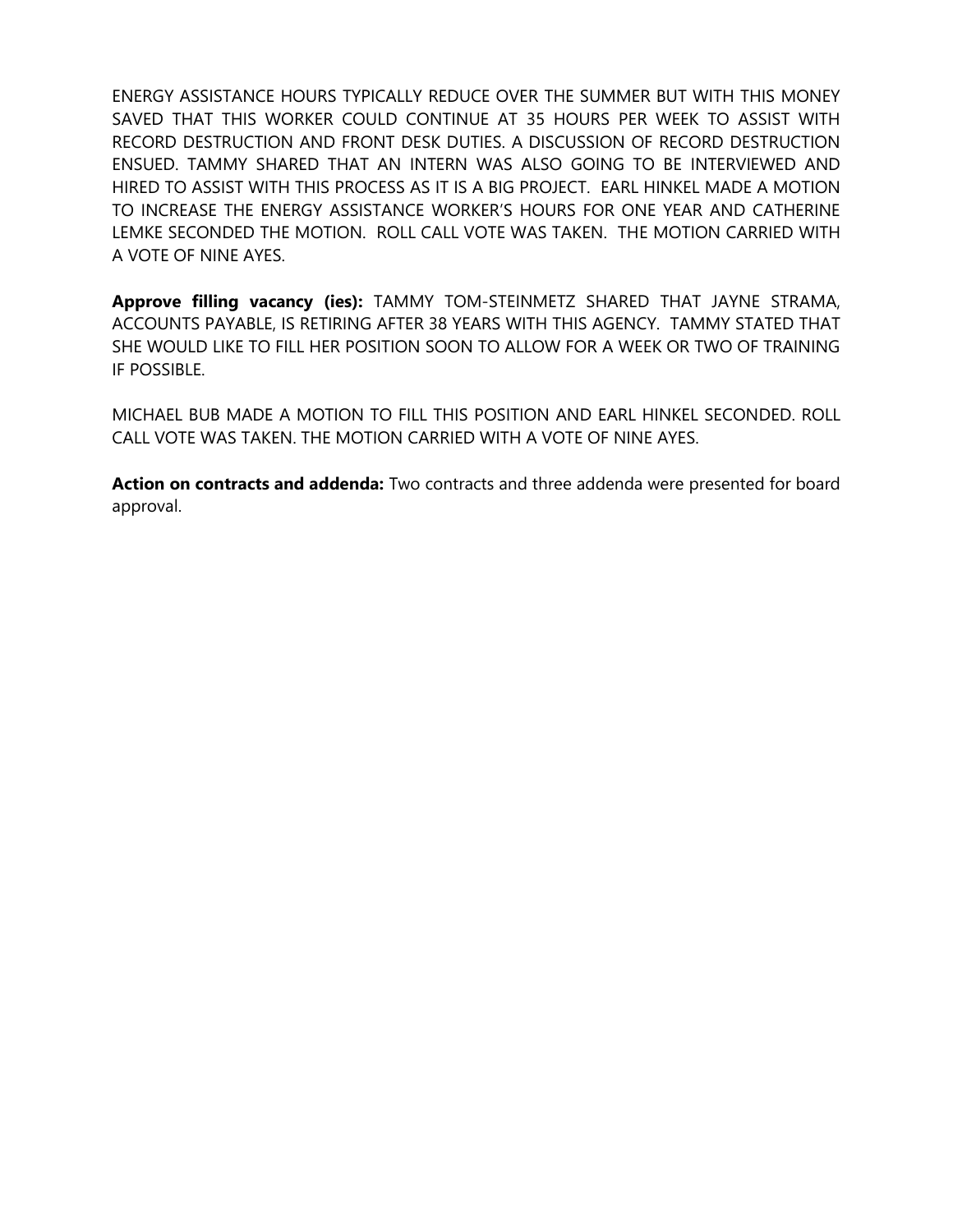ENERGY ASSISTANCE HOURS TYPICALLY REDUCE OVER THE SUMMER BUT WITH THIS MONEY SAVED THAT THIS WORKER COULD CONTINUE AT 35 HOURS PER WEEK TO ASSIST WITH RECORD DESTRUCTION AND FRONT DESK DUTIES. A DISCUSSION OF RECORD DESTRUCTION ENSUED. TAMMY SHARED THAT AN INTERN WAS ALSO GOING TO BE INTERVIEWED AND HIRED TO ASSIST WITH THIS PROCESS AS IT IS A BIG PROJECT. EARL HINKEL MADE A MOTION TO INCREASE THE ENERGY ASSISTANCE WORKER'S HOURS FOR ONE YEAR AND CATHERINE LEMKE SECONDED THE MOTION. ROLL CALL VOTE WAS TAKEN. THE MOTION CARRIED WITH A VOTE OF NINE AYES.

**Approve filling vacancy (ies):** TAMMY TOM-STEINMETZ SHARED THAT JAYNE STRAMA, ACCOUNTS PAYABLE, IS RETIRING AFTER 38 YEARS WITH THIS AGENCY. TAMMY STATED THAT SHE WOULD LIKE TO FILL HER POSITION SOON TO ALLOW FOR A WEEK OR TWO OF TRAINING IF POSSIBLE.

MICHAEL BUB MADE A MOTION TO FILL THIS POSITION AND EARL HINKEL SECONDED. ROLL CALL VOTE WAS TAKEN. THE MOTION CARRIED WITH A VOTE OF NINE AYES.

**Action on contracts and addenda:** Two contracts and three addenda were presented for board approval.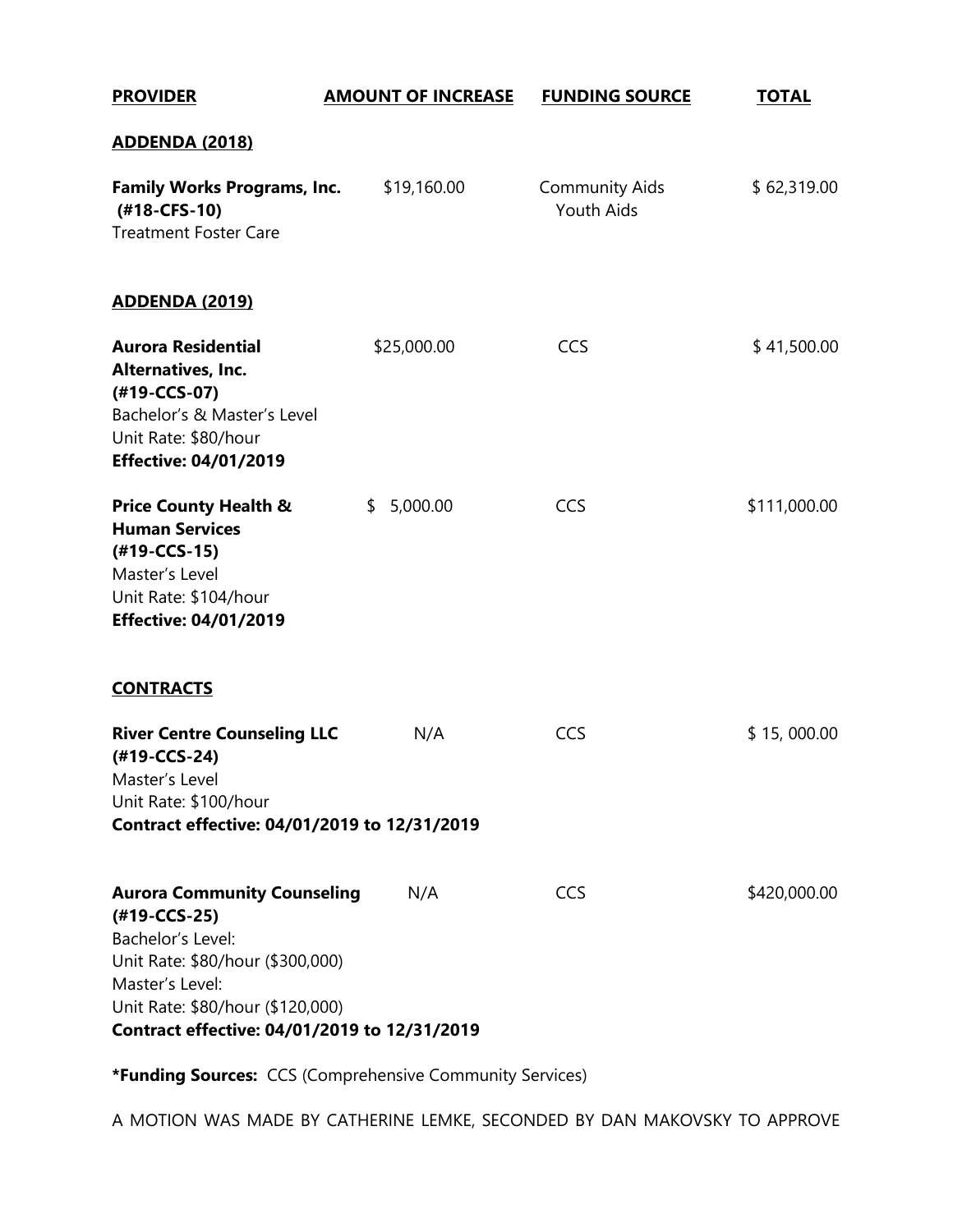| <b>PROVIDER</b>                                                                                                                                                                                                    | <b>AMOUNT OF INCREASE</b> | <b>FUNDING SOURCE</b>                      | <b>TOTAL</b> |
|--------------------------------------------------------------------------------------------------------------------------------------------------------------------------------------------------------------------|---------------------------|--------------------------------------------|--------------|
| <u>ADDENDA (2018)</u>                                                                                                                                                                                              |                           |                                            |              |
| <b>Family Works Programs, Inc.</b><br>(#18-CFS-10)<br><b>Treatment Foster Care</b>                                                                                                                                 | \$19,160.00               | <b>Community Aids</b><br><b>Youth Aids</b> | \$62,319.00  |
| ADDENDA (2019)                                                                                                                                                                                                     |                           |                                            |              |
| <b>Aurora Residential</b><br>Alternatives, Inc.<br>(#19-CCS-07)<br>Bachelor's & Master's Level<br>Unit Rate: \$80/hour<br><b>Effective: 04/01/2019</b>                                                             | \$25,000.00               | CCS                                        | \$41,500.00  |
| <b>Price County Health &amp;</b><br><b>Human Services</b><br>$(#19-CCS-15)$<br>Master's Level<br>Unit Rate: \$104/hour<br><b>Effective: 04/01/2019</b>                                                             | 5,000.00<br>\$            | CCS                                        | \$111,000.00 |
| <b>CONTRACTS</b>                                                                                                                                                                                                   |                           |                                            |              |
| <b>River Centre Counseling LLC</b><br>(#19-CCS-24)<br>Master's Level<br>Unit Rate: \$100/hour<br>Contract effective: 04/01/2019 to 12/31/2019                                                                      | N/A                       | CCS                                        | \$15,000.00  |
| <b>Aurora Community Counseling</b><br>(#19-CCS-25)<br>Bachelor's Level:<br>Unit Rate: \$80/hour (\$300,000)<br>Master's Level:<br>Unit Rate: \$80/hour (\$120,000)<br>Contract effective: 04/01/2019 to 12/31/2019 | N/A                       | CCS                                        | \$420,000.00 |

**\*Funding Sources:** CCS (Comprehensive Community Services)

A MOTION WAS MADE BY CATHERINE LEMKE, SECONDED BY DAN MAKOVSKY TO APPROVE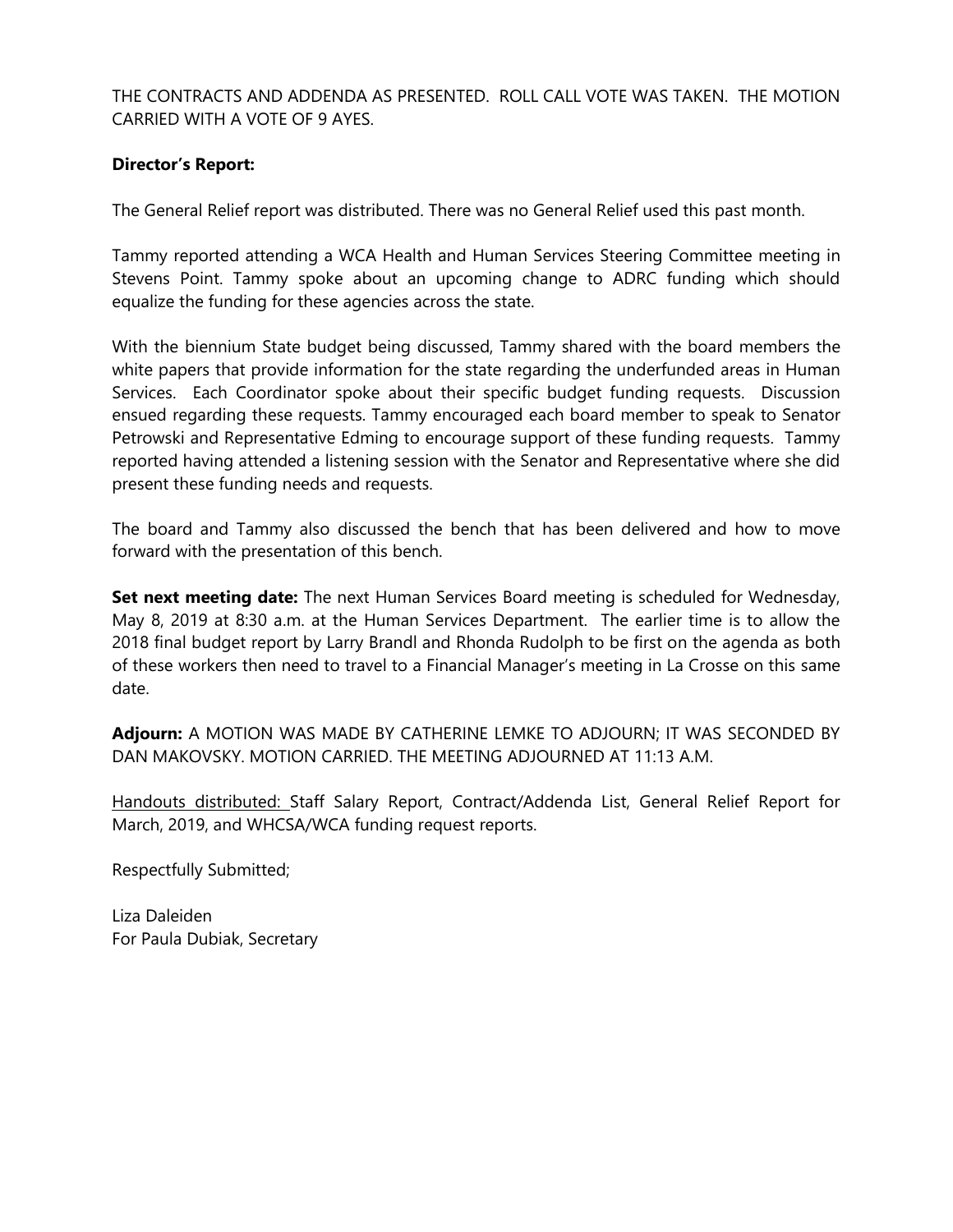THE CONTRACTS AND ADDENDA AS PRESENTED. ROLL CALL VOTE WAS TAKEN. THE MOTION CARRIED WITH A VOTE OF 9 AYES.

## **Director's Report:**

The General Relief report was distributed. There was no General Relief used this past month.

Tammy reported attending a WCA Health and Human Services Steering Committee meeting in Stevens Point. Tammy spoke about an upcoming change to ADRC funding which should equalize the funding for these agencies across the state.

With the biennium State budget being discussed, Tammy shared with the board members the white papers that provide information for the state regarding the underfunded areas in Human Services. Each Coordinator spoke about their specific budget funding requests. Discussion ensued regarding these requests. Tammy encouraged each board member to speak to Senator Petrowski and Representative Edming to encourage support of these funding requests. Tammy reported having attended a listening session with the Senator and Representative where she did present these funding needs and requests.

The board and Tammy also discussed the bench that has been delivered and how to move forward with the presentation of this bench.

**Set next meeting date:** The next Human Services Board meeting is scheduled for Wednesday, May 8, 2019 at 8:30 a.m. at the Human Services Department. The earlier time is to allow the 2018 final budget report by Larry Brandl and Rhonda Rudolph to be first on the agenda as both of these workers then need to travel to a Financial Manager's meeting in La Crosse on this same date.

**Adjourn:** A MOTION WAS MADE BY CATHERINE LEMKE TO ADJOURN; IT WAS SECONDED BY DAN MAKOVSKY. MOTION CARRIED. THE MEETING ADJOURNED AT 11:13 A.M.

Handouts distributed: Staff Salary Report, Contract/Addenda List, General Relief Report for March, 2019, and WHCSA/WCA funding request reports.

Respectfully Submitted;

Liza Daleiden For Paula Dubiak, Secretary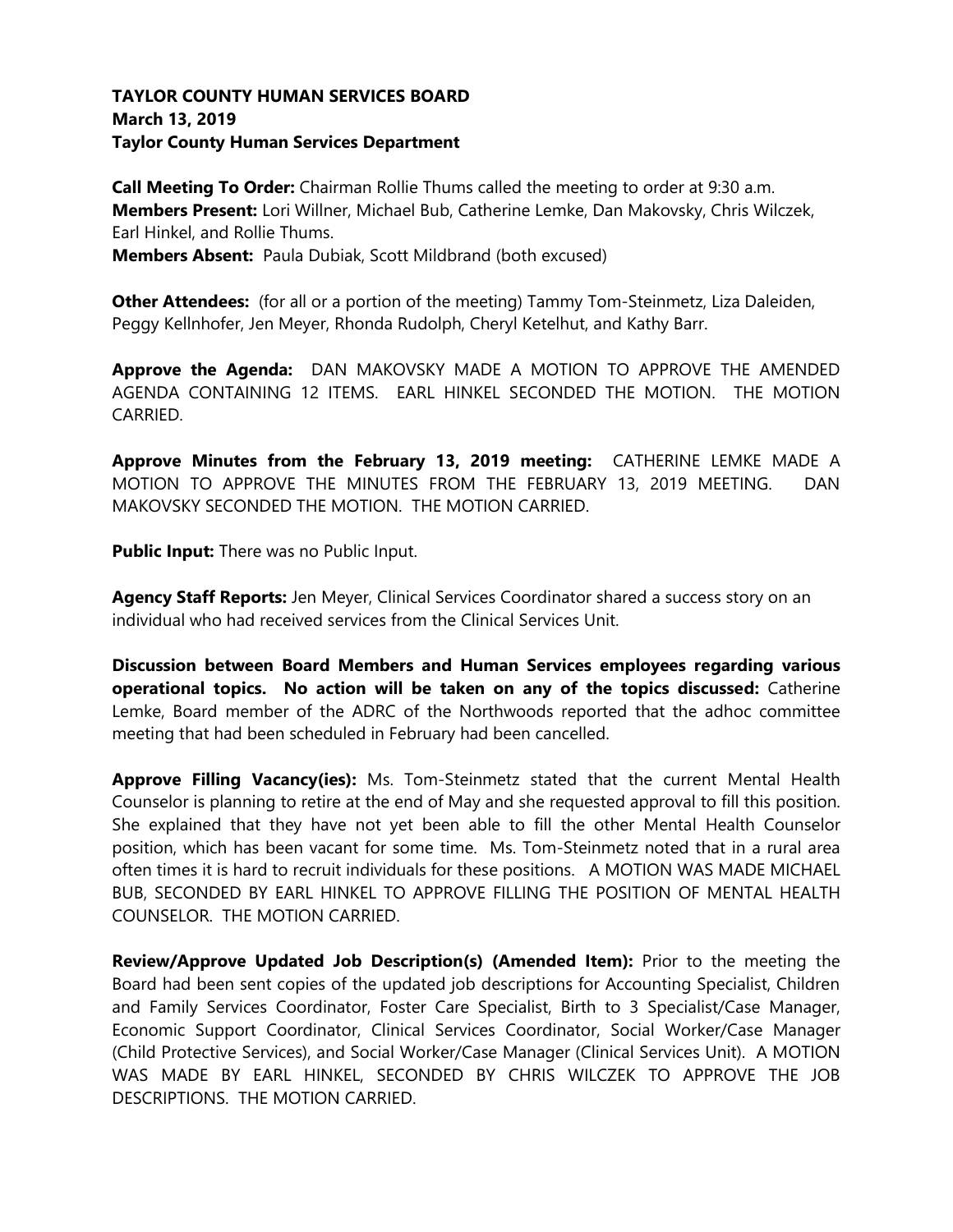## **TAYLOR COUNTY HUMAN SERVICES BOARD March 13, 2019 Taylor County Human Services Department**

**Call Meeting To Order:** Chairman Rollie Thums called the meeting to order at 9:30 a.m. **Members Present:** Lori Willner, Michael Bub, Catherine Lemke, Dan Makovsky, Chris Wilczek, Earl Hinkel, and Rollie Thums.

**Members Absent:** Paula Dubiak, Scott Mildbrand (both excused)

**Other Attendees:** (for all or a portion of the meeting) Tammy Tom-Steinmetz, Liza Daleiden, Peggy Kellnhofer, Jen Meyer, Rhonda Rudolph, Cheryl Ketelhut, and Kathy Barr.

**Approve the Agenda:** DAN MAKOVSKY MADE A MOTION TO APPROVE THE AMENDED AGENDA CONTAINING 12 ITEMS. EARL HINKEL SECONDED THE MOTION. THE MOTION CARRIED.

**Approve Minutes from the February 13, 2019 meeting:** CATHERINE LEMKE MADE A MOTION TO APPROVE THE MINUTES FROM THE FEBRUARY 13, 2019 MEETING. DAN MAKOVSKY SECONDED THE MOTION. THE MOTION CARRIED.

**Public Input:** There was no Public Input.

Agency Staff Reports: Jen Meyer, Clinical Services Coordinator shared a success story on an individual who had received services from the Clinical Services Unit.

**Discussion between Board Members and Human Services employees regarding various operational topics. No action will be taken on any of the topics discussed:** Catherine Lemke, Board member of the ADRC of the Northwoods reported that the adhoc committee meeting that had been scheduled in February had been cancelled.

**Approve Filling Vacancy(ies):** Ms. Tom-Steinmetz stated that the current Mental Health Counselor is planning to retire at the end of May and she requested approval to fill this position. She explained that they have not yet been able to fill the other Mental Health Counselor position, which has been vacant for some time. Ms. Tom-Steinmetz noted that in a rural area often times it is hard to recruit individuals for these positions. A MOTION WAS MADE MICHAEL BUB, SECONDED BY EARL HINKEL TO APPROVE FILLING THE POSITION OF MENTAL HEALTH COUNSELOR. THE MOTION CARRIED.

**Review/Approve Updated Job Description(s) (Amended Item):** Prior to the meeting the Board had been sent copies of the updated job descriptions for Accounting Specialist, Children and Family Services Coordinator, Foster Care Specialist, Birth to 3 Specialist/Case Manager, Economic Support Coordinator, Clinical Services Coordinator, Social Worker/Case Manager (Child Protective Services), and Social Worker/Case Manager (Clinical Services Unit). A MOTION WAS MADE BY EARL HINKEL, SECONDED BY CHRIS WILCZEK TO APPROVE THE JOB DESCRIPTIONS. THE MOTION CARRIED.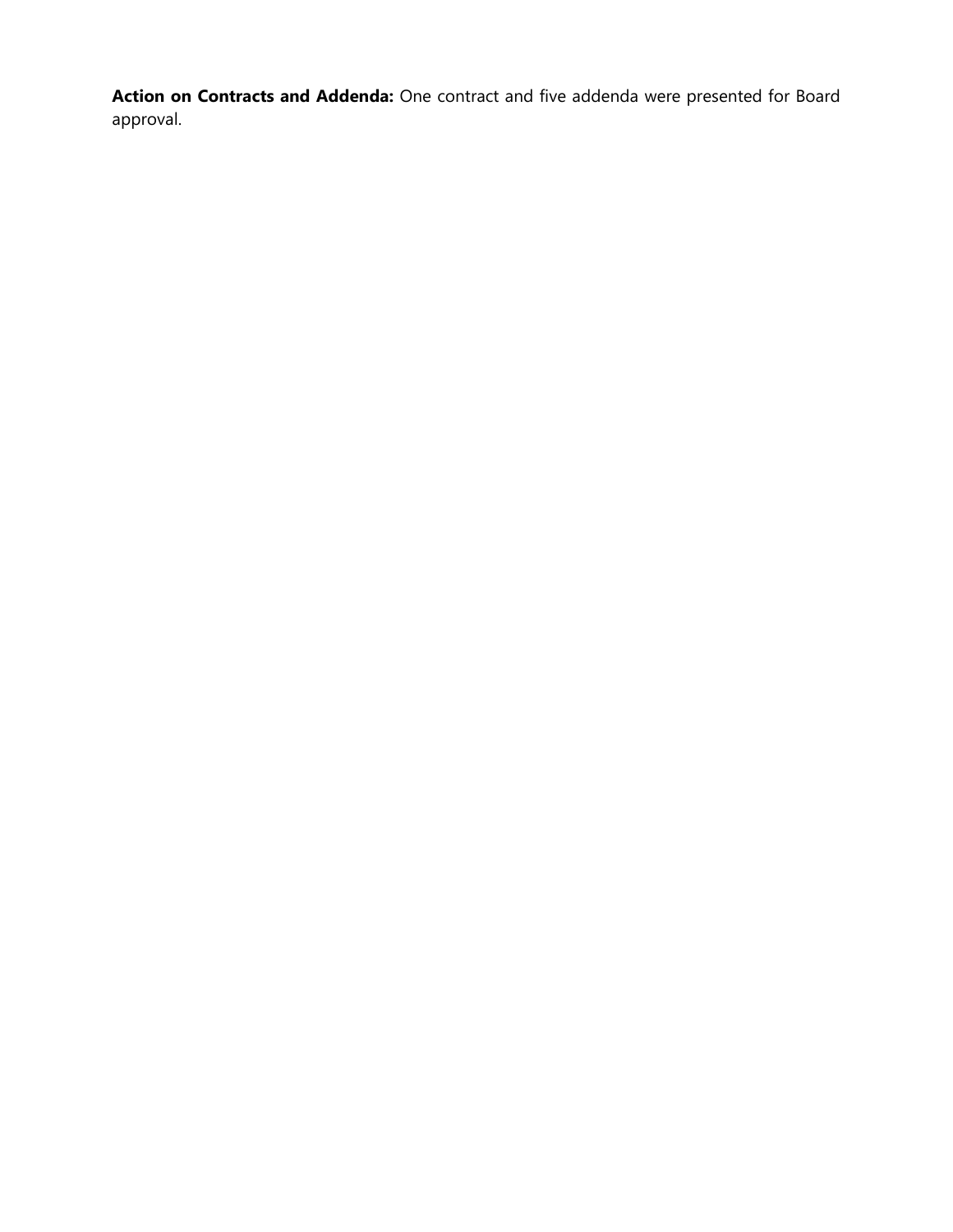**Action on Contracts and Addenda:** One contract and five addenda were presented for Board approval.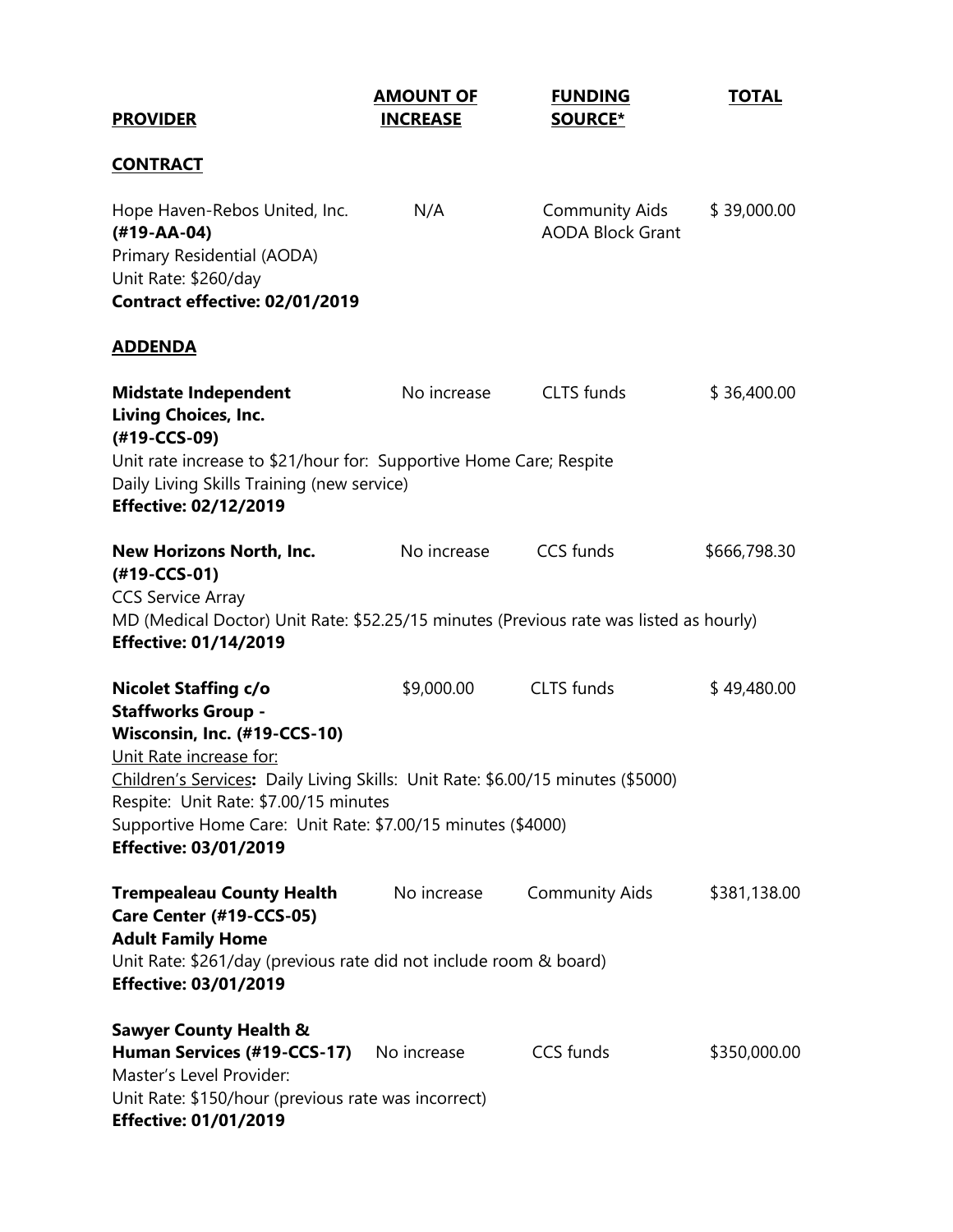| <b>PROVIDER</b>                                                                                                                                                                                                                                                                                                                                | <b>AMOUNT OF</b><br><b>INCREASE</b> | <b>FUNDING</b><br><b>SOURCE*</b>                 | <b>TOTAL</b> |
|------------------------------------------------------------------------------------------------------------------------------------------------------------------------------------------------------------------------------------------------------------------------------------------------------------------------------------------------|-------------------------------------|--------------------------------------------------|--------------|
| <b>CONTRACT</b>                                                                                                                                                                                                                                                                                                                                |                                     |                                                  |              |
| Hope Haven-Rebos United, Inc.<br>$(#19 - AA - 04)$<br>Primary Residential (AODA)<br>Unit Rate: \$260/day<br>Contract effective: 02/01/2019                                                                                                                                                                                                     | N/A                                 | <b>Community Aids</b><br><b>AODA Block Grant</b> | \$39,000.00  |
| <b>ADDENDA</b>                                                                                                                                                                                                                                                                                                                                 |                                     |                                                  |              |
| <b>Midstate Independent</b><br><b>Living Choices, Inc.</b><br>(#19-CCS-09)<br>Unit rate increase to \$21/hour for: Supportive Home Care; Respite                                                                                                                                                                                               | No increase                         | CLTS funds                                       | \$36,400.00  |
| Daily Living Skills Training (new service)<br><b>Effective: 02/12/2019</b>                                                                                                                                                                                                                                                                     |                                     |                                                  |              |
| New Horizons North, Inc.<br>(#19-CCS-01)<br><b>CCS Service Array</b><br>MD (Medical Doctor) Unit Rate: \$52.25/15 minutes (Previous rate was listed as hourly)<br><b>Effective: 01/14/2019</b>                                                                                                                                                 | No increase                         | CCS funds                                        | \$666,798.30 |
| <b>Nicolet Staffing c/o</b><br><b>Staffworks Group -</b><br>Wisconsin, Inc. (#19-CCS-10)<br>Unit Rate increase for:<br>Children's Services: Daily Living Skills: Unit Rate: \$6.00/15 minutes (\$5000)<br>Respite: Unit Rate: \$7.00/15 minutes<br>Supportive Home Care: Unit Rate: \$7.00/15 minutes (\$4000)<br><b>Effective: 03/01/2019</b> | \$9,000.00                          | <b>CLTS</b> funds                                | \$49,480.00  |
| <b>Trempealeau County Health</b><br>Care Center (#19-CCS-05)<br><b>Adult Family Home</b><br>Unit Rate: \$261/day (previous rate did not include room & board)<br><b>Effective: 03/01/2019</b>                                                                                                                                                  | No increase                         | <b>Community Aids</b>                            | \$381,138.00 |
| <b>Sawyer County Health &amp;</b><br>Human Services (#19-CCS-17) No increase<br>Master's Level Provider:<br>Unit Rate: \$150/hour (previous rate was incorrect)<br><b>Effective: 01/01/2019</b>                                                                                                                                                |                                     | CCS funds                                        | \$350,000.00 |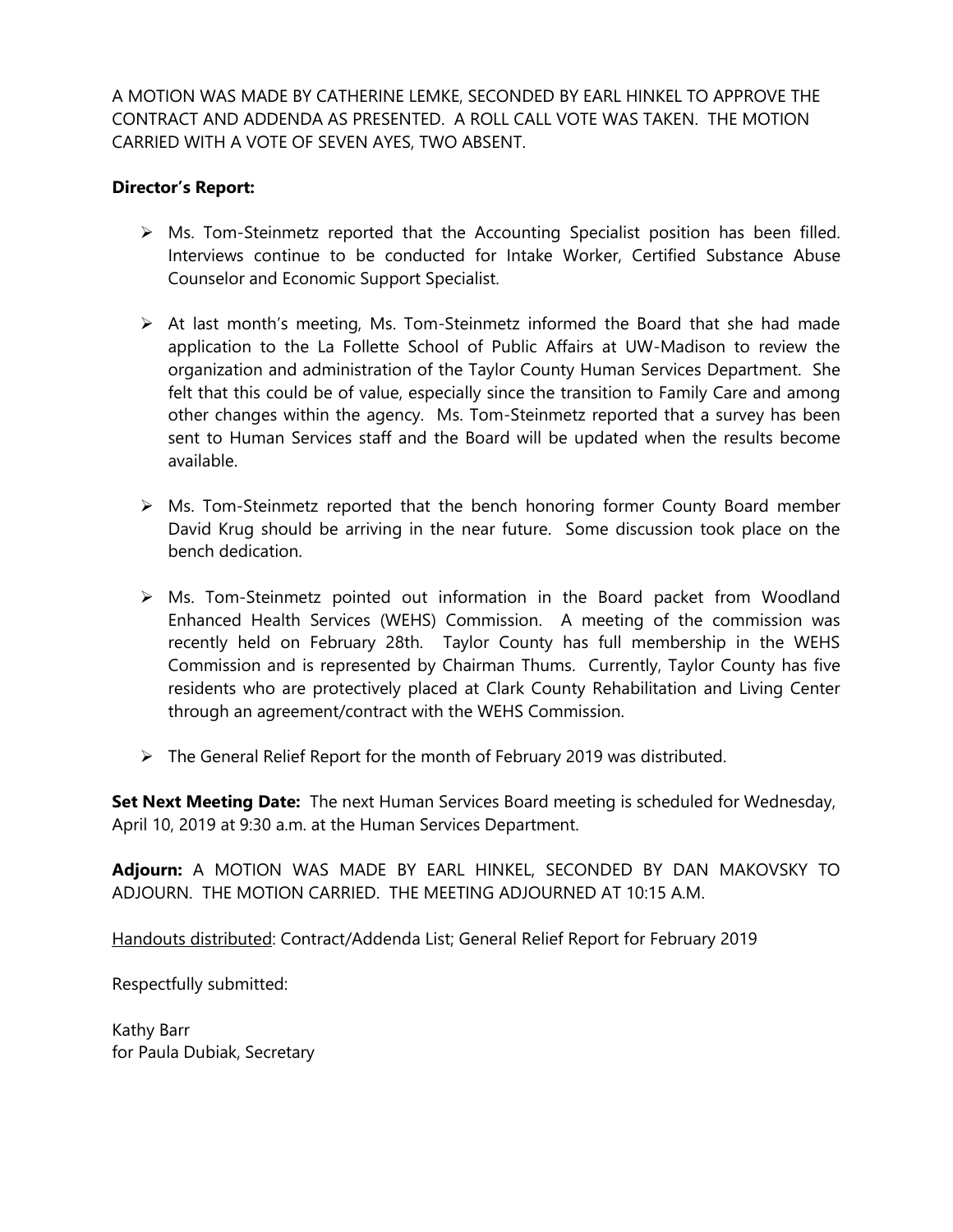A MOTION WAS MADE BY CATHERINE LEMKE, SECONDED BY EARL HINKEL TO APPROVE THE CONTRACT AND ADDENDA AS PRESENTED. A ROLL CALL VOTE WAS TAKEN. THE MOTION CARRIED WITH A VOTE OF SEVEN AYES, TWO ABSENT.

## **Director's Report:**

- $\triangleright$  Ms. Tom-Steinmetz reported that the Accounting Specialist position has been filled. Interviews continue to be conducted for Intake Worker, Certified Substance Abuse Counselor and Economic Support Specialist.
- $\triangleright$  At last month's meeting, Ms. Tom-Steinmetz informed the Board that she had made application to the La Follette School of Public Affairs at UW-Madison to review the organization and administration of the Taylor County Human Services Department. She felt that this could be of value, especially since the transition to Family Care and among other changes within the agency. Ms. Tom-Steinmetz reported that a survey has been sent to Human Services staff and the Board will be updated when the results become available.
- $\triangleright$  Ms. Tom-Steinmetz reported that the bench honoring former County Board member David Krug should be arriving in the near future. Some discussion took place on the bench dedication.
- ➢ Ms. Tom-Steinmetz pointed out information in the Board packet from Woodland Enhanced Health Services (WEHS) Commission. A meeting of the commission was recently held on February 28th. Taylor County has full membership in the WEHS Commission and is represented by Chairman Thums. Currently, Taylor County has five residents who are protectively placed at Clark County Rehabilitation and Living Center through an agreement/contract with the WEHS Commission.
- ➢ The General Relief Report for the month of February 2019 was distributed.

**Set Next Meeting Date:** The next Human Services Board meeting is scheduled for Wednesday, April 10, 2019 at 9:30 a.m. at the Human Services Department.

**Adjourn:** A MOTION WAS MADE BY EARL HINKEL, SECONDED BY DAN MAKOVSKY TO ADJOURN. THE MOTION CARRIED. THE MEETING ADJOURNED AT 10:15 A.M.

Handouts distributed: Contract/Addenda List; General Relief Report for February 2019

Respectfully submitted:

Kathy Barr for Paula Dubiak, Secretary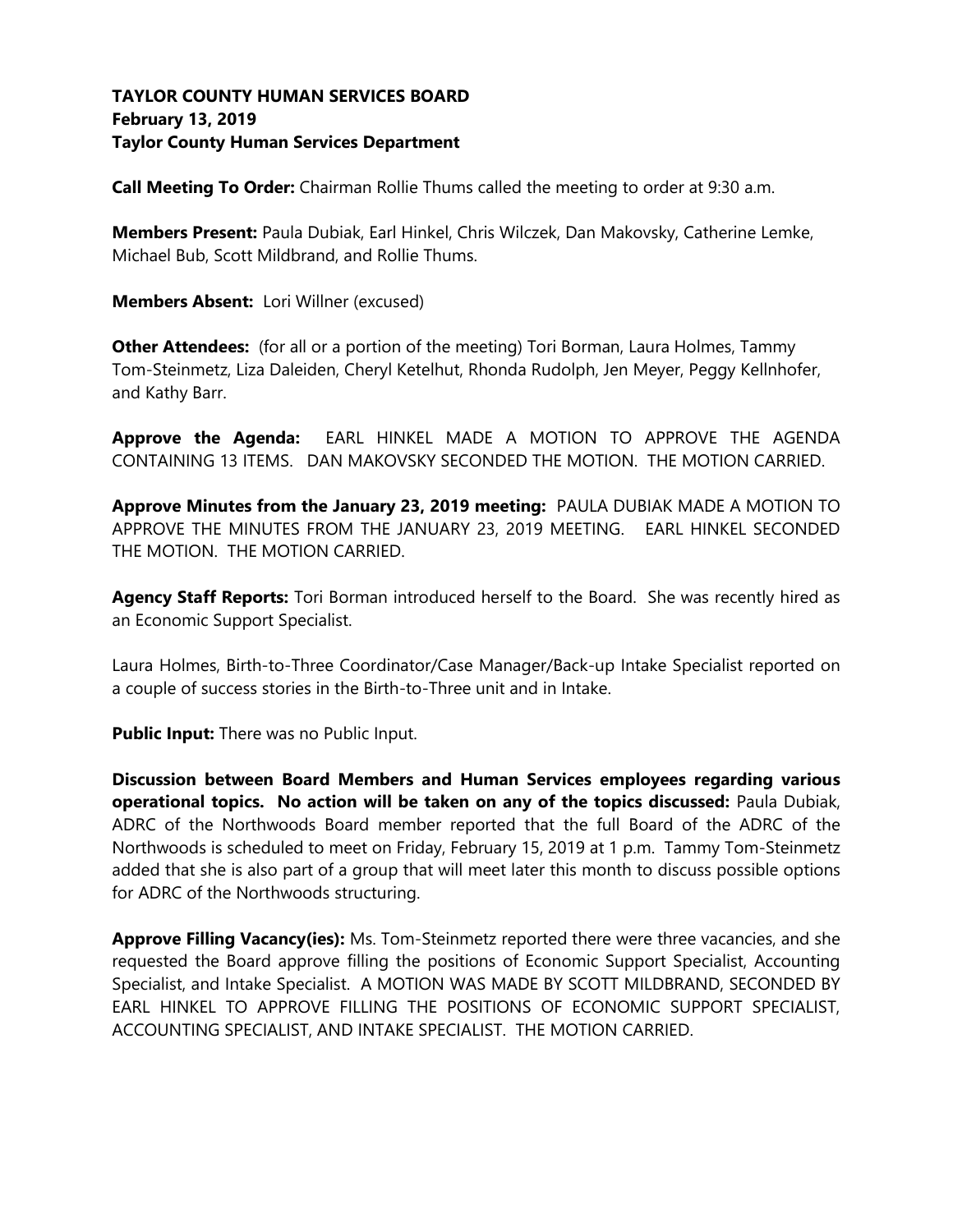# **TAYLOR COUNTY HUMAN SERVICES BOARD February 13, 2019 Taylor County Human Services Department**

**Call Meeting To Order:** Chairman Rollie Thums called the meeting to order at 9:30 a.m.

**Members Present:** Paula Dubiak, Earl Hinkel, Chris Wilczek, Dan Makovsky, Catherine Lemke, Michael Bub, Scott Mildbrand, and Rollie Thums.

**Members Absent:** Lori Willner (excused)

**Other Attendees:** (for all or a portion of the meeting) Tori Borman, Laura Holmes, Tammy Tom-Steinmetz, Liza Daleiden, Cheryl Ketelhut, Rhonda Rudolph, Jen Meyer, Peggy Kellnhofer, and Kathy Barr.

**Approve the Agenda:** EARL HINKEL MADE A MOTION TO APPROVE THE AGENDA CONTAINING 13 ITEMS. DAN MAKOVSKY SECONDED THE MOTION. THE MOTION CARRIED.

**Approve Minutes from the January 23, 2019 meeting:** PAULA DUBIAK MADE A MOTION TO APPROVE THE MINUTES FROM THE JANUARY 23, 2019 MEETING. EARL HINKEL SECONDED THE MOTION. THE MOTION CARRIED.

Agency Staff Reports: Tori Borman introduced herself to the Board. She was recently hired as an Economic Support Specialist.

Laura Holmes, Birth-to-Three Coordinator/Case Manager/Back-up Intake Specialist reported on a couple of success stories in the Birth-to-Three unit and in Intake.

**Public Input:** There was no Public Input.

**Discussion between Board Members and Human Services employees regarding various operational topics. No action will be taken on any of the topics discussed:** Paula Dubiak, ADRC of the Northwoods Board member reported that the full Board of the ADRC of the Northwoods is scheduled to meet on Friday, February 15, 2019 at 1 p.m. Tammy Tom-Steinmetz added that she is also part of a group that will meet later this month to discuss possible options for ADRC of the Northwoods structuring.

**Approve Filling Vacancy(ies):** Ms. Tom-Steinmetz reported there were three vacancies, and she requested the Board approve filling the positions of Economic Support Specialist, Accounting Specialist, and Intake Specialist. A MOTION WAS MADE BY SCOTT MILDBRAND, SECONDED BY EARL HINKEL TO APPROVE FILLING THE POSITIONS OF ECONOMIC SUPPORT SPECIALIST, ACCOUNTING SPECIALIST, AND INTAKE SPECIALIST. THE MOTION CARRIED.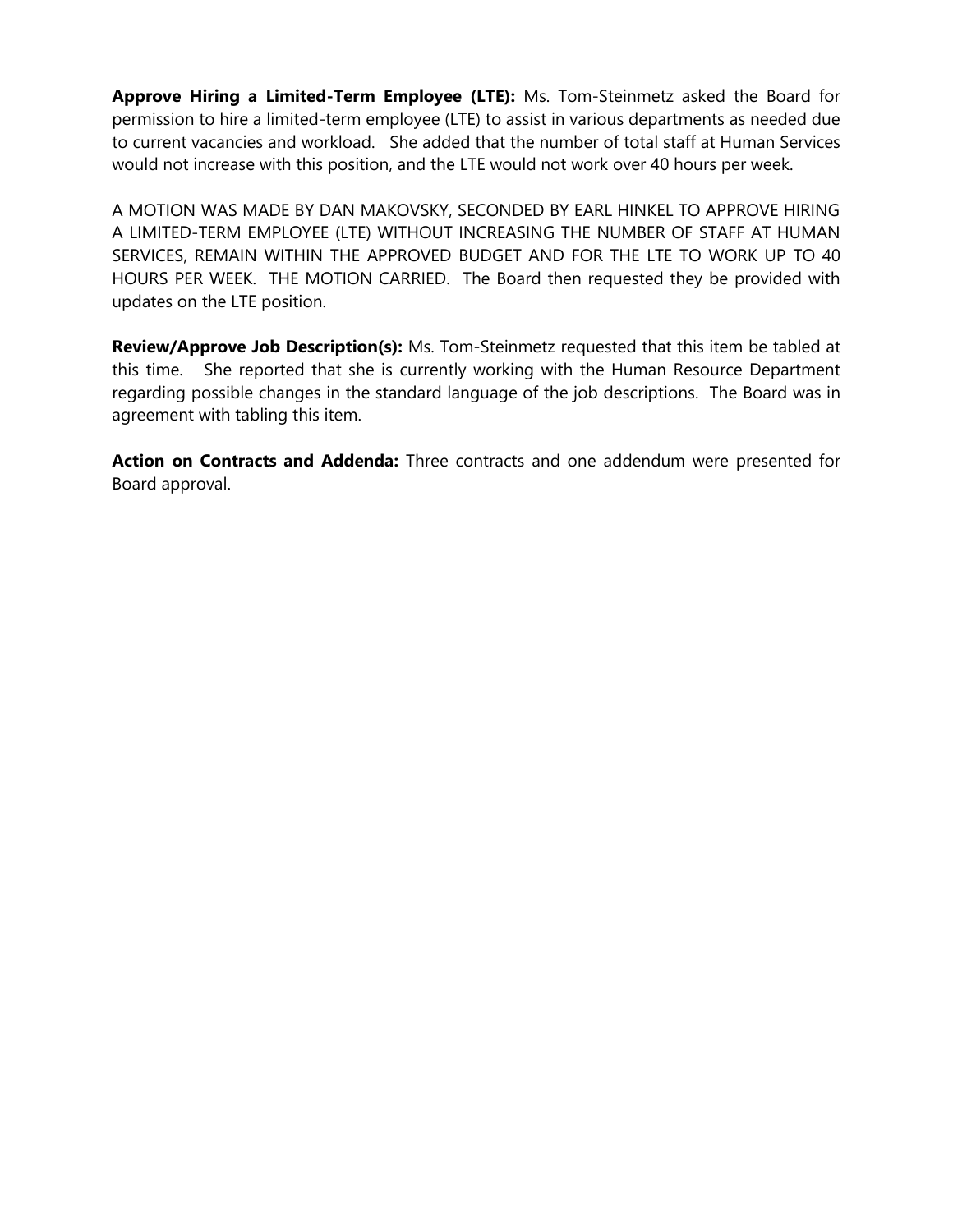**Approve Hiring a Limited-Term Employee (LTE):** Ms. Tom-Steinmetz asked the Board for permission to hire a limited-term employee (LTE) to assist in various departments as needed due to current vacancies and workload. She added that the number of total staff at Human Services would not increase with this position, and the LTE would not work over 40 hours per week.

A MOTION WAS MADE BY DAN MAKOVSKY, SECONDED BY EARL HINKEL TO APPROVE HIRING A LIMITED-TERM EMPLOYEE (LTE) WITHOUT INCREASING THE NUMBER OF STAFF AT HUMAN SERVICES, REMAIN WITHIN THE APPROVED BUDGET AND FOR THE LTE TO WORK UP TO 40 HOURS PER WEEK. THE MOTION CARRIED. The Board then requested they be provided with updates on the LTE position.

**Review/Approve Job Description(s):** Ms. Tom-Steinmetz requested that this item be tabled at this time. She reported that she is currently working with the Human Resource Department regarding possible changes in the standard language of the job descriptions. The Board was in agreement with tabling this item.

**Action on Contracts and Addenda:** Three contracts and one addendum were presented for Board approval.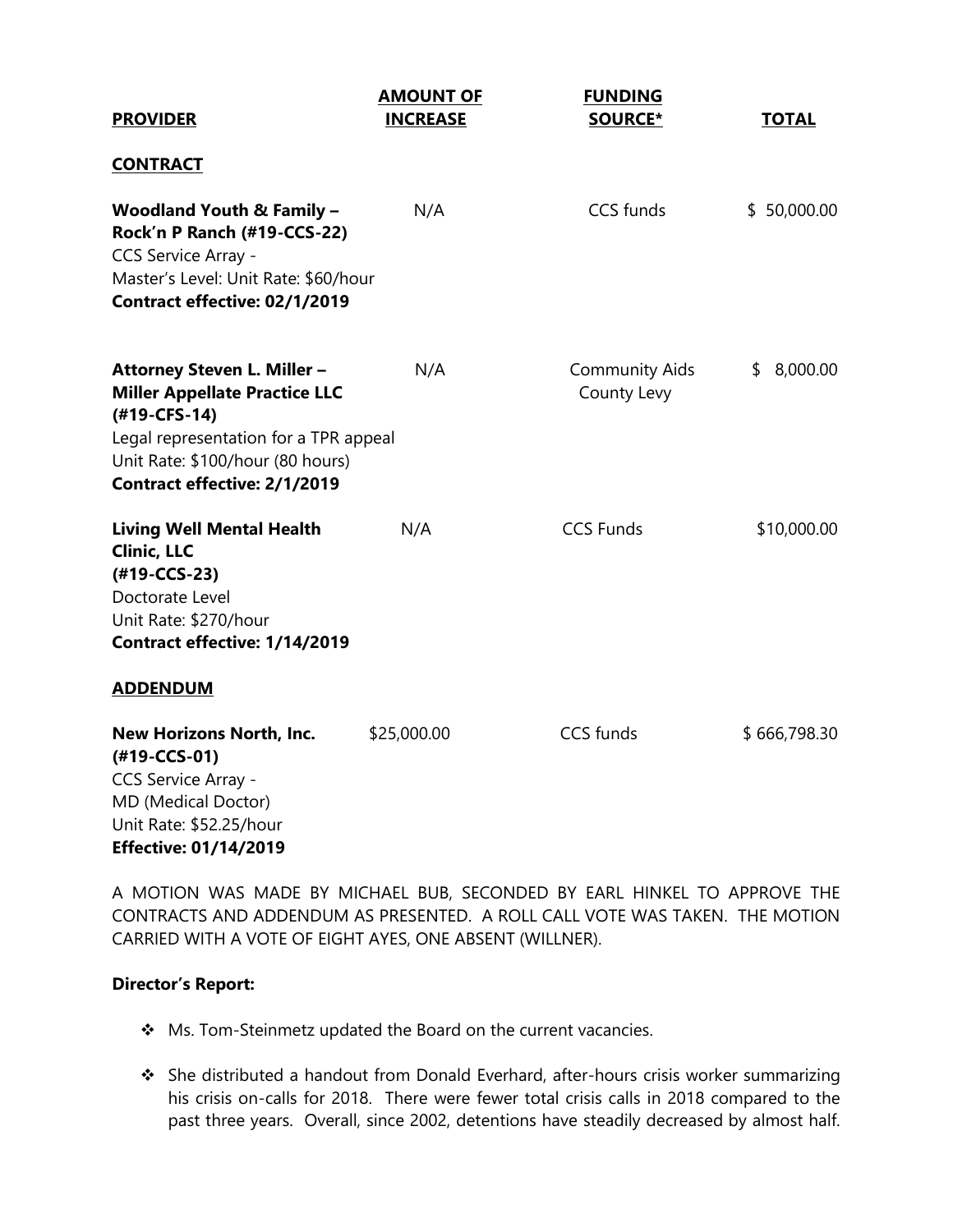| <b>PROVIDER</b>                                                                                                                                                                                         | <b>AMOUNT OF</b><br><b>INCREASE</b> | <b>FUNDING</b><br><b>SOURCE*</b>     | <b>TOTAL</b>   |
|---------------------------------------------------------------------------------------------------------------------------------------------------------------------------------------------------------|-------------------------------------|--------------------------------------|----------------|
| <b>CONTRACT</b>                                                                                                                                                                                         |                                     |                                      |                |
| <b>Woodland Youth &amp; Family -</b><br>Rock'n P Ranch (#19-CCS-22)<br>CCS Service Array -<br>Master's Level: Unit Rate: \$60/hour<br>Contract effective: 02/1/2019                                     | N/A                                 | <b>CCS funds</b>                     | \$50,000.00    |
| Attorney Steven L. Miller -<br><b>Miller Appellate Practice LLC</b><br>(#19-CFS-14)<br>Legal representation for a TPR appeal<br>Unit Rate: \$100/hour (80 hours)<br><b>Contract effective: 2/1/2019</b> | N/A                                 | <b>Community Aids</b><br>County Levy | 8,000.00<br>\$ |
| <b>Living Well Mental Health</b><br><b>Clinic, LLC</b><br>(#19-CCS-23)<br>Doctorate Level<br>Unit Rate: \$270/hour<br>Contract effective: 1/14/2019<br><b>ADDENDUM</b>                                  | N/A                                 | <b>CCS Funds</b>                     | \$10,000.00    |
| New Horizons North, Inc.<br>$(#19-CCS-01)$<br>CCS Service Array -<br>MD (Medical Doctor)<br>Unit Rate: \$52.25/hour<br><b>Effective: 01/14/2019</b>                                                     | \$25,000.00                         | <b>CCS</b> funds                     | \$666,798.30   |

A MOTION WAS MADE BY MICHAEL BUB, SECONDED BY EARL HINKEL TO APPROVE THE CONTRACTS AND ADDENDUM AS PRESENTED. A ROLL CALL VOTE WAS TAKEN. THE MOTION CARRIED WITH A VOTE OF EIGHT AYES, ONE ABSENT (WILLNER).

### **Director's Report:**

- ❖ Ms. Tom-Steinmetz updated the Board on the current vacancies.
- ❖ She distributed a handout from Donald Everhard, after-hours crisis worker summarizing his crisis on-calls for 2018. There were fewer total crisis calls in 2018 compared to the past three years. Overall, since 2002, detentions have steadily decreased by almost half.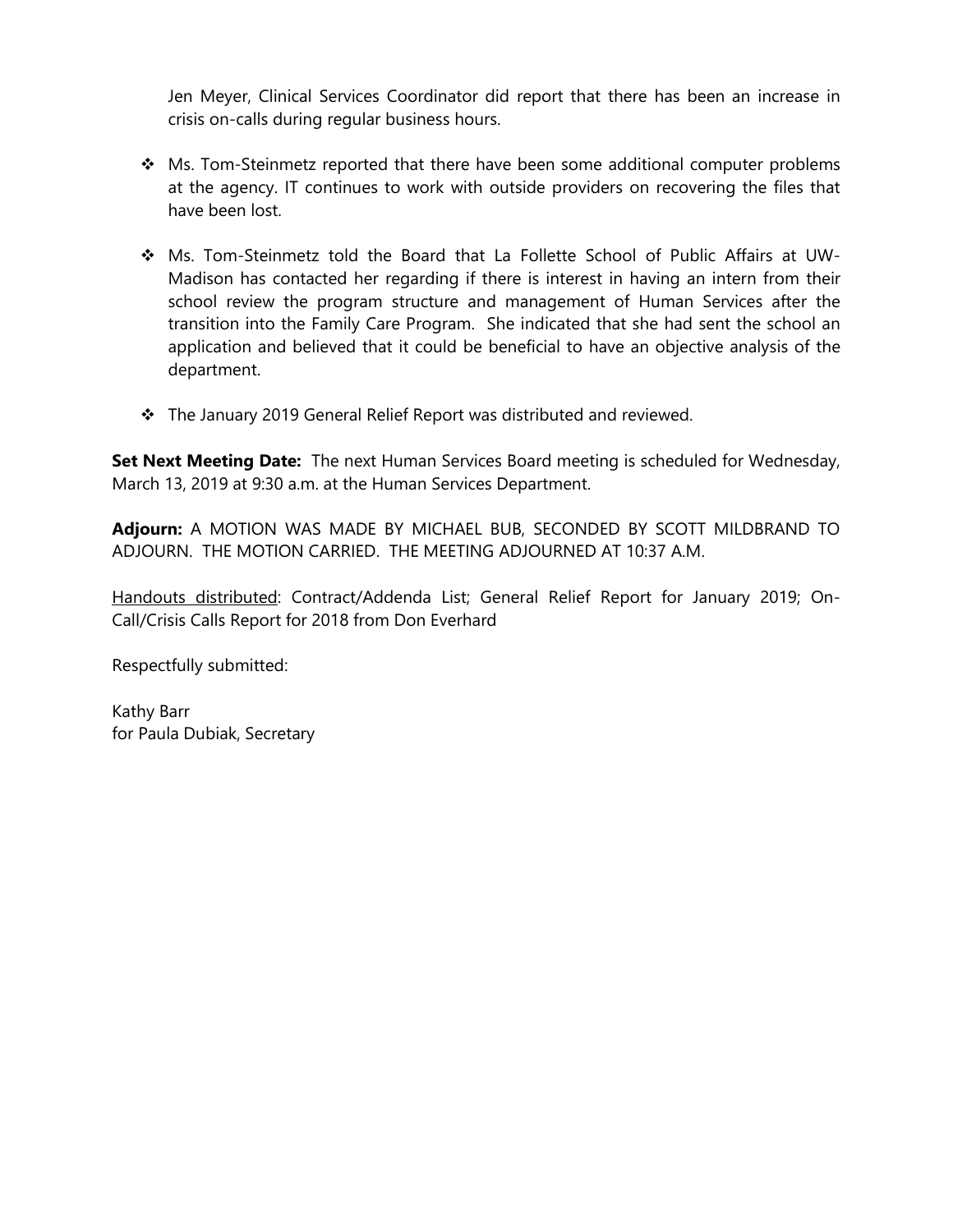Jen Meyer, Clinical Services Coordinator did report that there has been an increase in crisis on-calls during regular business hours.

- ❖ Ms. Tom-Steinmetz reported that there have been some additional computer problems at the agency. IT continues to work with outside providers on recovering the files that have been lost.
- ❖ Ms. Tom-Steinmetz told the Board that La Follette School of Public Affairs at UW-Madison has contacted her regarding if there is interest in having an intern from their school review the program structure and management of Human Services after the transition into the Family Care Program. She indicated that she had sent the school an application and believed that it could be beneficial to have an objective analysis of the department.
- ❖ The January 2019 General Relief Report was distributed and reviewed.

**Set Next Meeting Date:** The next Human Services Board meeting is scheduled for Wednesday, March 13, 2019 at 9:30 a.m. at the Human Services Department.

**Adjourn:** A MOTION WAS MADE BY MICHAEL BUB, SECONDED BY SCOTT MILDBRAND TO ADJOURN. THE MOTION CARRIED. THE MEETING ADJOURNED AT 10:37 A.M.

Handouts distributed: Contract/Addenda List; General Relief Report for January 2019; On-Call/Crisis Calls Report for 2018 from Don Everhard

Respectfully submitted:

Kathy Barr for Paula Dubiak, Secretary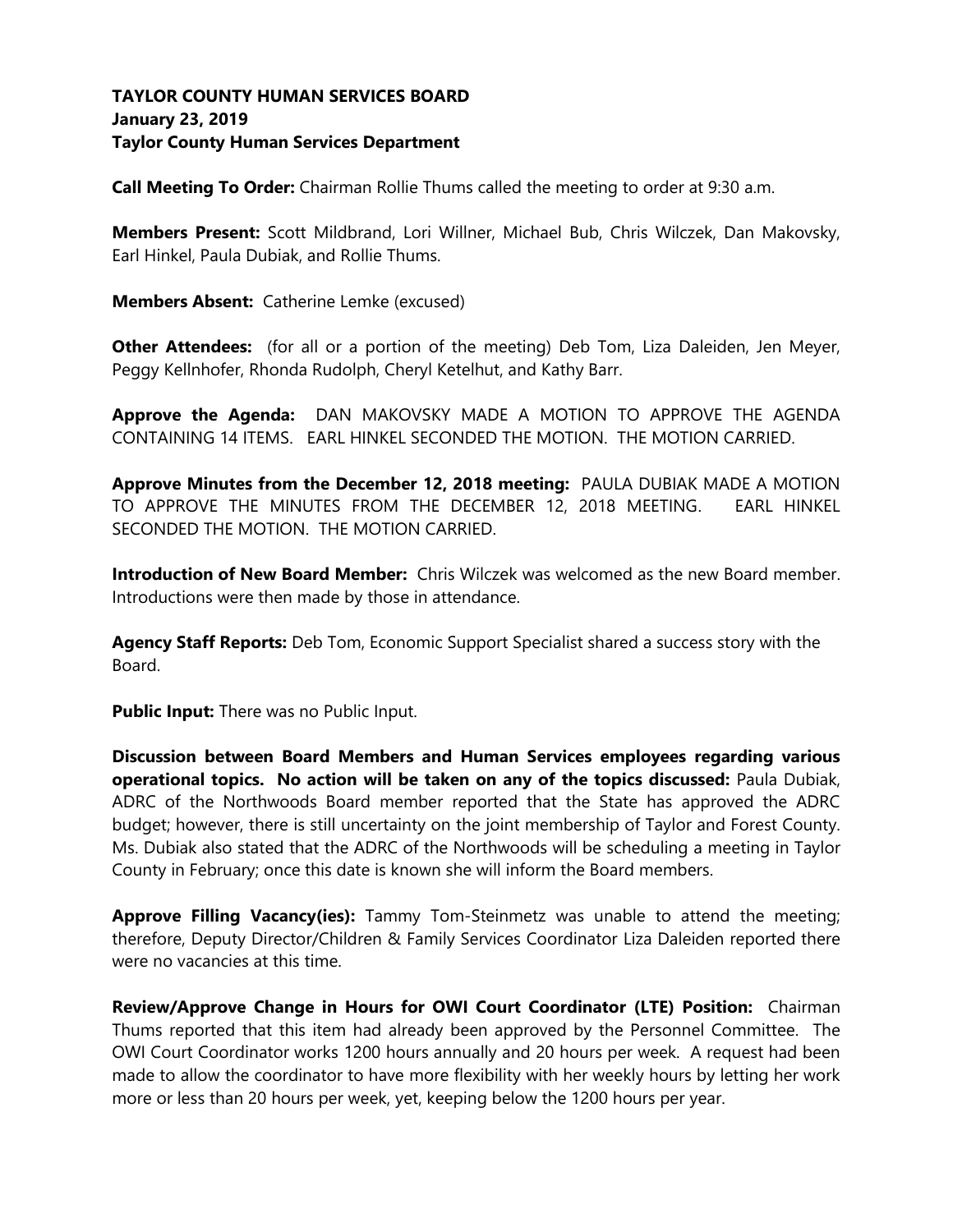# **TAYLOR COUNTY HUMAN SERVICES BOARD January 23, 2019 Taylor County Human Services Department**

**Call Meeting To Order:** Chairman Rollie Thums called the meeting to order at 9:30 a.m.

**Members Present:** Scott Mildbrand, Lori Willner, Michael Bub, Chris Wilczek, Dan Makovsky, Earl Hinkel, Paula Dubiak, and Rollie Thums.

**Members Absent:** Catherine Lemke (excused)

**Other Attendees:** (for all or a portion of the meeting) Deb Tom, Liza Daleiden, Jen Meyer, Peggy Kellnhofer, Rhonda Rudolph, Cheryl Ketelhut, and Kathy Barr.

**Approve the Agenda:** DAN MAKOVSKY MADE A MOTION TO APPROVE THE AGENDA CONTAINING 14 ITEMS. EARL HINKEL SECONDED THE MOTION. THE MOTION CARRIED.

**Approve Minutes from the December 12, 2018 meeting:** PAULA DUBIAK MADE A MOTION TO APPROVE THE MINUTES FROM THE DECEMBER 12, 2018 MEETING. EARL HINKEL SECONDED THE MOTION. THE MOTION CARRIED.

**Introduction of New Board Member:** Chris Wilczek was welcomed as the new Board member. Introductions were then made by those in attendance.

**Agency Staff Reports:** Deb Tom, Economic Support Specialist shared a success story with the Board.

**Public Input:** There was no Public Input.

**Discussion between Board Members and Human Services employees regarding various operational topics. No action will be taken on any of the topics discussed:** Paula Dubiak, ADRC of the Northwoods Board member reported that the State has approved the ADRC budget; however, there is still uncertainty on the joint membership of Taylor and Forest County. Ms. Dubiak also stated that the ADRC of the Northwoods will be scheduling a meeting in Taylor County in February; once this date is known she will inform the Board members.

**Approve Filling Vacancy(ies):** Tammy Tom-Steinmetz was unable to attend the meeting; therefore, Deputy Director/Children & Family Services Coordinator Liza Daleiden reported there were no vacancies at this time.

**Review/Approve Change in Hours for OWI Court Coordinator (LTE) Position:** Chairman Thums reported that this item had already been approved by the Personnel Committee.The OWI Court Coordinator works 1200 hours annually and 20 hours per week. A request had been made to allow the coordinator to have more flexibility with her weekly hours by letting her work more or less than 20 hours per week, yet, keeping below the 1200 hours per year.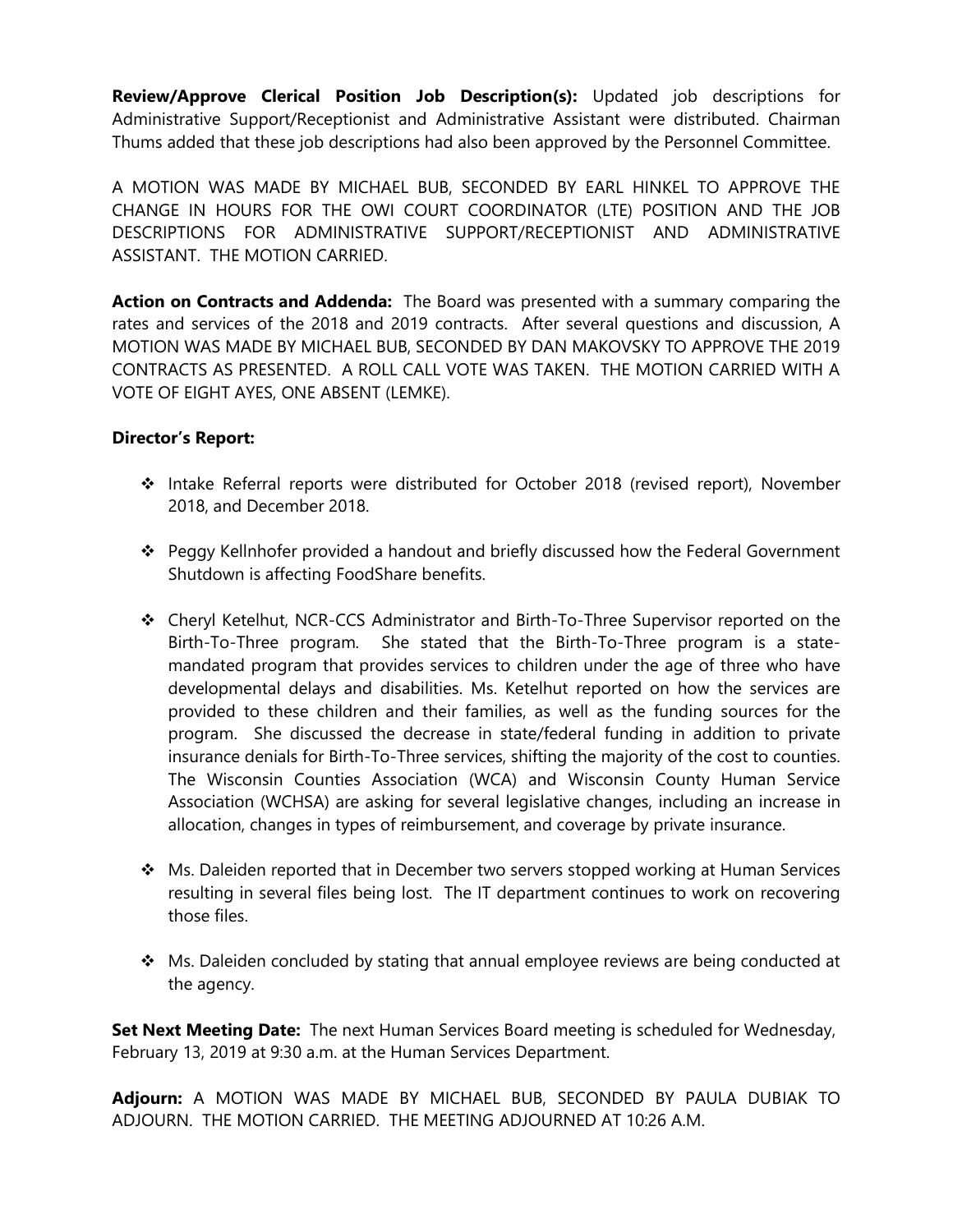**Review/Approve Clerical Position Job Description(s):** Updated job descriptions for Administrative Support/Receptionist and Administrative Assistant were distributed. Chairman Thums added that these job descriptions had also been approved by the Personnel Committee.

A MOTION WAS MADE BY MICHAEL BUB, SECONDED BY EARL HINKEL TO APPROVE THE CHANGE IN HOURS FOR THE OWI COURT COORDINATOR (LTE) POSITION AND THE JOB DESCRIPTIONS FOR ADMINISTRATIVE SUPPORT/RECEPTIONIST AND ADMINISTRATIVE ASSISTANT. THE MOTION CARRIED.

**Action on Contracts and Addenda:** The Board was presented with a summary comparing the rates and services of the 2018 and 2019 contracts. After several questions and discussion, A MOTION WAS MADE BY MICHAEL BUB, SECONDED BY DAN MAKOVSKY TO APPROVE THE 2019 CONTRACTS AS PRESENTED. A ROLL CALL VOTE WAS TAKEN. THE MOTION CARRIED WITH A VOTE OF EIGHT AYES, ONE ABSENT (LEMKE).

## **Director's Report:**

- ❖ Intake Referral reports were distributed for October 2018 (revised report), November 2018, and December 2018.
- ❖ Peggy Kellnhofer provided a handout and briefly discussed how the Federal Government Shutdown is affecting FoodShare benefits.
- ❖ Cheryl Ketelhut, NCR-CCS Administrator and Birth-To-Three Supervisor reported on the Birth-To-Three program. She stated that the Birth-To-Three program is a statemandated program that provides services to children under the age of three who have developmental delays and disabilities. Ms. Ketelhut reported on how the services are provided to these children and their families, as well as the funding sources for the program. She discussed the decrease in state/federal funding in addition to private insurance denials for Birth-To-Three services, shifting the majority of the cost to counties. The Wisconsin Counties Association (WCA) and Wisconsin County Human Service Association (WCHSA) are asking for several legislative changes, including an increase in allocation, changes in types of reimbursement, and coverage by private insurance.
- ❖ Ms. Daleiden reported that in December two servers stopped working at Human Services resulting in several files being lost. The IT department continues to work on recovering those files.
- ❖ Ms. Daleiden concluded by stating that annual employee reviews are being conducted at the agency.

**Set Next Meeting Date:** The next Human Services Board meeting is scheduled for Wednesday, February 13, 2019 at 9:30 a.m. at the Human Services Department.

**Adjourn:** A MOTION WAS MADE BY MICHAEL BUB, SECONDED BY PAULA DUBIAK TO ADJOURN. THE MOTION CARRIED. THE MEETING ADJOURNED AT 10:26 A.M.